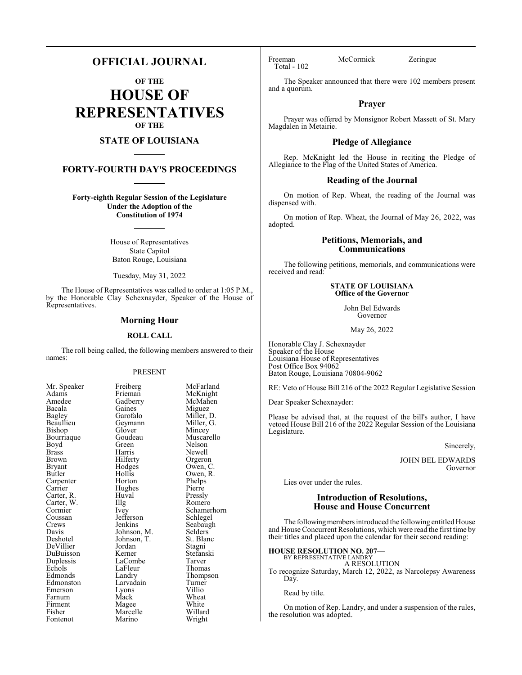# **OFFICIAL JOURNAL**

**OF THE**

**HOUSE OF REPRESENTATIVES OF THE**

# **STATE OF LOUISIANA**

# **FORTY-FOURTH DAY'S PROCEEDINGS**

**Forty-eighth Regular Session of the Legislature Under the Adoption of the Constitution of 1974**

> House of Representatives State Capitol Baton Rouge, Louisiana

Tuesday, May 31, 2022

The House of Representatives was called to order at 1:05 P.M., by the Honorable Clay Schexnayder, Speaker of the House of Representatives.

# **Morning Hour**

# **ROLL CALL**

The roll being called, the following members answered to their names:

## PRESENT

Gaines<br>Garofalo

Geymann<br>Glover

Hughes<br>Huyal

Jefferson<br>Jenkins

Jordan<br>Kerner

LaFleur<br>Landry

Lyons<br>Mack

Marino

| Mr. Speaker                      |
|----------------------------------|
| Adams                            |
| Amedee                           |
| Bacala                           |
| <b>Bagley</b>                    |
| Beaullieu                        |
| Bishop                           |
| Bourriaque                       |
| Boyd                             |
| <b>Brass</b>                     |
| Brown                            |
| Bryant                           |
| Butler                           |
| Carpenter                        |
|                                  |
| Carrier<br>Carrier<br>Carter, R. |
| Carter, W.                       |
| Cormier                          |
| Coussan                          |
| Crews                            |
| Davis                            |
| Deshotel                         |
| DeVillier                        |
| DuBuisson                        |
| Duplessis                        |
| Echols                           |
| Edmonds                          |
| Edmonston                        |
| Emerson                          |
| Farnum                           |
| Firment                          |
| Fisher                           |
| Fontenot                         |

Freiberg McFarland<br>Frieman McKnight McKnight<br>McMahen Gadberry McMah<br>Gaines Miguez Miller, D.<br>Miller, G. Glover Mincey<br>Goudeau Muscare Goudeau Muscarello<br>Green Nelson Green Nelson<br>Harris Newell Harris Newell<br>Hilferty Orgeror Hilferty Orgeron<br>Hodges Owen, C Hodges Owen, C.<br>Hollis Owen, R. Owen, R.<br>Phelps Horton Phelps<br>
Hughes Pierre Huval Pressly<br>
Illg Romerc Illg Romero<br>Ivey Schamer Schamerhorn<br>Schlegel Seabaugh<br>Selders Johnson, M. Selders<br>Johnson, T. St. Blanc Johnson, T. St. Blanch<br>Jordan Stagni Stefanski<br>Tarver LaCombe Tarver<br>
LaFleur Thomas Thompson<br>Turner Larvadain Turner<br>Lyons Villio Wheat<br>White Magee White<br>Marcelle Willard Marcelle Willard<br>
Marino Wright

Total - 102

Freeman McCormick Zeringue

The Speaker announced that there were 102 members present and a quorum.

# **Prayer**

Prayer was offered by Monsignor Robert Massett of St. Mary Magdalen in Metairie.

# **Pledge of Allegiance**

Rep. McKnight led the House in reciting the Pledge of Allegiance to the Flag of the United States of America.

# **Reading of the Journal**

On motion of Rep. Wheat, the reading of the Journal was dispensed with.

On motion of Rep. Wheat, the Journal of May 26, 2022, was adopted.

# **Petitions, Memorials, and Communications**

The following petitions, memorials, and communications were received and read:

> **STATE OF LOUISIANA Office of the Governor**

> > John Bel Edwards Governor

> > > May 26, 2022

Honorable Clay J. Schexnayder Speaker of the House Louisiana House of Representatives Post Office Box 94062 Baton Rouge, Louisiana 70804-9062

RE: Veto of House Bill 216 of the 2022 Regular Legislative Session

Dear Speaker Schexnayder:

Please be advised that, at the request of the bill's author, I have vetoed House Bill 216 of the 2022 Regular Session of the Louisiana Legislature.

Sincerely,

JOHN BEL EDWARDS Governor

Lies over under the rules.

# **Introduction of Resolutions, House and House Concurrent**

The following members introduced the following entitled House and House Concurrent Resolutions, which were read the first time by their titles and placed upon the calendar for their second reading:

## **HOUSE RESOLUTION NO. 207—** BY REPRESENTATIVE LANDRY

A RESOLUTION

To recognize Saturday, March 12, 2022, as Narcolepsy Awareness Day.

Read by title.

On motion of Rep. Landry, and under a suspension of the rules, the resolution was adopted.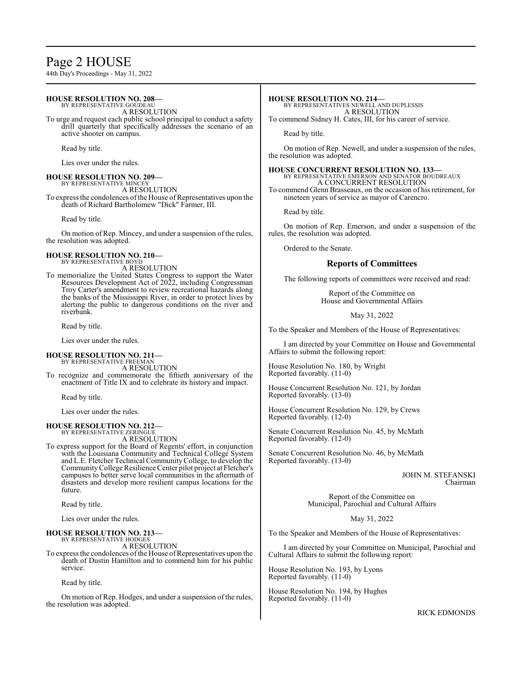# Page 2 HOUSE

44th Day's Proceedings - May 31, 2022

## **HOUSE RESOLUTION NO. 208—** BY REPRESENTATIVE GOUDEAU

A RESOLUTION

To urge and request each public school principal to conduct a safety drill quarterly that specifically addresses the scenario of an active shooter on campus.

Read by title.

Lies over under the rules.

# **HOUSE RESOLUTION NO. 209—**

BY REPRESENTATIVE MINCEY A RESOLUTION

To express the condolences of the House of Representatives upon the death of Richard Bartholomew "Dick" Farmer, III.

Read by title.

On motion of Rep. Mincey, and under a suspension of the rules, the resolution was adopted.

## **HOUSE RESOLUTION NO. 210—** BY REPRESENTATIVE BOYD

A RESOLUTION

To memorialize the United States Congress to support the Water Resources Development Act of 2022, including Congressman Troy Carter's amendment to review recreational hazards along the banks of the Mississippi River, in order to protect lives by alerting the public to dangerous conditions on the river and riverbank.

Read by title.

Lies over under the rules.

## **HOUSE RESOLUTION NO. 211—** BY REPRESENTATIVE FREEMAN

A RESOLUTION

To recognize and commemorate the fiftieth anniversary of the enactment of Title IX and to celebrate its history and impact.

Read by title.

Lies over under the rules.

# **HOUSE RESOLUTION NO. 212—** BY REPRESENTATIVE ZERINGUE

A RESOLUTION

To express support for the Board of Regents' effort, in conjunction with the Louisiana Community and Technical College System and L.E. Fletcher Technical CommunityCollege, to develop the CommunityCollege Resilience Center pilot project at Fletcher's campuses to better serve local communities in the aftermath of disasters and develop more resilient campus locations for the future.

Read by title.

Lies over under the rules.

**HOUSE RESOLUTION NO. 213—** BY REPRESENTATIVE HODGES A RESOLUTION

To express the condolences of the House of Representatives upon the death of Dustin Hamilton and to commend him for his public service.

Read by title.

On motion of Rep. Hodges, and under a suspension of the rules, the resolution was adopted.

# **HOUSE RESOLUTION NO. 214—**

BY REPRESENTATIVES NEWELL AND DUPLESSIS A RESOLUTION To commend Sidney H. Cates, III, for his career of service.

Read by title.

On motion of Rep. Newell, and under a suspension of the rules, the resolution was adopted.

# **HOUSE CONCURRENT RESOLUTION NO. 133—** BY REPRESENTATIVE EMERSON AND SENATOR BOUDREAUX A CONCURRENT RESOLUTION

To commend Glenn Brasseaux, on the occasion of his retirement, for nineteen years of service as mayor of Carencro.

Read by title.

On motion of Rep. Emerson, and under a suspension of the rules, the resolution was adopted.

Ordered to the Senate.

# **Reports of Committees**

The following reports of committees were received and read:

Report of the Committee on House and Governmental Affairs

May 31, 2022

To the Speaker and Members of the House of Representatives:

I am directed by your Committee on House and Governmental Affairs to submit the following report:

House Resolution No. 180, by Wright Reported favorably. (11-0)

House Concurrent Resolution No. 121, by Jordan Reported favorably. (13-0)

House Concurrent Resolution No. 129, by Crews Reported favorably. (12-0)

Senate Concurrent Resolution No. 45, by McMath Reported favorably. (12-0)

Senate Concurrent Resolution No. 46, by McMath Reported favorably. (13-0)

> JOHN M. STEFANSKI Chairman

Report of the Committee on Municipal, Parochial and Cultural Affairs

May 31, 2022

To the Speaker and Members of the House of Representatives:

I am directed by your Committee on Municipal, Parochial and Cultural Affairs to submit the following report:

House Resolution No. 193, by Lyons Reported favorably. (11-0)

House Resolution No. 194, by Hughes Reported favorably. (11-0)

RICK EDMONDS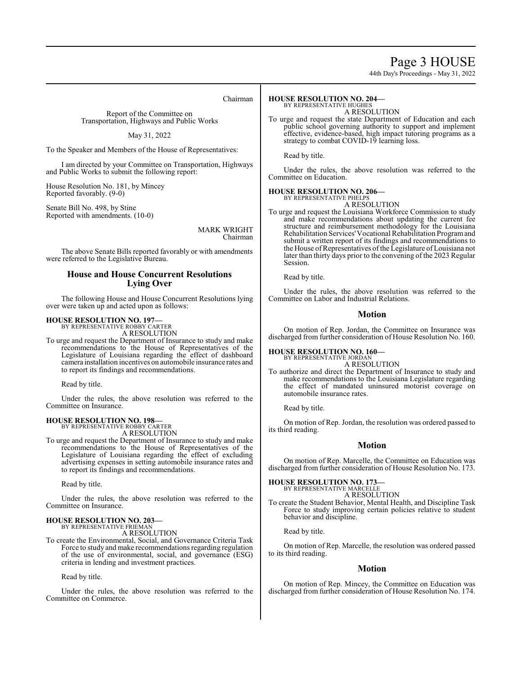# Page 3 HOUSE

44th Day's Proceedings - May 31, 2022

Chairman

Report of the Committee on Transportation, Highways and Public Works

May 31, 2022

To the Speaker and Members of the House of Representatives:

I am directed by your Committee on Transportation, Highways and Public Works to submit the following report:

House Resolution No. 181, by Mincey Reported favorably. (9-0)

Senate Bill No. 498, by Stine Reported with amendments. (10-0)

> MARK WRIGHT Chairman

The above Senate Bills reported favorably or with amendments were referred to the Legislative Bureau.

# **House and House Concurrent Resolutions Lying Over**

The following House and House Concurrent Resolutions lying over were taken up and acted upon as follows:

# **HOUSE RESOLUTION NO. 197—**

BY REPRESENTATIVE ROBBY CARTER A RESOLUTION

To urge and request the Department of Insurance to study and make recommendations to the House of Representatives of the Legislature of Louisiana regarding the effect of dashboard camera installation incentives on automobile insurance rates and to report its findings and recommendations.

Read by title.

Under the rules, the above resolution was referred to the Committee on Insurance.

## **HOUSE RESOLUTION NO. 198—** BY REPRESENTATIVE ROBBY CARTER

A RESOLUTION

To urge and request the Department of Insurance to study and make recommendations to the House of Representatives of the Legislature of Louisiana regarding the effect of excluding advertising expenses in setting automobile insurance rates and to report its findings and recommendations.

Read by title.

Under the rules, the above resolution was referred to the Committee on Insurance.

## **HOUSE RESOLUTION NO. 203—** BY REPRESENTATIVE FRIEMAN

A RESOLUTION

To create the Environmental, Social, and Governance Criteria Task Force to study and make recommendations regarding regulation of the use of environmental, social, and governance (ESG) criteria in lending and investment practices.

Read by title.

Under the rules, the above resolution was referred to the Committee on Commerce.

## **HOUSE RESOLUTION NO. 204—** BY REPRESENTATIVE HUGHES

A RESOLUTION

To urge and request the state Department of Education and each public school governing authority to support and implement effective, evidence-based, high impact tutoring programs as a strategy to combat COVID-19 learning loss.

Read by title.

Under the rules, the above resolution was referred to the Committee on Education.

## **HOUSE RESOLUTION NO. 206—** BY REPRESENTATIVE PHELPS

A RESOLUTION

To urge and request the Louisiana Workforce Commission to study and make recommendations about updating the current fee structure and reimbursement methodology for the Louisiana Rehabilitation Services'Vocational Rehabilitation Programand submit a written report of its findings and recommendations to the House of Representatives of the Legislature of Louisiana not later than thirty days prior to the convening of the 2023 Regular Session.

Read by title.

Under the rules, the above resolution was referred to the Committee on Labor and Industrial Relations.

# **Motion**

On motion of Rep. Jordan, the Committee on Insurance was discharged from further consideration of House Resolution No. 160.

# **HOUSE RESOLUTION NO. 160—** BY REPRESENTATIVE JORDAN

A RESOLUTION

To authorize and direct the Department of Insurance to study and make recommendations to the Louisiana Legislature regarding the effect of mandated uninsured motorist coverage on automobile insurance rates.

Read by title.

On motion of Rep. Jordan, the resolution was ordered passed to its third reading.

# **Motion**

On motion of Rep. Marcelle, the Committee on Education was discharged from further consideration of House Resolution No. 173.

# **HOUSE RESOLUTION NO. 173—** BY REPRESENTATIVE MARCELLE

A RESOLUTION

To create the Student Behavior, Mental Health, and Discipline Task Force to study improving certain policies relative to student behavior and discipline.

Read by title.

On motion of Rep. Marcelle, the resolution was ordered passed to its third reading.

# **Motion**

On motion of Rep. Mincey, the Committee on Education was discharged from further consideration of House Resolution No. 174.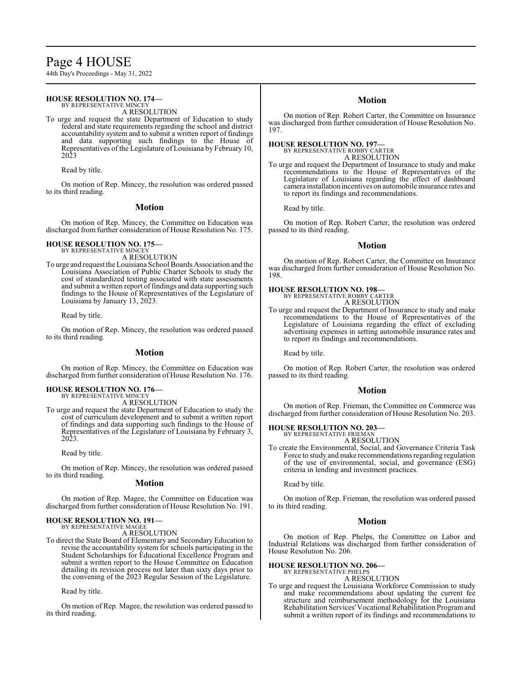# Page 4 HOUSE

44th Day's Proceedings - May 31, 2022

## **HOUSE RESOLUTION NO. 174—** BY REPRESENTATIVE MINCEY

A RESOLUTION

To urge and request the state Department of Education to study federal and state requirements regarding the school and district accountability system and to submit a written report of findings and data supporting such findings to the House of Representatives of the Legislature of Louisiana by February 10, 2023

Read by title.

On motion of Rep. Mincey, the resolution was ordered passed to its third reading.

# **Motion**

On motion of Rep. Mincey, the Committee on Education was discharged from further consideration of House Resolution No. 175.

# **HOUSE RESOLUTION NO. 175—**

BY REPRESENTATIVE MINCEY A RESOLUTION

To urge and request theLouisiana School Boards Association and the Louisiana Association of Public Charter Schools to study the cost of standardized testing associated with state assessments and submit a written report of findings and data supporting such findings to the House of Representatives of the Legislature of Louisiana by January 13, 2023.

Read by title.

On motion of Rep. Mincey, the resolution was ordered passed to its third reading.

# **Motion**

On motion of Rep. Mincey, the Committee on Education was discharged from further consideration of House Resolution No. 176.

# **HOUSE RESOLUTION NO. 176—** BY REPRESENTATIVE MINCEY

A RESOLUTION

To urge and request the state Department of Education to study the cost of curriculum development and to submit a written report of findings and data supporting such findings to the House of Representatives of the Legislature of Louisiana by February 3, 2023.

Read by title.

On motion of Rep. Mincey, the resolution was ordered passed to its third reading.

# **Motion**

On motion of Rep. Magee, the Committee on Education was discharged from further consideration of House Resolution No. 191.

# **HOUSE RESOLUTION NO. 191—**

BY REPRESENTATIVE MAGEE

A RESOLUTION

To direct the State Board of Elementary and Secondary Education to revise the accountability system for schools participating in the Student Scholarships for Educational Excellence Program and submit a written report to the House Committee on Education detailing its revision process not later than sixty days prior to the convening of the 2023 Regular Session of the Legislature.

Read by title.

On motion of Rep. Magee, the resolution was ordered passed to its third reading.

# **Motion**

On motion of Rep. Robert Carter, the Committee on Insurance was discharged from further consideration of House Resolution No. 197.

# **HOUSE RESOLUTION NO. 197—** BY REPRESENTATIVE ROBBY CARTER

A RESOLUTION

To urge and request the Department of Insurance to study and make recommendations to the House of Representatives of the Legislature of Louisiana regarding the effect of dashboard camera installation incentives on automobile insurance rates and to report its findings and recommendations.

Read by title.

On motion of Rep. Robert Carter, the resolution was ordered passed to its third reading.

# **Motion**

On motion of Rep. Robert Carter, the Committee on Insurance was discharged from further consideration of House Resolution No. 198.

# **HOUSE RESOLUTION NO. 198—** BY REPRESENTATIVE ROBBY CARTER

A RESOLUTION

To urge and request the Department of Insurance to study and make recommendations to the House of Representatives of the Legislature of Louisiana regarding the effect of excluding advertising expenses in setting automobile insurance rates and to report its findings and recommendations.

Read by title.

On motion of Rep. Robert Carter, the resolution was ordered passed to its third reading.

# **Motion**

On motion of Rep. Frieman, the Committee on Commerce was discharged from further consideration of House Resolution No. 203.

# **HOUSE RESOLUTION NO. 203—**

BY REPRESENTATIVE FRIEMAN A RESOLUTION

To create the Environmental, Social, and Governance Criteria Task Force to study and make recommendations regarding regulation of the use of environmental, social, and governance (ESG) criteria in lending and investment practices.

Read by title.

On motion of Rep. Frieman, the resolution was ordered passed to its third reading.

# **Motion**

On motion of Rep. Phelps, the Committee on Labor and Industrial Relations was discharged from further consideration of House Resolution No. 206.

# **HOUSE RESOLUTION NO. 206—** BY REPRESENTATIVE PHELPS

A RESOLUTION

To urge and request the Louisiana Workforce Commission to study and make recommendations about updating the current fee structure and reimbursement methodology for the Louisiana Rehabilitation Services'Vocational Rehabilitation Programand submit a written report of its findings and recommendations to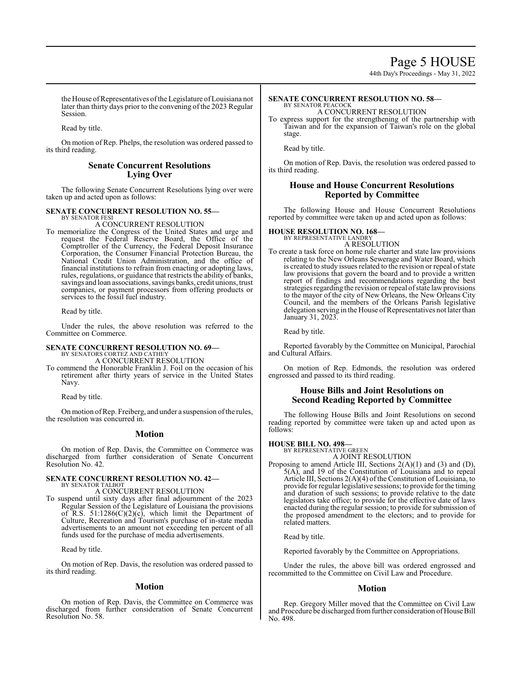44th Day's Proceedings - May 31, 2022

the House of Representatives of the Legislature of Louisiana not later than thirty days prior to the convening of the 2023 Regular Session.

Read by title.

On motion of Rep. Phelps, the resolution was ordered passed to its third reading.

# **Senate Concurrent Resolutions Lying Over**

The following Senate Concurrent Resolutions lying over were taken up and acted upon as follows:

## **SENATE CONCURRENT RESOLUTION NO. 55—** BY SENATOR FESI

A CONCURRENT RESOLUTION

To memorialize the Congress of the United States and urge and request the Federal Reserve Board, the Office of the Comptroller of the Currency, the Federal Deposit Insurance Corporation, the Consumer Financial Protection Bureau, the National Credit Union Administration, and the office of financial institutions to refrain from enacting or adopting laws, rules, regulations, or guidance that restricts the ability of banks, savings and loan associations, savings banks, credit unions, trust companies, or payment processors from offering products or services to the fossil fuel industry.

Read by title.

Under the rules, the above resolution was referred to the Committee on Commerce.

# **SENATE CONCURRENT RESOLUTION NO. 69—** BY SENATORS CORTEZ AND CATHEY

A CONCURRENT RESOLUTION

To commend the Honorable Franklin J. Foil on the occasion of his retirement after thirty years of service in the United States Navy.

Read by title.

On motion of Rep. Freiberg, and under a suspension of the rules, the resolution was concurred in.

# **Motion**

On motion of Rep. Davis, the Committee on Commerce was discharged from further consideration of Senate Concurrent Resolution No. 42.

## **SENATE CONCURRENT RESOLUTION NO. 42—** BY SENATOR TALBOT

A CONCURRENT RESOLUTION

To suspend until sixty days after final adjournment of the 2023 Regular Session of the Legislature of Louisiana the provisions of R.S.  $51:1286(C)(2)(c)$ , which limit the Department of Culture, Recreation and Tourism's purchase of in-state media advertisements to an amount not exceeding ten percent of all funds used for the purchase of media advertisements.

Read by title.

On motion of Rep. Davis, the resolution was ordered passed to its third reading.

# **Motion**

On motion of Rep. Davis, the Committee on Commerce was discharged from further consideration of Senate Concurrent Resolution No. 58.

## **SENATE CONCURRENT RESOLUTION NO. 58—** BY SENATOR PEACOCK

A CONCURRENT RESOLUTION

To express support for the strengthening of the partnership with Taiwan and for the expansion of Taiwan's role on the global stage.

Read by title.

On motion of Rep. Davis, the resolution was ordered passed to its third reading.

# **House and House Concurrent Resolutions Reported by Committee**

The following House and House Concurrent Resolutions reported by committee were taken up and acted upon as follows:

# **HOUSE RESOLUTION NO. 168—**

BY REPRESENTATIVE LANDRY A RESOLUTION

To create a task force on home rule charter and state law provisions relating to the New Orleans Sewerage and Water Board, which is created to study issues related to the revision or repeal of state law provisions that govern the board and to provide a written report of findings and recommendations regarding the best strategies regarding the revision or repeal of state law provisions to the mayor of the city of New Orleans, the New Orleans City Council, and the members of the Orleans Parish legislative delegation serving in the House of Representatives not later than January 31, 2023.

Read by title.

Reported favorably by the Committee on Municipal, Parochial and Cultural Affairs.

On motion of Rep. Edmonds, the resolution was ordered engrossed and passed to its third reading.

# **House Bills and Joint Resolutions on Second Reading Reported by Committee**

The following House Bills and Joint Resolutions on second reading reported by committee were taken up and acted upon as follows:

**HOUSE BILL NO. 498—** BY REPRESENTATIVE GREEN

A JOINT RESOLUTION

Proposing to amend Article III, Sections 2(A)(1) and (3) and (D), 5(A), and 19 of the Constitution of Louisiana and to repeal Article III, Sections 2(A)(4) of the Constitution of Louisiana, to provide for regular legislative sessions; to provide for the timing and duration of such sessions; to provide relative to the date legislators take office; to provide for the effective date of laws enacted during the regular session; to provide for submission of the proposed amendment to the electors; and to provide for related matters.

Read by title.

Reported favorably by the Committee on Appropriations.

Under the rules, the above bill was ordered engrossed and recommitted to the Committee on Civil Law and Procedure.

# **Motion**

Rep. Gregory Miller moved that the Committee on Civil Law and Procedure be discharged from further consideration of House Bill No. 498.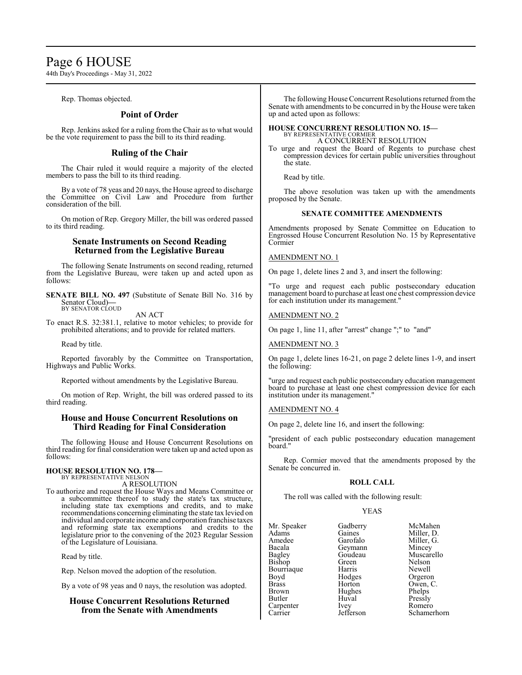# Page 6 HOUSE

44th Day's Proceedings - May 31, 2022

Rep. Thomas objected.

# **Point of Order**

Rep. Jenkins asked for a ruling from the Chair as to what would be the vote requirement to pass the bill to its third reading.

# **Ruling of the Chair**

The Chair ruled it would require a majority of the elected members to pass the bill to its third reading.

By a vote of 78 yeas and 20 nays, the House agreed to discharge the Committee on Civil Law and Procedure from further consideration of the bill.

On motion of Rep. Gregory Miller, the bill was ordered passed to its third reading.

# **Senate Instruments on Second Reading Returned from the Legislative Bureau**

The following Senate Instruments on second reading, returned from the Legislative Bureau, were taken up and acted upon as follows:

**SENATE BILL NO. 497** (Substitute of Senate Bill No. 316 by Senator Cloud)**—** BY SENATOR CLOUD

AN ACT

To enact R.S. 32:381.1, relative to motor vehicles; to provide for prohibited alterations; and to provide for related matters.

Read by title.

Reported favorably by the Committee on Transportation, Highways and Public Works.

Reported without amendments by the Legislative Bureau.

On motion of Rep. Wright, the bill was ordered passed to its third reading.

# **House and House Concurrent Resolutions on Third Reading for Final Consideration**

The following House and House Concurrent Resolutions on third reading for final consideration were taken up and acted upon as follows:

# **HOUSE RESOLUTION NO. 178—** BY REPRESENTATIVE NELSON

A RESOLUTION

To authorize and request the House Ways and Means Committee or a subcommittee thereof to study the state's tax structure, including state tax exemptions and credits, and to make recommendations concerning eliminating the state tax levied on individual and corporate income and corporation franchise taxes and reforming state tax exemptions and credits to the and reforming state tax exemptions legislature prior to the convening of the 2023 Regular Session of the Legislature of Louisiana.

Read by title.

Rep. Nelson moved the adoption of the resolution.

By a vote of 98 yeas and 0 nays, the resolution was adopted.

# **House Concurrent Resolutions Returned from the Senate with Amendments**

The following House Concurrent Resolutions returned from the Senate with amendments to be concurred in by the House were taken up and acted upon as follows:

## **HOUSE CONCURRENT RESOLUTION NO. 15—** BY REPRESENTATIVE CORMIER A CONCURRENT RESOLUTION

To urge and request the Board of Regents to purchase chest compression devices for certain public universities throughout the state.

Read by title.

The above resolution was taken up with the amendments proposed by the Senate.

# **SENATE COMMITTEE AMENDMENTS**

Amendments proposed by Senate Committee on Education to Engrossed House Concurrent Resolution No. 15 by Representative Cormier

# AMENDMENT NO. 1

On page 1, delete lines 2 and 3, and insert the following:

"To urge and request each public postsecondary education management board to purchase at least one chest compression device for each institution under its management."

# AMENDMENT NO. 2

On page 1, line 11, after "arrest" change ";" to "and"

# AMENDMENT NO. 3

On page 1, delete lines 16-21, on page 2 delete lines 1-9, and insert the following:

"urge and request each public postsecondary education management board to purchase at least one chest compression device for each institution under its management."

# AMENDMENT NO. 4

On page 2, delete line 16, and insert the following:

"president of each public postsecondary education management board."

Rep. Cormier moved that the amendments proposed by the Senate be concurred in.

# **ROLL CALL**

The roll was called with the following result:

# YEAS

| Mr. Speaker    | Gadl     |
|----------------|----------|
| Adams          | Gain     |
| Amedee         | Garo     |
| Bacala         | Geyr     |
| Bagley         | Gou      |
| Bishop         | Gree     |
| Bourriaque     | Harr     |
| Boyd           | Hod      |
| Brass          | Hort     |
| Brown          | Hugl     |
| Butler         | Huva     |
| Carpenter      | Ivey     |
| $^\sim$ orriar | $I0$ ffa |

berry McMahen es Miller, D.<br>
ofalo Miller, G. betalo Miller, G.<br>
mann Mincey mann Mincey<br>deau Muscar deau Muscarello<br>
m Nelson en Nelson<br>is Newell Newell ges Orgeron<br>Fon Owen France Company C.<br>
References<br>
References<br>
Phelps hes Phelps<br>al Pressly Pressly Ivey Romero<br>Jefferson Schamer Schamerhorn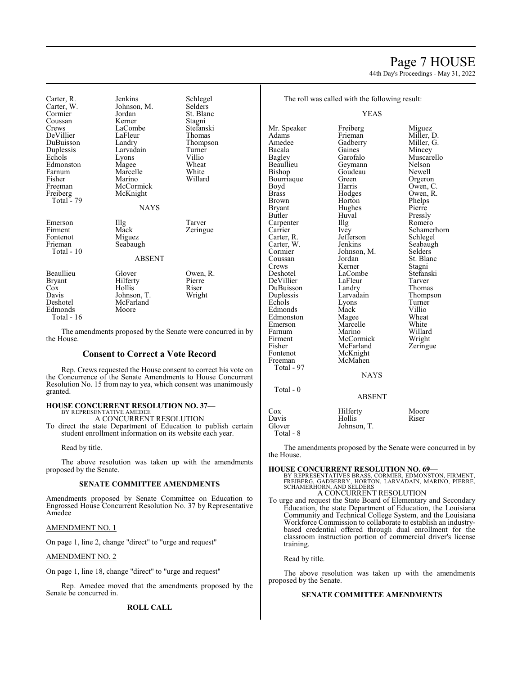# Page 7 HOUSE

44th Day's Proceedings - May 31, 2022

Carter, R. Jenkins Schlegel<br>Carter. W. Johnson, M. Selders Carter, W. Johnson, M. Cormier Jordan Coussan Kerner Stagni<br>Crews LaCombe Stefanski DeVillier DuBuisson Landry Thompson<br>
Duplessis Larvadain Turner Duplessis Larvadain Turner Edmonston Magee Wheat<br>Farnum Marcelle White Farnum Marcelle White<br>
Fisher Marino Willard Fisher Marino<br>Freeman McCorr Freiberg McKnight Total - 79 Emerson Illg Tarver<br>
Firment Mack Zering Fontenot Total - 10

Jordan St. Blanc<br>Kerner Stagni LaCombe<br>LaFleur Stefansk<br>Thomas Lyons Villio<br>
Magee Wheat McCormick<br>McKnight Mack Zeringue<br>Miguez

## NAYS

| Frieman<br>Total - 10                                                       | Seabaugh                                                          |                                       |
|-----------------------------------------------------------------------------|-------------------------------------------------------------------|---------------------------------------|
|                                                                             | <b>ABSENT</b>                                                     |                                       |
| Beaullieu<br>Bryant<br>$\cos$<br>Davis<br>Deshotel<br>Edmonds<br>Total - 16 | Glover<br>Hilferty<br>Hollis<br>Johnson, T.<br>McFarland<br>Moore | Owen, R.<br>Pierre<br>Riser<br>Wright |

The amendments proposed by the Senate were concurred in by the House.

# **Consent to Correct a Vote Record**

Rep. Crews requested the House consent to correct his vote on the Concurrence of the Senate Amendments to House Concurrent Resolution No. 15 from nay to yea, which consent was unanimously granted.

# **HOUSE CONCURRENT RESOLUTION NO. 37—** BY REPRESENTATIVE AMEDEE

A CONCURRENT RESOLUTION

To direct the state Department of Education to publish certain student enrollment information on its website each year.

Read by title.

The above resolution was taken up with the amendments proposed by the Senate.

# **SENATE COMMITTEE AMENDMENTS**

Amendments proposed by Senate Committee on Education to Engrossed House Concurrent Resolution No. 37 by Representative Amedee

# AMENDMENT NO. 1

On page 1, line 2, change "direct" to "urge and request"

# AMENDMENT NO. 2

On page 1, line 18, change "direct" to "urge and request"

Rep. Amedee moved that the amendments proposed by the Senate be concurred in.

**ROLL CALL**

YEAS

Mr. Speaker Freiberg Miguez<br>Adams Frieman Miller. I Adams Frieman Miller, D.<br>Amedee Gadberry Miller, G. Amedee Gadberry Miller, G.<br>Bacala Gaines Mincey Bacala Gaines Mincey Bagley Garofalo Muscarello Beaullieu Geymann Nelson<br>Bishop Goudeau Newell Bourriaque Green<br>Boyd Harris Boyd Harris Owen, C.<br>Brass Hodges Owen, R. Brass Brass Hodges Owen, R.<br>Brown Horton Phelps Brown Horton Phelps<br>Bryant Hughes Pierre Bryant Hughes Pierre<br>Butler Huval Pressl Carpenter IIIg<br>Carrier Ivey Carrier Ivey Schamerhorn<br>Carter, R. Jefferson Schlegel Carter, W. Jenkins Seabaughter, Seabaughter, Seabaughter, Seabaughter, Seabaughter, Seabaughter, Seabaughter, Seabaughter, Seabaughter, Seabaughter, Seabaughter, Seabaughter, Seabaughter, Seabaughter, Seabaughter, Seabaugh Cormier Johnson, M.<br>Coussan Jordan Coussan Jordan St. Blanc<br>Crews Kerner Stagni Crews Kerner Stagni Deshotel LaCombe Stefanski<br>
DeVillier LaFleur Tarver DeVillier LaFleur Tarver DuBuisson Landry<br>
Duplessis Larvadain Duplessis Larvadain Thompson<br>
Echols Lyons Turner Edmonds Mack Villio<br>
Edmonston Magee Wheat Edmonston Magee Wheat<br>Emerson Marcelle White Emerson Marcelle<br>Farnum Marino Farnum Marino Willard<br>Firment McCormick Wright Firment McCormick Wright<br>
Fisher McFarland Zeringue Fisher McFarland<br>Fontenot McKnight McKnight<br>McMahen Freeman Total - 97 Total - 0

Goudeau Newell<br>Green Orgeron Huval Pressly<br>
Illg Romero Jefferson Schlegel<br>Jenkins Seabaugh Extension Lyons Turner<br>
Mack Villio

NAYS

# ABSENT

|                                     | . . <i>.</i>                      |                |
|-------------------------------------|-----------------------------------|----------------|
| Cox<br>Davis<br>Glover<br>Total - 8 | Hilferty<br>Hollis<br>Johnson, T. | Moore<br>Riser |
|                                     |                                   |                |

The amendments proposed by the Senate were concurred in by the House.

# **HOUSE CONCURRENT RESOLUTION NO. 69—**

BY REPRESENTATIVES BRASS, CORMIER, EDMONSTON, FIRMENT,<br>FREIBERG, GADBERRY, HORTON, LARVADAIN, MARINO, PIERRE,<br>SCHAMERHORN, AND SELDERS<br>A CONCURRENT RESOLUTION<br>A CONCURRENT RESOLUTION

To urge and request the State Board of Elementary and Secondary Education, the state Department of Education, the Louisiana Community and Technical College System, and the Louisiana Workforce Commission to collaborate to establish an industrybased credential offered through dual enrollment for the classroom instruction portion of commercial driver's license training.

Read by title.

The above resolution was taken up with the amendments proposed by the Senate.

# **SENATE COMMITTEE AMENDMENTS**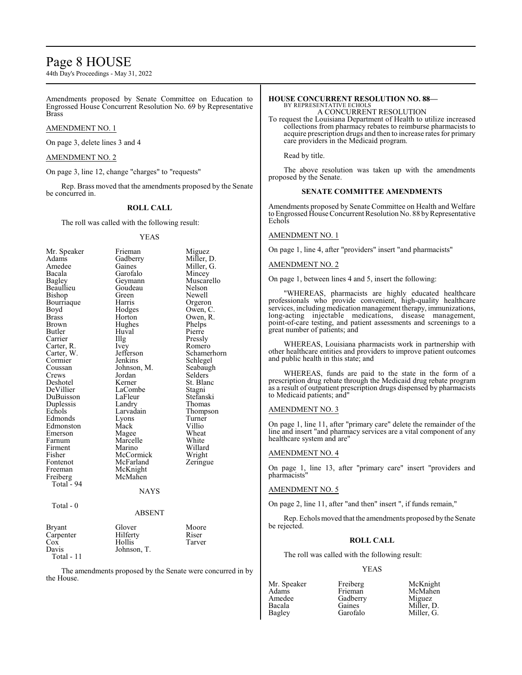# Page 8 HOUSE

44th Day's Proceedings - May 31, 2022

Amendments proposed by Senate Committee on Education to Engrossed House Concurrent Resolution No. 69 by Representative Brass

# AMENDMENT NO. 1

On page 3, delete lines 3 and 4

# AMENDMENT NO. 2

On page 3, line 12, change "charges" to "requests"

Rep. Brass moved that the amendments proposed by the Senate be concurred in.

# **ROLL CALL**

The roll was called with the following result:

# YEAS

| Mr. Speaker   | Frieman       | Miguez      |
|---------------|---------------|-------------|
| Adams         | Gadberry      | Miller, D.  |
| Amedee        | Gaines        | Miller, G.  |
| Bacala        | Garofalo      | Mincey      |
| <b>Bagley</b> | Geymann       | Muscarello  |
| Beaullieu     | Goudeau       | Nelson      |
| Bishop        | Green         | Newell      |
| Bourriaque    | Harris        | Orgeron     |
| Boyd          | Hodges        | Owen, C.    |
| <b>Brass</b>  | Horton        | Owen, R.    |
| Brown         | Hughes        | Phelps      |
| Butler        | Huval         | Pierre      |
| Carrier       | Illg          | Pressly     |
| Carter, R.    | <i>lvey</i>   | Romero      |
| Carter, W.    | Jefferson     | Schamerhorn |
| Cormier       | Jenkins       | Schlegel    |
| Coussan       | Johnson, M.   | Seabaugh    |
| Crews         | Jordan        | Selders     |
| Deshotel      | Kerner        | St. Blanc   |
| DeVillier     | LaCombe       | Stagni      |
| DuBuisson     | LaFleur       | Stefanski   |
| Duplessis     | Landry        | Thomas      |
| Echols        | Larvadain     | Thompson    |
| Edmonds       | Lyons         | Turner      |
| Edmonston     | Mack          | Villio      |
| Emerson       | Magee         | Wheat       |
| Farnum        | Marcelle      | White       |
| Firment       | Marino        | Willard     |
| Fisher        | McCormick     | Wright      |
| Fontenot      | McFarland     | Zeringue    |
| Freeman       | McKnight      |             |
| Freiberg      | McMahen       |             |
| Total - 94    |               |             |
|               | <b>NAYS</b>   |             |
| Total - 0     |               |             |
|               | <b>ABSENT</b> |             |
| <b>Bryant</b> | Glover        | Moore       |
| Carpenter     | Hilferty      | Riser       |
| $\cos$        | Hollis        | Tarver      |
| Davis         | Johnson, T.   |             |
| Total - 11    |               |             |

The amendments proposed by the Senate were concurred in by the House.

# **HOUSE CONCURRENT RESOLUTION NO. 88—**

BY REPRESENTATIVE ECHOLS A CONCURRENT RESOLUTION

To request the Louisiana Department of Health to utilize increased collections from pharmacy rebates to reimburse pharmacists to acquire prescription drugs and then to increase rates for primary care providers in the Medicaid program.

Read by title.

The above resolution was taken up with the amendments proposed by the Senate.

# **SENATE COMMITTEE AMENDMENTS**

Amendments proposed by Senate Committee on Health and Welfare to Engrossed House Concurrent Resolution No. 88 byRepresentative Echols

# AMENDMENT NO. 1

On page 1, line 4, after "providers" insert "and pharmacists"

# AMENDMENT NO. 2

On page 1, between lines 4 and 5, insert the following:

"WHEREAS, pharmacists are highly educated healthcare professionals who provide convenient, high-quality healthcare services, including medication management therapy, immunizations, long-acting injectable medications, disease management, point-of-care testing, and patient assessments and screenings to a great number of patients; and

WHEREAS, Louisiana pharmacists work in partnership with other healthcare entities and providers to improve patient outcomes and public health in this state; and

WHEREAS, funds are paid to the state in the form of a prescription drug rebate through the Medicaid drug rebate program as a result of outpatient prescription drugs dispensed by pharmacists to Medicaid patients; and"

## AMENDMENT NO. 3

On page 1, line 11, after "primary care" delete the remainder of the line and insert "and pharmacy services are a vital component of any healthcare system and are"

# AMENDMENT NO. 4

On page 1, line 13, after "primary care" insert "providers and pharmacists"

# AMENDMENT NO. 5

On page 2, line 11, after "and then" insert ", if funds remain,"

Rep. Echols moved that the amendments proposed bythe Senate be rejected.

# **ROLL CALL**

The roll was called with the following result:

Gadberry<br>Gaines

## YEAS

| <b>NII.</b> Speaker |  |
|---------------------|--|
| Adams               |  |
| Amedee              |  |
| Bacala              |  |
| Bagley              |  |

Mr. Speaker Freiberg McKnight<br>
Adams Frieman McMahen McMahen<br>Miguez Gaines Miller, D.<br>Garofalo Miller, G. Miller, G.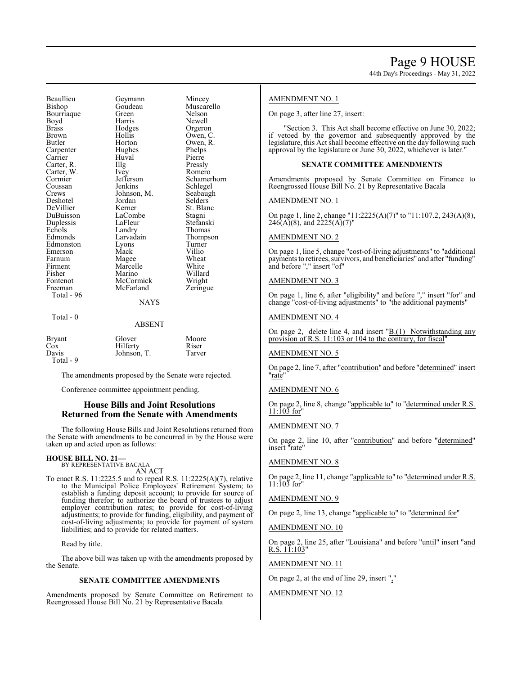Beaullieu Geymann Mincey Bourriaque Green<br>Boyd Harris Boyd Harris Newell<br>Brass Hodges Orgeror Brass Hodges Orgeron Butler Horton Owen, R.<br>
Carpenter Hughes Phelps Carpenter Hughes Phelps<br>
Carrier Huval Pierre Carrier Huval Pierre<br>
Carter, R. Illg Pressly Carter, R. Illg Pressly<br>Carter, W. Ivey Romero Carter, W. Ivey<br>Cormier Jefferson Coussan Jenkins Schlegel<br>Crews Johnson, M. Seabaugh Deshotel Jordan<br>DeVillier Kerner DuBuisson LaCombe Stagni<br>
Duplessis LaFleur Stefanski Duplessis LaFleu<br>Echols Landry Echols Landry Thomas<br>
Edmonds Larvadain Thomas Edmonston Lyons Turner<br>
Emerson Mack Villio Emerson Mack Villio<br>Farnum Magee Wheat Farnum Magee Wheat<br>Firment Marcelle White Firment Marcelle<br>Fisher Marino Fisher Marino Willard Fontenot McCormick Wright<br>
Freeman McFarland Zeringue Total - 96 Total - 0

Johnson, M. Seabaug<br>Jordan Selders

Goudeau Muscarello<br>Green Nelson Owen, C. Cormier Jefferson Schamerhorn<br>
Coussan Jenkins Schlegel Kerner St. Blanc<br>LaCombe Stagni Larvadain Thompson<br>Lyons Turner

# **NAYS**

# ABSENT

| <b>Bryant</b> | Glover      | Moore  |
|---------------|-------------|--------|
| $\cos$        | Hilferty    | Riser  |
| Davis         | Johnson, T. | Tarver |
| Total - 9     |             |        |

McFarland

The amendments proposed by the Senate were rejected.

Conference committee appointment pending.

# **House Bills and Joint Resolutions Returned from the Senate with Amendments**

The following House Bills and Joint Resolutions returned from the Senate with amendments to be concurred in by the House were taken up and acted upon as follows:

## **HOUSE BILL NO. 21—** BY REPRESENTATIVE BACALA

AN ACT

To enact R.S. 11:2225.5 and to repeal R.S. 11:2225(A)(7), relative to the Municipal Police Employees' Retirement System; to establish a funding deposit account; to provide for source of funding therefor; to authorize the board of trustees to adjust employer contribution rates; to provide for cost-of-living adjustments; to provide for funding, eligibility, and payment of cost-of-living adjustments; to provide for payment of system liabilities; and to provide for related matters.

Read by title.

The above bill was taken up with the amendments proposed by the Senate.

# **SENATE COMMITTEE AMENDMENTS**

Amendments proposed by Senate Committee on Retirement to Reengrossed House Bill No. 21 by Representative Bacala

# AMENDMENT NO. 1

On page 3, after line 27, insert:

"Section 3. This Act shall become effective on June 30, 2022; if vetoed by the governor and subsequently approved by the legislature, this Act shall become effective on the day following such approval by the legislature or June 30, 2022, whichever is later."

# **SENATE COMMITTEE AMENDMENTS**

Amendments proposed by Senate Committee on Finance to Reengrossed House Bill No. 21 by Representative Bacala

# AMENDMENT NO. 1

On page 1, line 2, change "11:2225(A)(7)" to "11:107.2, 243(A)(8),  $246(A)(8)$ , and  $2225(A)(7)$ "

# AMENDMENT NO. 2

On page 1, line 5, change "cost-of-living adjustments" to "additional payments to retirees, survivors, and beneficiaries" and after "funding" and before "," insert "of"

# AMENDMENT NO. 3

On page 1, line 6, after "eligibility" and before "," insert "for" and change "cost-of-living adjustments" to "the additional payments"

# AMENDMENT NO. 4

On page 2, delete line 4, and insert  $"B(1)$  Notwithstanding any provision of R.S. 11:103 or 104 to the contrary, for fiscal"

# AMENDMENT NO. 5

On page 2, line 7, after "contribution" and before "determined" insert "rate"

# AMENDMENT NO. 6

On page 2, line 8, change "applicable to" to "determined under R.S.  $11:103$  for"

# AMENDMENT NO. 7

On page 2, line 10, after "contribution" and before "determined" insert "rate"

# AMENDMENT NO. 8

On page 2, line 11, change "applicable to" to "determined under R.S.  $11:103$  for"

## AMENDMENT NO. 9

On page 2, line 13, change "applicable to" to "determined for"

# AMENDMENT NO. 10

On page 2, line 25, after "Louisiana" and before "until" insert "and R.S. 11:103"

# AMENDMENT NO. 11

On page 2, at the end of line 29, insert ","

## AMENDMENT NO. 12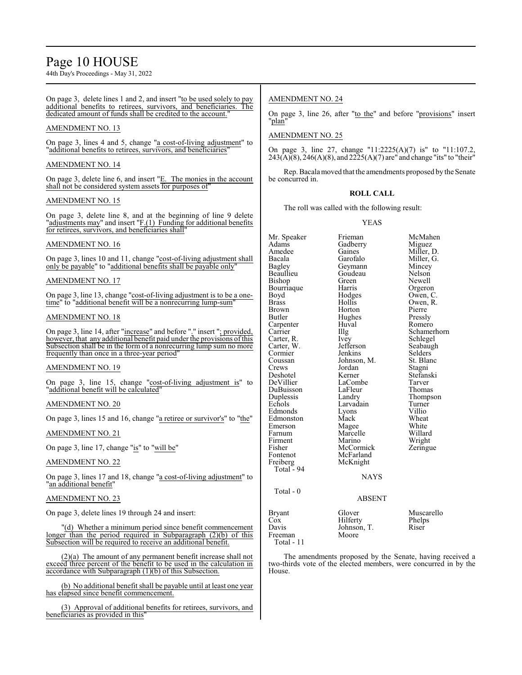# Page 10 HOUSE

44th Day's Proceedings - May 31, 2022

On page 3, delete lines 1 and 2, and insert "to be used solely to pay additional benefits to retirees, survivors, and beneficiaries. The dedicated amount of funds shall be credited to the account."

# AMENDMENT NO. 13

On page 3, lines 4 and 5, change "a cost-of-living adjustment" to "additional benefits to retirees, survivors, and beneficiaries"

# AMENDMENT NO. 14

On page 3, delete line 6, and insert "E. The monies in the account shall not be considered system assets for purposes of

# AMENDMENT NO. 15

On page 3, delete line 8, and at the beginning of line 9 delete "adjustments may" and insert "F.(1) Funding for additional benefits for retirees, survivors, and beneficiaries shall"

# AMENDMENT NO. 16

On page 3, lines 10 and 11, change "cost-of-living adjustment shall only be payable" to "additional benefits shall be payable only"

# AMENDMENT NO. 17

On page 3, line 13, change "cost-of-living adjustment is to be a onetime" to "additional benefit will be a nonrecurring lump-sum"

# AMENDMENT NO. 18

On page 3, line 14, after "increase" and before "." insert "; provided, however, that any additional benefit paid under the provisions ofthis Subsection shall be in the form of a nonrecurring lump sum no more frequently than once in a three-year period"

# AMENDMENT NO. 19

On page 3, line 15, change "cost-of-living adjustment is" to "additional benefit will be calculated"

# AMENDMENT NO. 20

On page 3, lines 15 and 16, change "a retiree or survivor's" to "the"

# AMENDMENT NO. 21

On page 3, line 17, change "is" to "will be"

# AMENDMENT NO. 22

On page 3, lines 17 and 18, change "a cost-of-living adjustment" to "an additional benefit"

# AMENDMENT NO. 23

On page 3, delete lines 19 through 24 and insert:

"(d) Whether a minimum period since benefit commencement longer than the period required in Subparagraph (2)(b) of this Subsection will be required to receive an additional benefit.

(2)(a) The amount of any permanent benefit increase shall not exceed three percent of the benefit to be used in the calculation in accordance with Subparagraph (1)(b) of this Subsection.

(b) No additional benefit shall be payable until at least one year has elapsed since benefit commencement.

(3) Approval of additional benefits for retirees, survivors, and beneficiaries as provided in this'

# AMENDMENT NO. 24

On page 3, line 26, after "to the" and before "provisions" insert "plan"

# AMENDMENT NO. 25

On page 3, line 27, change "11:2225(A)(7) is" to "11:107.2,  $243(A)\overline{(8)}$ ,  $246(A)(8)$ , and  $22\overline{2}5(A)(7)$  are" and change "its" to "their"

Rep. Bacala moved that the amendments proposed by the Senate be concurred in.

# **ROLL CALL**

The roll was called with the following result:

YEAS

Mr. Speaker Frieman McMahen<br>Adams Gadberry Miguez Adams Gadberry<br>Amedee Gaines Amedee Gaines Miller, D.<br>Bacala Garofalo Miller, G. Bacala Garofalo Miller, G. Beaullieu Goudeau Nelson<br>Bishop Green Newell Bishop Green Newell<br>Bourriaque Harris Orgeron Bourriaque Harris<br>Boyd Hodges Boyd Hodges Owen, C. Brass Hollis Owen, R. Brown Horton Pierre<br>Butler Hughes Pressly Carpenter Huv<br>Carrier Hllg Carter, R. Ivey Schlegel<br>Carter, W. Jefferson Seabaugh Carter, W. Jefferson Seabaug<br>Cormier Jenkins Selders Cormier Jenkins Selders<br>Coussan Johnson M St Blanc Johnson, M.<br>Jordan Crews Jordan Stagni Deshotel Kerner Stefanski DuBuisson LaFleur<br>Duplessis Landry Duplessis Landry Thompson<br>
Echols Larvadain Turner Edmonds Lyons Villio Edmonston Mack Wheat<br>Emerson Magee White Emerson Magee White<br>
Farnum Marcelle Willard Firment Marino Wright<br>
Fisher McCormick Zeringue Fisher McCormick<br>Fontenot McFarland McFarland<br>McKnight Freiberg McKnight Total - 94 Total - 0

Geymann Mincey<br>Goudeau Nelson Hughes Pressly<br>Huval Romero Schamerhorn<br>Schlegel LaCombe Tarver<br>
LaFleur Thomas Larvadain Turner<br>Lyons Villio Marcelle Willard<br>
Marino Wright

NAYS

# ABSENT

| Glover      | Muscarello |
|-------------|------------|
| Hilferty    | Phelps     |
| Johnson, T. | Riser      |
| Moore       |            |
|             |            |
|             |            |

The amendments proposed by the Senate, having received a two-thirds vote of the elected members, were concurred in by the House.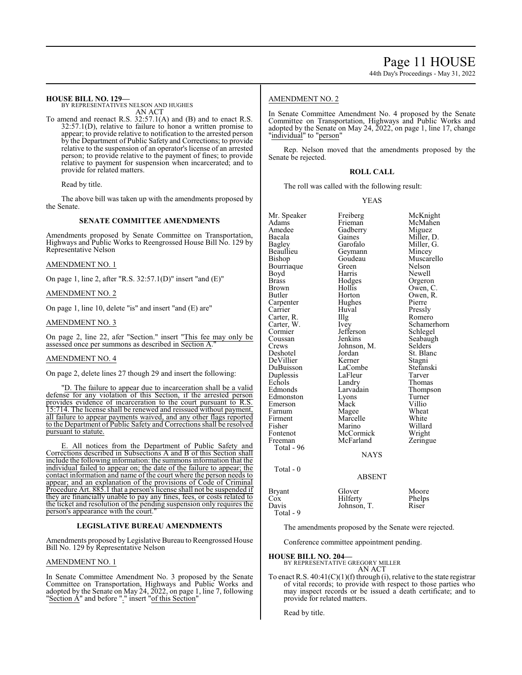44th Day's Proceedings - May 31, 2022

# **HOUSE BILL NO. 129—**

BY REPRESENTATIVES NELSON AND HUGHES AN ACT

To amend and reenact R.S. 32:57.1(A) and (B) and to enact R.S. 32:57.1(D), relative to failure to honor a written promise to appear; to provide relative to notification to the arrested person by the Department of Public Safety and Corrections; to provide relative to the suspension of an operator's license of an arrested person; to provide relative to the payment of fines; to provide relative to payment for suspension when incarcerated; and to provide for related matters.

Read by title.

The above bill was taken up with the amendments proposed by the Senate.

# **SENATE COMMITTEE AMENDMENTS**

Amendments proposed by Senate Committee on Transportation, Highways and Public Works to Reengrossed House Bill No. 129 by Representative Nelson

AMENDMENT NO. 1

On page 1, line 2, after "R.S. 32:57.1(D)" insert "and (E)"

AMENDMENT NO. 2

On page 1, line 10, delete "is" and insert "and (E) are"

AMENDMENT NO. 3

On page 2, line 22, afer "Section." insert "This fee may only be assessed once per summons as described in Section A.

# AMENDMENT NO. 4

On page 2, delete lines 27 though 29 and insert the following:

"D. The failure to appear due to incarceration shall be a valid defense for any violation of this Section, if the arrested person provides evidence of incarceration to the court pursuant to R.S. 15:714. The license shall be renewed and reissued without payment, all failure to appear payments waived, and any other flags reported to the Department of Public Safety and Corrections shall be resolved pursuant to statute.

E. All notices from the Department of Public Safety and Corrections described in Subsections A and B of this Section shall include the following information: the summons information that the individual failed to appear on; the date of the failure to appear; the contact information and name of the court where the person needs to appear; and an explanation of the provisions of Code of Criminal Procedure Art. 885.1 that a person's license shall not be suspended if they are financially unable to pay any fines, fees, or costs related to the ticket and resolution of the pending suspension only requires the person's appearance with the court.

# **LEGISLATIVE BUREAU AMENDMENTS**

Amendments proposed by Legislative Bureau to Reengrossed House Bill No. 129 by Representative Nelson

# AMENDMENT NO. 1

In Senate Committee Amendment No. 3 proposed by the Senate Committee on Transportation, Highways and Public Works and adopted by the Senate on May 24, 2022, on page 1, line 7, following "Section  $\AA$ " and before "." insert "of this Section"

# AMENDMENT NO. 2

In Senate Committee Amendment No. 4 proposed by the Senate Committee on Transportation, Highways and Public Works and adopted by the Senate on May 24, 2022, on page 1, line 17, change 'individual" to "person"

Rep. Nelson moved that the amendments proposed by the Senate be rejected.

# **ROLL CALL**

The roll was called with the following result:

# YEAS

| Mr. Speaker   | Freiberg      | McKnight    |
|---------------|---------------|-------------|
| Adams         | Frieman       | McMahen     |
| Amedee        | Gadberry      | Miguez      |
| Bacala        | Gaines        | Miller, D.  |
| Bagley        | Garofalo      | Miller, G.  |
| Beaullieu     | Geymann       | Mincey      |
| Bishop        | Goudeau       | Muscarello  |
| Bourriaque    | Green         | Nelson      |
| Boyd          | Harris        | Newell      |
| <b>Brass</b>  | Hodges        | Orgeron     |
| Brown         | Hollis        | Owen, C.    |
| Butler        | Horton        | Owen, R.    |
| Carpenter     | Hughes        | Pierre      |
| Carrier       | Huval         | Pressly     |
| Carter, R.    | Illg          | Romero      |
| Carter, W.    | Ivey          | Schamerhorn |
| Cormier       | Jefferson     | Schlegel    |
| Coussan       | Jenkins       | Seabaugh    |
| Crews         | Johnson, M.   | Selders     |
| Deshotel      | Jordan        | St. Blanc   |
| DeVillier     | Kerner        | Stagni      |
| DuBuisson     | LaCombe       | Stefanski   |
| Duplessis     | LaFleur       | Tarver      |
| Echols        | Landry        | Thomas      |
| Edmonds       | Larvadain     | Thompson    |
| Edmonston     | Lyons         | Turner      |
| Emerson       | Mack          | Villio      |
| Farnum        | Magee         | Wheat       |
| Firment       | Marcelle      | White       |
| Fisher        | Marino        | Willard     |
| Fontenot      | McCormick     | Wright      |
| Freeman       | McFarland     | Zeringue    |
| Total - 96    |               |             |
|               | NAYS          |             |
|               |               |             |
| Total - 0     |               |             |
|               | <b>ABSENT</b> |             |
| <b>Bryant</b> | Glover        | Moore       |
| Cox           | Hilferty      | Phelps      |
| Davis         | Johnson, T.   | Riser       |
| Total - 9     |               |             |

The amendments proposed by the Senate were rejected.

Conference committee appointment pending.

# **HOUSE BILL NO. 204—**

BY REPRESENTATIVE GREGORY MILLER AN ACT

To enact R.S. 40:41(C)(1)(f) through (i), relative to the state registrar of vital records; to provide with respect to those parties who may inspect records or be issued a death certificate; and to provide for related matters.

Read by title.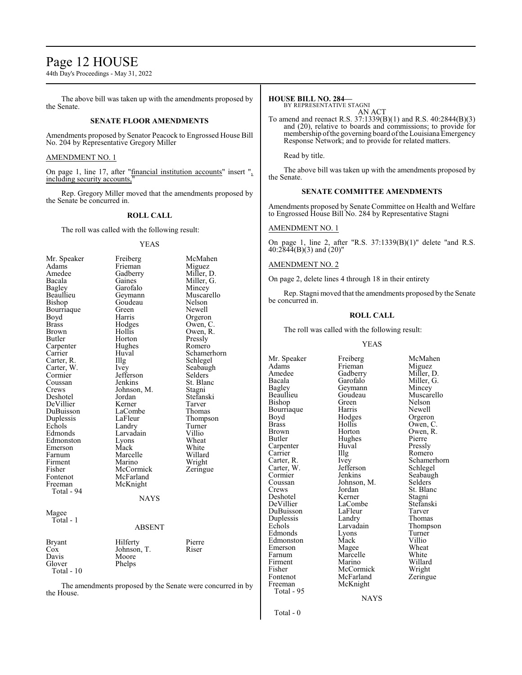# Page 12 HOUSE

44th Day's Proceedings - May 31, 2022

The above bill was taken up with the amendments proposed by the Senate.

# **SENATE FLOOR AMENDMENTS**

Amendments proposed by Senator Peacock to Engrossed House Bill No. 204 by Representative Gregory Miller

# AMENDMENT NO. 1

On page 1, line 17, after "financial institution accounts" insert ", including security accounts,"

Rep. Gregory Miller moved that the amendments proposed by the Senate be concurred in.

# **ROLL CALL**

The roll was called with the following result:

# YEAS

| Mr. Speaker | Freiberg      | McMahen     |
|-------------|---------------|-------------|
| Adams       | Frieman       | Miguez      |
| Amedee      | Gadberry      | Miller, D.  |
| Bacala      | Gaines        | Miller, G.  |
| Bagley      | Garofalo      | Mincey      |
| Beaullieu   | Geymann       | Muscarello  |
| Bishop      | Goudeau       | Nelson      |
| Bourriaque  | Green         | Newell      |
| Boyd        | Harris        | Orgeron     |
| Brass       | Hodges        | Owen, C.    |
| Brown       | Hollis        | Owen, R.    |
| Butler      | Horton        | Pressly     |
| Carpenter   | Hughes        | Romero      |
| Carrier     | Huval         | Schamerhorn |
| Carter, R.  | Illg          | Schlegel    |
| Carter, W.  | Ivey          | Seabaugh    |
| Cormier     | Jefferson     | Selders     |
| Coussan     | Jenkins       | St. Blanc   |
| Crews       | Johnson, M.   | Stagni      |
| Deshotel    | Jordan        | Stefanski   |
| DeVillier   | Kerner        | Tarver      |
| DuBuisson   | LaCombe       | Thomas      |
| Duplessis   | LaFleur       | Thompson    |
| Echols      | Landry        | Turner      |
| Edmonds     | Larvadain     | Villio      |
| Edmonston   | Lyons         | Wheat       |
| Emerson     | Mack          | White       |
| Farnum      | Marcelle      | Willard     |
| Firment     | Marino        | Wright      |
| Fisher      | McCormick     | Zeringue    |
| Fontenot    | McFarland     |             |
| Freeman     | McKnight      |             |
| Total - 94  |               |             |
|             | <b>NAYS</b>   |             |
| Magee       |               |             |
| Total - 1   |               |             |
|             | <b>ABSENT</b> |             |
|             |               |             |
| Bryant      | Hilferty      | Pierre      |
| Cox         | Johnson, T.   | Riser       |
| Davis       | Moore         |             |
| Glover      | Phelps        |             |
| Total - 10  |               |             |
|             |               |             |

The amendments proposed by the Senate were concurred in by the House.

# **HOUSE BILL NO. 284—**

BY REPRESENTATIVE STAGNI AN ACT

To amend and reenact R.S. 37:1339(B)(1) and R.S. 40:2844(B)(3) and (20), relative to boards and commissions; to provide for membership ofthe governing board ofthe Louisiana Emergency Response Network; and to provide for related matters.

Read by title.

The above bill was taken up with the amendments proposed by the Senate.

# **SENATE COMMITTEE AMENDMENTS**

Amendments proposed by Senate Committee on Health and Welfare to Engrossed House Bill No. 284 by Representative Stagni

# AMENDMENT NO. 1

On page 1, line 2, after "R.S. 37:1339(B)(1)" delete "and R.S. 40:2844(B)(3) and (20)"

# AMENDMENT NO. 2

On page 2, delete lines 4 through 18 in their entirety

Rep. Stagni moved that the amendments proposed by the Senate be concurred in.

# **ROLL CALL**

The roll was called with the following result:

# YEAS

Adams Frieman<br>Amedee Gadberry Amedee Gadberry Miller, D.<br>Bacala Garofalo Miller, G. Bacala Garofalo Miller, G.<br>Bagley Geymann Mincey Bagley Geymann<br>Beaullieu Goudeau Bishop Green Nelson<br>Bourriaque Harris Newell Bourriaque Harris<br>Boyd Hodges Boyd Hodges Orgeron<br>Brass Hollis Owen, C Brass Hollis Owen, C. Brown Horton Owen, R.<br>Butler Hughes Pierre Carpenter Huv<br>Carrier Hllg Carrier IIIg Romero<br>Carter, R. Ivey Schame Carter, W. Jefferson<br>Cormier Jenkins Cormier Jenkins Seabaugh<br>Coussan Johnson M. Selders Coussan Johnson, M.<br>Crews Jordan Deshotel Kerner Stagni<br>
DeVillier LaCombe Stefanski DuBuisson LaFleur Tarver Duplessis Landry<br>Echols Larvadain Edmonds Lyons Turner<br>Edmonston Mack Villio Edmonston Mack Villio<br>Emerson Magee Wheat Emerson Magee Wheat<br>
Farnum Marcelle White Firment Marino Willard<br>Fisher McCormick Wright Fisher McCormick Wright<br>
Fontenot McFarland Zeringue Fontenot McFarland<br>Freeman McKnight Total - 95

Hughes Pierre<br>Huval Pressly Jordan St. Blanc<br>Kerner Stagni LaCombe<br>LaFleur Stefans<br>Tarver Marcelle White<br>
Marino Willard McKnight

Mr. Speaker Freiberg McMahen Goudeau Muscarello<br>Green Nelson Ivey Schamerhorn<br>Jefferson Schlegel Larvadain Thompson<br>Lyons Turner

NAYS

Total - 0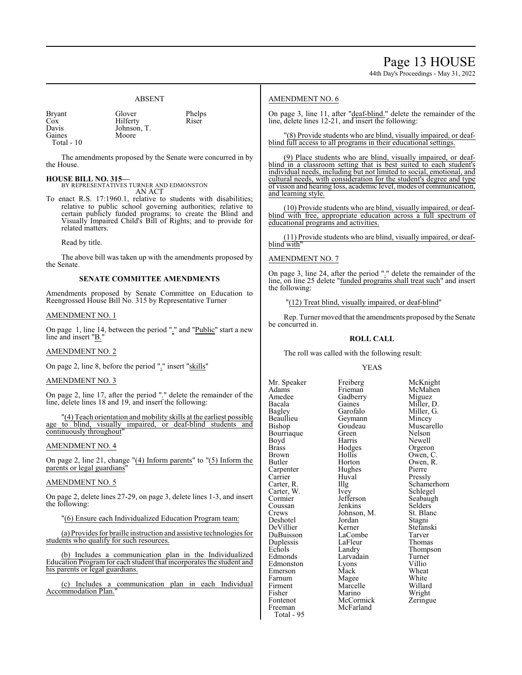# ABSENT

| <b>Bryant</b> | Glover      | Phelps |
|---------------|-------------|--------|
| Cox           | Hilferty    | Riser  |
| Davis         | Johnson, T. |        |
| Gaines        | Moore       |        |
| Total - 10    |             |        |

The amendments proposed by the Senate were concurred in by the House.

# **HOUSE BILL NO. 315—**

BY REPRESENTATIVES TURNER AND EDMONSTON AN ACT

To enact R.S. 17:1960.1, relative to students with disabilities; relative to public school governing authorities; relative to certain publicly funded programs; to create the Blind and Visually Impaired Child's Bill of Rights; and to provide for related matters.

Read by title.

The above bill was taken up with the amendments proposed by the Senate.

# **SENATE COMMITTEE AMENDMENTS**

Amendments proposed by Senate Committee on Education to Reengrossed House Bill No. 315 by Representative Turner

# AMENDMENT NO. 1

On page 1, line 14, between the period "." and "Public" start a new line and insert "B."

# AMENDMENT NO. 2

On page 2, line 8, before the period "." insert "skills"

# AMENDMENT NO. 3

On page 2, line 17, after the period "." delete the remainder of the line, delete lines 18 and 19, and insert the following:

"(4) Teach orientation and mobility skills at the earliest possible age to blind, visually impaired, or deaf-blind students and continuously throughout

# AMENDMENT NO. 4

On page 2, line 21, change "(4) Inform parents" to "(5) Inform the parents or legal guardians'

# AMENDMENT NO. 5

On page 2, delete lines 27-29, on page 3, delete lines 1-3, and insert the following:

"(6) Ensure each Individualized Education Program team:

(a) Provides for braille instruction and assistive technologies for students who qualify for such resources.

(b) Includes a communication plan in the Individualized Education Program for each student that incorporates the student and his parents or legal guardians.

(c) Includes a communication plan in each Individual Accommodation Plan."

# AMENDMENT NO. 6

On page 3, line 11, after "deaf-blind." delete the remainder of the line, delete lines 12-21, and insert the following:

(8) Provide students who are blind, visually impaired, or deafblind full access to all programs in their educational settings.

(9) Place students who are blind, visually impaired, or deafblind in a classroom setting that is best suited to each student's individual needs, including but not limited to social, emotional, and cultural needs, with consideration for the student's degree and type of vision and hearing loss, academic level, modes of communication, and learning style.

(10) Provide students who are blind, visually impaired, or deafblind with free, appropriate education across a full spectrum of educational programs and activities.

(11) Provide students who are blind, visually impaired, or deafblind with"

AMENDMENT NO. 7

On page 3, line 24, after the period "." delete the remainder of the line, on line 25 delete "funded programs shall treat such" and insert the following:

"(12) Treat blind, visually impaired, or deaf-blind"

Rep. Turner moved that the amendments proposed bythe Senate be concurred in.

# **ROLL CALL**

The roll was called with the following result:

# YEAS

Amedee Gadberry<br>Bacala Gaines Bacala Gaines Miller, D.<br>Bagley Garofalo Miller, G. Beaullieu Geymann<br>Bishop Goudeau Bourriaque Green<br>Boyd Harris Boyd Harris Newell<br>Brass Hodges Orgerol Brass Hodges Orgeron Brown Hollis Owen, C.<br>Butler Horton Owen, R. Carpenter Hughe<br>Carrier Huval Carrier Huval Pressly<br>Carter, R. Illg Schame Carter, W. Ivey<br>Cormier Jefferson Coussan Jenkins Selders<br>Crews Johnson, M. St. Blanc Deshotel Jordan<br>DeVillier Kerner DuBuisson LaCombe Tarver<br>
Duplessis LaFleur Thomas Duplessis LaFleur<br>Echols Landry Edmonston Lyons Villio Emerson Mack Wheat<br>
Farnum Magee White Farnum Magee White<br>
Firment Marcelle Willard Firment Marcelle Willard<br>Fisher Marino Wright Fisher Marino Wright<br>Fontenot McCormick Zeringue Fontenot McCormick<br>Freeman McFarland McFarland Total - 95

Mr. Speaker Freiberg McKnight<br>
Adams Frieman McMahen Adams Frieman McMahen<br>Amedee Gadberry Miguez Garofalo Miller, G.<br>Geymann Mincey Goudeau Muscarello<br>Green Nelson Horton Owen, R.<br>Hughes Pierre Illg Schamerhorn<br>Ivev Schlegel Jefferson Seabaugh<br>Jenkins Selders Johnson, M. St. Blanch<br>Jordan Stagni Kerner Stefanski<br>LaCombe Tarver Echols Landry Thompson<br>Edmonds Larvadain Turner Larvadain Turner<br>Lyons Villio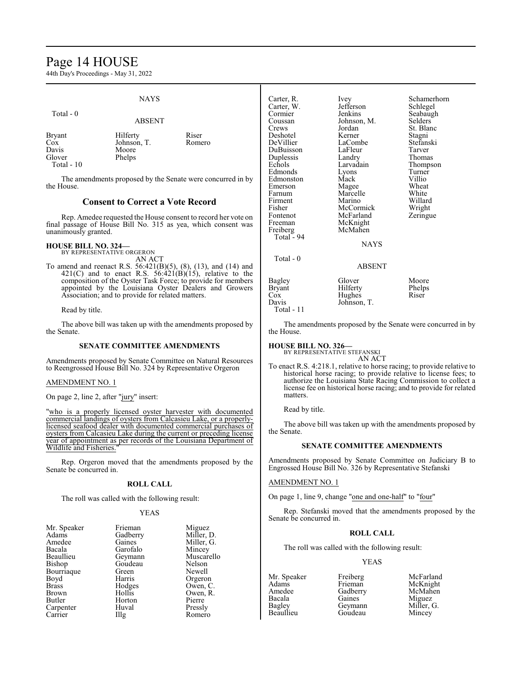# Page 14 HOUSE

44th Day's Proceedings - May 31, 2022

# NAYS

ABSENT

## Total - 0

| <b>Bryant</b><br>Cox<br>Davis<br>Glover | Hilferty<br>Johnson, T.<br>Moore<br>Phelps | Riser<br>Romero |
|-----------------------------------------|--------------------------------------------|-----------------|
| Total $-10$                             |                                            |                 |

The amendments proposed by the Senate were concurred in by the House.

# **Consent to Correct a Vote Record**

Rep. Amedee requested the House consent to record her vote on final passage of House Bill No. 315 as yea, which consent was unanimously granted.

# **HOUSE BILL NO. 324—** BY REPRESENTATIVE ORGERON

AN ACT

To amend and reenact R.S. 56:421(B)(5), (8), (13), and (14) and  $421(C)$  and to enact R.S.  $56:421(B)(15)$ , relative to the composition of the Oyster Task Force; to provide for members appointed by the Louisiana Oyster Dealers and Growers Association; and to provide for related matters.

# Read by title.

The above bill was taken up with the amendments proposed by the Senate.

## **SENATE COMMITTEE AMENDMENTS**

Amendments proposed by Senate Committee on Natural Resources to Reengrossed House Bill No. 324 by Representative Orgeron

## AMENDMENT NO. 1

On page 2, line 2, after "jury" insert:

"who is a properly licensed oyster harvester with documented commercial landings of oysters from Calcasieu Lake, or a properlylicensed seafood dealer with documented commercial purchases of oysters from Calcasieu Lake during the current or preceding license year of appointment as per records of the Louisiana Department of Wildlife and Fisheries."

Rep. Orgeron moved that the amendments proposed by the Senate be concurred in.

# **ROLL CALL**

The roll was called with the following result:

# YEAS

| Mr. Speaker   | Frieman           | Miguez     |
|---------------|-------------------|------------|
| Adams         | Gadberry          | Miller, D. |
| Amedee        | Gaines            | Miller, G. |
| Bacala        | Garofalo          | Mincey     |
| Beaullieu     | Geymann           | Muscarello |
| <b>Bishop</b> | Goudeau           | Nelson     |
| Bourriaque    | Green             | Newell     |
| Boyd          | Harris            | Orgeron    |
| <b>Brass</b>  | Hodges            | Owen, C.   |
| <b>Brown</b>  | Hollis            | Owen, R.   |
| Butler        | Horton            | Pierre     |
| Carpenter     | Huval             | Pressly    |
| Carrier       | $\prod_{i=1}^{n}$ | Romero     |

| Carter, R.<br>Carter, W.<br>Cormier<br>Coussan<br>Crews<br>Deshotel<br>DeVillier<br>DuBuisson<br>Duplessis<br>Echols<br>Edmonds<br>Edmonston<br>Emerson<br>Farnum<br>Firment<br>Fisher<br>Fontenot<br>Freeman<br>Freiberg<br>Total - 94<br>Total - 0 | Ivey<br>Jefferson<br>Jenkins<br>Johnson, M.<br>Jordan<br>Kerner<br>LaCombe<br>LaFleur<br>Landry<br>Larvadain<br>Lyons<br>Mack<br>Magee<br>Marcelle<br>Marino<br>McCormick<br>McFarland<br>McKnight<br>McMahen<br><b>NAYS</b> | Schamerhorn<br>Schlegel<br>Seabaugh<br>Selders<br>St. Blanc<br>Stagni<br>Stefanski<br>Tarver<br>Thomas<br>Thompson<br>Turner<br>Villio<br>Wheat<br>White<br>Willard<br>Wright<br>Zeringue |
|------------------------------------------------------------------------------------------------------------------------------------------------------------------------------------------------------------------------------------------------------|------------------------------------------------------------------------------------------------------------------------------------------------------------------------------------------------------------------------------|-------------------------------------------------------------------------------------------------------------------------------------------------------------------------------------------|
|                                                                                                                                                                                                                                                      | ABSENT                                                                                                                                                                                                                       |                                                                                                                                                                                           |
| Bagley<br><b>Bryant</b><br>$\cos$<br>Davis                                                                                                                                                                                                           | Glover<br>Hilferty<br>Hughes<br>Johnson, T.                                                                                                                                                                                  | Moore<br>Phelps<br>Riser                                                                                                                                                                  |

Total - 11

The amendments proposed by the Senate were concurred in by the House.

# **HOUSE BILL NO. 326—** BY REPRESENTATIVE STEFANSKI

AN ACT

To enact R.S. 4:218.1, relative to horse racing; to provide relative to historical horse racing; to provide relative to license fees; to authorize the Louisiana State Racing Commission to collect a license fee on historical horse racing; and to provide for related matters.

Read by title.

The above bill was taken up with the amendments proposed by the Senate.

# **SENATE COMMITTEE AMENDMENTS**

Amendments proposed by Senate Committee on Judiciary B to Engrossed House Bill No. 326 by Representative Stefanski

# AMENDMENT NO. 1

On page 1, line 9, change "one and one-half" to "four"

Rep. Stefanski moved that the amendments proposed by the Senate be concurred in.

# **ROLL CALL**

The roll was called with the following result:

# YEAS

Amedee Gadberry<br>Bacala Gaines

Mr. Speaker Freiberg McFarland Adams Frieman McKnight<br>Amedee Gadberry McMahen Bacala Gaines Miguez<br>Bagley Geymann Miller, 0 Bagley Geymann Miller, G. Mincey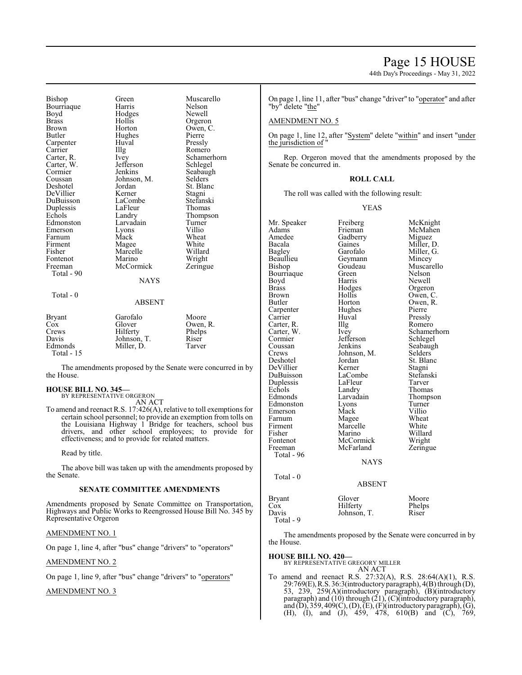44th Day's Proceedings - May 31, 2022

| Bishop<br>Bourriaque<br>Boyd<br>Brass<br>Brown<br>Butler<br>Carpenter<br>Carrier<br>Carter, R.<br>Carter, W.<br>Cormier<br>Coussan<br>Deshotel<br>DeVillier<br>DuBuisson<br>Duplessis<br>Echols<br>Edmonston<br>Emerson<br>Farnum<br>Firment<br>Fisher<br>Fontenot<br>Freeman<br>Total - 90 | Green<br>Harris<br>Hodges<br>Hollis<br>Horton<br>Hughes<br>Huval<br>Illg<br>Ivey<br>Jefferson<br>Jenkins<br>Johnson, M.<br>Jordan<br>Kerner<br>LaCombe<br>LaFleur<br>Landry<br>Larvadain<br>Lyons<br>Mack<br>Magee<br>Marcelle<br>Marino<br>McCormick<br><b>NAYS</b> | Muscarello<br>Nelson<br>Newell<br>Orgeron<br>Owen, C.<br>Pierre<br>Pressly<br>Romero<br>Schamerhorn<br>Schlegel<br>Seabaugh<br>Selders<br>St. Blanc<br>Stagni<br>Stefanski<br>Thomas<br>Thompson<br>Turner<br>Villio<br>Wheat<br>White<br>Willard<br>Wright<br>Zeringue |
|---------------------------------------------------------------------------------------------------------------------------------------------------------------------------------------------------------------------------------------------------------------------------------------------|----------------------------------------------------------------------------------------------------------------------------------------------------------------------------------------------------------------------------------------------------------------------|-------------------------------------------------------------------------------------------------------------------------------------------------------------------------------------------------------------------------------------------------------------------------|
| Total - 0                                                                                                                                                                                                                                                                                   | ABSENT                                                                                                                                                                                                                                                               |                                                                                                                                                                                                                                                                         |
| Bryant<br>Cox<br>Crews<br>Davis<br>Edmonds<br>Total - 15                                                                                                                                                                                                                                    | Garofalo<br>Glover<br>Hilferty<br>Johnson, T.<br>Miller, D.                                                                                                                                                                                                          | Moore<br>Owen, R.<br>Phelps<br>Riser<br>Tarver                                                                                                                                                                                                                          |

The amendments proposed by the Senate were concurred in by the House.

## **HOUSE BILL NO. 345—** BY REPRESENTATIVE ORGERON

AN ACT

To amend and reenact R.S. 17:426(A), relative to toll exemptions for certain school personnel; to provide an exemption from tolls on the Louisiana Highway 1 Bridge for teachers, school bus drivers, and other school employees; to provide for effectiveness; and to provide for related matters.

Read by title.

The above bill was taken up with the amendments proposed by the Senate.

# **SENATE COMMITTEE AMENDMENTS**

Amendments proposed by Senate Committee on Transportation, Highways and Public Works to Reengrossed House Bill No. 345 by Representative Orgeron

# AMENDMENT NO. 1

On page 1, line 4, after "bus" change "drivers" to "operators"

# AMENDMENT NO. 2

On page 1, line 9, after "bus" change "drivers" to "operators"

# AMENDMENT NO. 3

On page 1, line 11, after "bus" change "driver" to "operator" and after "by" delete "the"

# AMENDMENT NO. 5

On page 1, line 12, after "System" delete "within" and insert "under the jurisdiction of "

Rep. Orgeron moved that the amendments proposed by the Senate be concurred in.

# **ROLL CALL**

The roll was called with the following result:

## YEAS

| Mr. Speaker | Freiberg      | McKnight    |
|-------------|---------------|-------------|
| Adams       | Frieman       | McMahen     |
| Amedee      | Gadberry      | Miguez      |
| Bacala      | Gaines        | Miller, D.  |
| Bagley      | Garofalo      | Miller, G.  |
| Beaullieu   | Geymann       | Mincey      |
| Bishop      | Goudeau       | Muscarello  |
| Bourriaque  | Green         | Nelson      |
| Boyd        | Harris        | Newell      |
| Brass       | Hodges        | Orgeron     |
| Brown       | Hollis        | Owen, C.    |
| Butler      | Horton        | Owen, R.    |
| Carpenter   | Hughes        | Pierre      |
| Carrier     | Huval         | Pressly     |
| Carter, R.  | Illg          | Romero      |
| Carter, W.  | Ivey          | Schamerhorn |
| Cormier     | Jefferson     | Schlegel    |
| Coussan     | Jenkins       | Seabaugh    |
| Crews       | Johnson, M.   | Selders     |
| Deshotel    | Jordan        | St. Blanc   |
| DeVillier   | Kerner        | Stagnı      |
| DuBuisson   | LaCombe       | Stefanski   |
| Duplessis   | LaFleur       | Tarver      |
| Echols      | Landry        | Thomas      |
| Edmonds     | Larvadain     | Thompson    |
| Edmonston   | Lyons         | Turner      |
| Emerson     | Mack          | Villio      |
| Farnum      | Magee         | Wheat       |
| Firment     | Marcelle      | White       |
| Fisher      | Marino        | Willard     |
| Fontenot    | McCormick     | Wright      |
| Freeman     | McFarland     | Zeringue    |
| Total - 96  |               |             |
|             | NAYS          |             |
|             |               |             |
| Total - 0   |               |             |
|             | <b>ABSENT</b> |             |
| Bryant      | Glover        | Moore       |
| Cox         | Hilferty      | Phelps      |
| Davis       | Johnson, T.   | Riser       |
| Total - 9   |               |             |

The amendments proposed by the Senate were concurred in by the House.

# **HOUSE BILL NO. 420—** BY REPRESENTATIVE GREGORY MILLER

AN ACT

To amend and reenact R.S. 27:32(A), R.S. 28:64(A)(1), R.S. 29:769(E),R.S. 36:3(introductoryparagraph), 4(B) through (D), 53, 239, 259(A)(introductory paragraph), (B)(introductory paragraph) and (10) through (21), (C)(introductory paragraph), and (D), 359, 409(C), (D), (E), (F)(introductory paragraph), (G), (H), (I), and (J), 459, 478, 610(B) and (C), 769,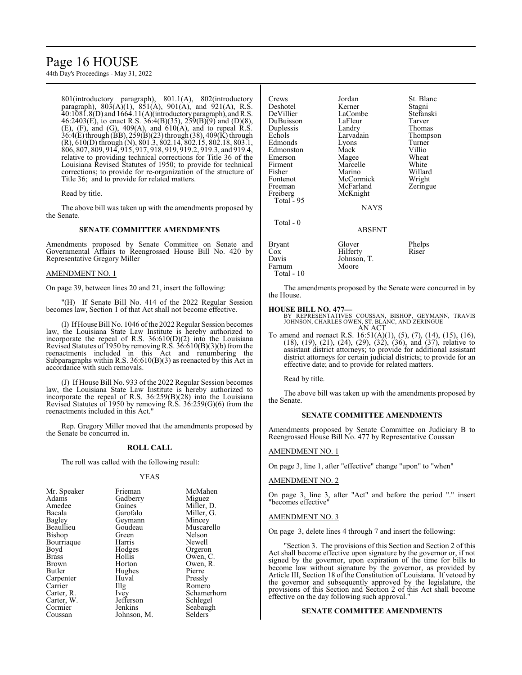# Page 16 HOUSE

44th Day's Proceedings - May 31, 2022

801(introductory paragraph), 801.1(A), 802(introductory paragraph),  $803(A)(1)$ ,  $851(A)$ ,  $901(A)$ , and  $921(A)$ , R.S. 40:1081.8(D) and 1664.11(A)(introductoryparagraph), andR.S. 46:2403(E), to enact R.S. 36:4(B)(35), 259(B)(9) and (D)(8),  $(E)$ ,  $(F)$ , and  $(G)$ ,  $409(A)$ , and  $610(A)$ , and to repeal R.S. 36:4(E)through (BB), 259(B)(23) through (38), 409(K) through (R), 610(D) through (N), 801.3, 802.14, 802.15, 802.18, 803.1, 806, 807, 809, 914, 915, 917, 918, 919, 919.2, 919.3, and 919.4, relative to providing technical corrections for Title 36 of the Louisiana Revised Statutes of 1950; to provide for technical corrections; to provide for re-organization of the structure of Title 36; and to provide for related matters.

Read by title.

The above bill was taken up with the amendments proposed by the Senate.

# **SENATE COMMITTEE AMENDMENTS**

Amendments proposed by Senate Committee on Senate and Governmental Affairs to Reengrossed House Bill No. 420 by Representative Gregory Miller

# AMENDMENT NO. 1

On page 39, between lines 20 and 21, insert the following:

"(H) If Senate Bill No. 414 of the 2022 Regular Session becomes law, Section 1 of that Act shall not become effective.

(I) IfHouse Bill No. 1046 ofthe 2022Regular Session becomes law, the Louisiana State Law Institute is hereby authorized to incorporate the repeal of R.S. 36:610(D)(2) into the Louisiana Revised Statutes of 1950 by removing R.S.  $36:610(B)(3)(b)$  from the reenactments included in this Act and renumbering the Subparagraphs within R.S. 36:610(B)(3) as reenacted by this Act in accordance with such removals.

(J) If House Bill No. 933 of the 2022 Regular Session becomes law, the Louisiana State Law Institute is hereby authorized to incorporate the repeal of R.S. 36:259(B)(28) into the Louisiana Revised Statutes of 1950 by removing R.S. 36:259(G)(6) from the reenactments included in this Act."

Rep. Gregory Miller moved that the amendments proposed by the Senate be concurred in.

# **ROLL CALL**

The roll was called with the following result:

# YEAS

| Mr. Speaker<br>Adams | Frieman<br>Gadberry | McMahen<br>Miguez |
|----------------------|---------------------|-------------------|
| Amedee               | Gaines              | Miller, D.        |
| Bacala               | Garofalo            | Miller, G.        |
| Bagley               | Geymann             | Mincey            |
| Beaullieu            | Goudeau             | Muscarello        |
| Bishop               | Green               | Nelson            |
| Bourriaque           | Harris              | Newell            |
| Boyd                 | Hodges              | Orgeron           |
| <b>Brass</b>         | Hollis              | Owen, C.          |
| Brown                | Horton              | Owen, R.          |
| Butler               | Hughes              | Pierre            |
| Carpenter            | Huval               | Pressly           |
| Carrier              | Illg                | Romero            |
| Carter, R.           | <i>lvey</i>         | Schamerhorn       |
| Carter, W.           | Jefferson           | Schlegel          |
| Cormier              | Jenkins             | Seabaugh          |
| Coussan              | Johnson, M.         | Selders           |

| Jordan        | St. Blanc                                                      |
|---------------|----------------------------------------------------------------|
| Kerner        | Stagni                                                         |
| LaCombe       | Stefanski                                                      |
| LaFleur       | Tarver                                                         |
| Landry        | Thomas                                                         |
| Larvadain     | Thompson                                                       |
|               | Turner                                                         |
| Mack          | Villio                                                         |
|               | Wheat                                                          |
| Marcelle      | White                                                          |
| Marino        | Willard                                                        |
| McCormick     | Wright                                                         |
| McFarland     | Zeringue                                                       |
|               |                                                                |
|               |                                                                |
| <b>NAYS</b>   |                                                                |
|               |                                                                |
|               |                                                                |
| <b>ABSENT</b> |                                                                |
| Glover        | Phelps                                                         |
|               | Riser                                                          |
|               |                                                                |
|               |                                                                |
|               |                                                                |
|               | Lyons<br>Magee<br>McKnight<br>Hilferty<br>Johnson, T.<br>Moore |

The amendments proposed by the Senate were concurred in by the House.

# **HOUSE BILL NO. 477—**

BY REPRESENTATIVES COUSSAN, BISHOP, GEYMANN, TRAVIS JOHNSON, CHARLES OWEN, ST. BLANC, AND ZERINGUE AN ACT

To amend and reenact R.S. 16:51(A)(1), (5), (7), (14), (15), (16), (18), (19), (21), (24), (29), (32), (36), and (37), relative to assistant district attorneys; to provide for additional assistant district attorneys for certain judicial districts; to provide for an effective date; and to provide for related matters.

Read by title.

The above bill was taken up with the amendments proposed by the Senate.

# **SENATE COMMITTEE AMENDMENTS**

Amendments proposed by Senate Committee on Judiciary B to Reengrossed House Bill No. 477 by Representative Coussan

# AMENDMENT NO. 1

On page 3, line 1, after "effective" change "upon" to "when"

# AMENDMENT NO. 2

On page 3, line 3, after "Act" and before the period "." insert "becomes effective"

# AMENDMENT NO. 3

On page 3, delete lines 4 through 7 and insert the following:

"Section 3. The provisions of this Section and Section 2 of this Act shall become effective upon signature by the governor or, if not signed by the governor, upon expiration of the time for bills to become law without signature by the governor, as provided by Article III, Section 18 of the Constitution of Louisiana. If vetoed by the governor and subsequently approved by the legislature, the provisions of this Section and Section 2 of this Act shall become effective on the day following such approval."

# **SENATE COMMITTEE AMENDMENTS**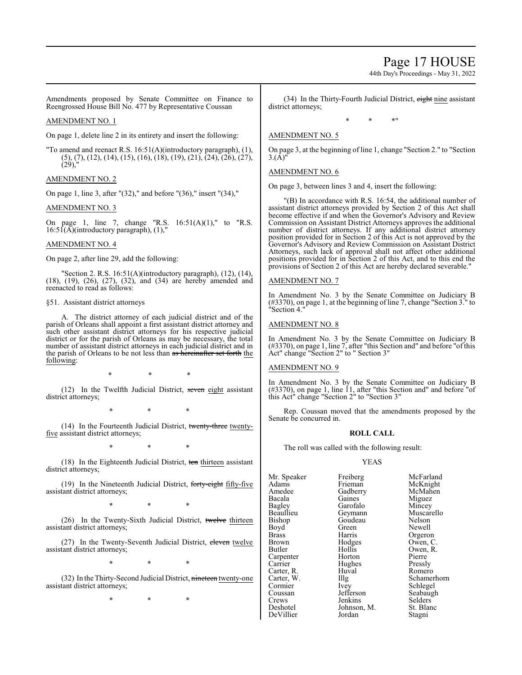# Page 17 HOUSE

44th Day's Proceedings - May 31, 2022

Amendments proposed by Senate Committee on Finance to Reengrossed House Bill No. 477 by Representative Coussan

# AMENDMENT NO. 1

On page 1, delete line 2 in its entirety and insert the following:

"To amend and reenact R.S. 16:51(A)(introductory paragraph), (1), (5), (7), (12), (14), (15), (16), (18), (19), (21), (24), (26), (27), (29),"

# AMENDMENT NO. 2

On page 1, line 3, after "(32)," and before "(36)," insert "(34),"

# AMENDMENT NO. 3

On page 1, line 7, change "R.S.  $16:51(A)(1)$ ," to "R.S.  $16:5\overline{1}(\overline{A})$ (introductory paragraph),  $(1)$ ,"

# AMENDMENT NO. 4

On page 2, after line 29, add the following:

"Section 2. R.S. 16:51(A)(introductory paragraph), (12), (14), (18), (19), (26), (27), (32), and (34) are hereby amended and reenacted to read as follows:

# §51. Assistant district attorneys

A. The district attorney of each judicial district and of the parish of Orleans shall appoint a first assistant district attorney and such other assistant district attorneys for his respective judicial district or for the parish of Orleans as may be necessary, the total number of assistant district attorneys in each judicial district and in the parish of Orleans to be not less than as hereinafter set forth the following:

\* \* \*

(12) In the Twelfth Judicial District, seven eight assistant district attorneys;

\* \* \*

(14) In the Fourteenth Judicial District, twenty-three twentyfive assistant district attorneys;

\* \* \*

(18) In the Eighteenth Judicial District, ten thirteen assistant district attorneys;

(19) In the Nineteenth Judicial District, forty-eight fifty-five assistant district attorneys;

\* \* \*

(26) In the Twenty-Sixth Judicial District, twelve thirteen assistant district attorneys;

(27) In the Twenty-Seventh Judicial District, eleven twelve assistant district attorneys;

\* \* \*

(32) In the Thirty-Second Judicial District, nineteen twenty-one assistant district attorneys;

\* \* \*

(34) In the Thirty-Fourth Judicial District, eight nine assistant district attorneys;

\* \* \*"

# AMENDMENT NO. 5

On page 3, at the beginning of line 1, change "Section 2." to "Section  $3.(\hat{A})'$ 

# AMENDMENT NO. 6

On page 3, between lines 3 and 4, insert the following:

"(B) In accordance with R.S. 16:54, the additional number of assistant district attorneys provided by Section 2 of this Act shall become effective if and when the Governor's Advisory and Review Commission on Assistant District Attorneys approves the additional number of district attorneys. If any additional district attorney position provided for in Section 2 of this Act is not approved by the Governor's Advisory and Review Commission on Assistant District Attorneys, such lack of approval shall not affect other additional positions provided for in Section 2 of this Act, and to this end the provisions of Section 2 of this Act are hereby declared severable."

# AMENDMENT NO. 7

In Amendment No. 3 by the Senate Committee on Judiciary B (#3370), on page 1, at the beginning of line 7, change "Section 3." to "Section 4."

# AMENDMENT NO. 8

In Amendment No. 3 by the Senate Committee on Judiciary B (#3370), on page 1, line 7, after "this Section and" and before "of this Act" change "Section 2" to " Section 3"

# AMENDMENT NO. 9

In Amendment No. 3 by the Senate Committee on Judiciary B (#3370), on page 1, line 11, after "this Section and" and before "of this Act" change "Section 2" to "Section 3"

Rep. Coussan moved that the amendments proposed by the Senate be concurred in.

# **ROLL CALL**

The roll was called with the following result:

Johnson, M.

# YEAS

Mr. Speaker Freiberg McFarland<br>Adams Frieman McKnight Adams Frieman McKnight Amedee Gadberry<br>Bacala Gaines Bacala Gaines Miguez Bagley Garofalo Mincey Bishop Goude<br>Boyd Green Boyd Green Newell<br>Brass Harris Orgero Brass Harris Orgeron<br>Brown Hodges Owen, C Brown Hodges Owen, C.<br>Butler Hollis Owen, R. Carpenter Horton Pierre<br>
Carrier Hughes Pressly Carter, R. Huv<br>Carter, W. Huy Cormier Ivey Schlegel<br>Coussan Jefferson Seabaugh Coussan Jefferson<br>Crews Jenkins Crews Jenkins Selders<br>Deshotel Johnson, M. St. Blanc

Geymann Muscarello<br>Goudeau Nelson Hollis Owen, R.<br>Horton Pierre Hughes Pressly<br>Huval Romero Carter, W. Illg Schamerhorn<br>
Cormier Ivev Schlegel DeVillier Jordan Stagni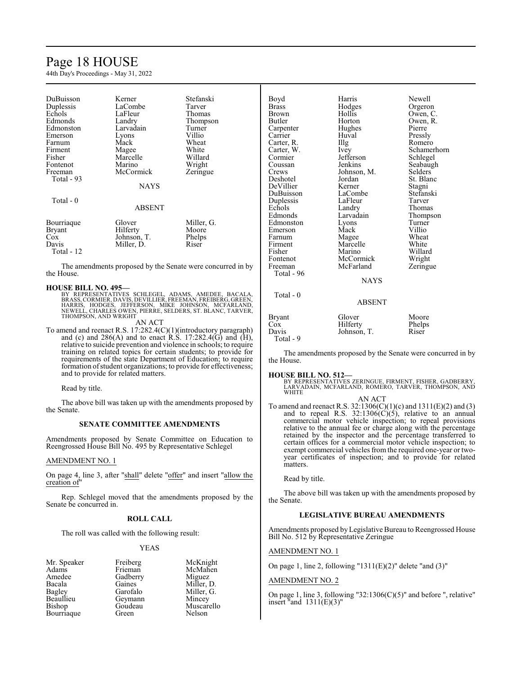# Page 18 HOUSE

44th Day's Proceedings - May 31, 2022

| DuBuisson<br>Duplessis<br>Echols<br>Edmonds<br>Edmonston<br>Emerson<br>Farnum<br>Firment<br>Fisher<br>Fontenot<br>Freeman<br>Total - 93<br>Total - 0 | Kerner<br>LaCombe<br>LaFleur<br>Landry<br>Larvadain<br>Lyons<br>Mack<br>Magee<br>Marcelle<br>Marino<br>McCormick<br>NAYS | Stefanski<br>Tarver<br>Thomas<br>Thompson<br>Turner<br>Villio<br>Wheat<br>White<br>Willard<br>Wright<br>Zeringue |
|------------------------------------------------------------------------------------------------------------------------------------------------------|--------------------------------------------------------------------------------------------------------------------------|------------------------------------------------------------------------------------------------------------------|
|                                                                                                                                                      | ABSENT                                                                                                                   |                                                                                                                  |
| Bourriaque<br><b>Bryant</b><br>Cox<br>Davis<br>Total - 12                                                                                            | Glover<br>Hilferty<br>Johnson, T.<br>Miller, D.                                                                          | Miller, G.<br>Moore<br>Phelps<br>Riser                                                                           |

The amendments proposed by the Senate were concurred in by the House.

# **HOUSE BILL NO. 495—**

BY REPRESENTATIVES SCHLEGEL, ADAMS, AMEDEE, BACALA,<br>BRASS,CORMIER,DAVIS,DEVILLIER,FREEMAN,FREIBERG,GREEN,<br>HARRIS, HODGES, JEFFERSON, MIKE JOHNSON, MCFARLAND,<br>NEWELL,CHARLES OWEN,PIERRE,SELDERS,ST.BLANC,TARVER, THOMPSON, AND WRIGHT

AN ACT

To amend and reenact R.S. 17:282.4(C)(1)(introductory paragraph) and (c) and  $286(A)$  and to enact R.S. 17:282.4(G) and (H), relative to suicide prevention and violence in schools; to require training on related topics for certain students; to provide for requirements of the state Department of Education; to require formation of student organizations; to provide for effectiveness; and to provide for related matters.

Read by title.

The above bill was taken up with the amendments proposed by the Senate.

# **SENATE COMMITTEE AMENDMENTS**

Amendments proposed by Senate Committee on Education to Reengrossed House Bill No. 495 by Representative Schlegel

# AMENDMENT NO. 1

On page 4, line 3, after "shall" delete "offer" and insert "allow the creation of"

Rep. Schlegel moved that the amendments proposed by the Senate be concurred in.

# **ROLL CALL**

The roll was called with the following result:

Geymann<br>Goudeau

# YEAS

Mr. Speaker Freiberg McKnight<br>
Adams Frieman McMahen Adams Frieman McMahen<br>Amedee Gadberry Miguez Amedee Gadberry<br>Bacala Gaines Bacala Gaines Miller, D.<br>Bagley Garofalo Miller, G. Bagley Garofalo Miller, G.<br>Beaullieu Geymann Mincey Bishop Goudeau Muscarello<br>Bourriaque Green Nelson Bourriaque

| Boyd          | Harris        | Newell      |
|---------------|---------------|-------------|
| <b>Brass</b>  | Hodges        | Orgeron     |
| Brown         | Hollis        | Owen, C.    |
| Butler        | Horton        | Owen, R.    |
| Carpenter     | Hughes        | Pierre      |
| Carrier       | Huval         | Pressly     |
| Carter, R.    | Illg          | Romero      |
| Carter, W.    | Ivey          | Schamerhorn |
| Cormier       | Jefferson     | Schlegel    |
| Coussan       | Jenkins       | Seabaugh    |
| Crews         | Johnson, M.   | Selders     |
| Deshotel      | Jordan        | St. Blanc   |
| DeVillier     | Kerner        | Stagni      |
| DuBuisson     | LaCombe       | Stefanski   |
| Duplessis     | LaFleur       | Tarver      |
| Echols        | Landry        | Thomas      |
| Edmonds       | Larvadain     | Thompson    |
| Edmonston     | Lyons         | Turner      |
| Emerson       | Mack          | Villio      |
| Farnum        | Magee         | Wheat       |
| Firment       | Marcelle      | White       |
| Fisher        | Marino        | Willard     |
| Fontenot      | McCormick     | Wright      |
| Freeman       | McFarland     | Zeringue    |
| Total - 96    |               |             |
|               | <b>NAYS</b>   |             |
| Total - 0     |               |             |
|               | <b>ABSENT</b> |             |
| <b>Bryant</b> | Glover        | Moore       |
| Cox           | Hilferty      | Phelps      |
| Davis         | Johnson, T.   | Riser       |
| Total - 9     |               |             |

The amendments proposed by the Senate were concurred in by the House.

# **HOUSE BILL NO. 512—**

BY REPRESENTATIVES ZERINGUE, FIRMENT, FISHER, GADBERRY,<br>LARVADAIN, MCFARLAND, ROMERO, TARVER, THOMPSON, AND<br>WHITE

AN ACT To amend and reenact R.S. 32:1306(C)(1)(c) and 1311(E)(2) and (3) and to repeal R.S.  $32:1306(\text{C})(5)$ , relative to an annual commercial motor vehicle inspection; to repeal provisions relative to the annual fee or charge along with the percentage retained by the inspector and the percentage transferred to certain offices for a commercial motor vehicle inspection; to exempt commercial vehicles from the required one-year or twoyear certificates of inspection; and to provide for related matters.

Read by title.

The above bill was taken up with the amendments proposed by the Senate.

# **LEGISLATIVE BUREAU AMENDMENTS**

Amendments proposed by Legislative Bureau to Reengrossed House Bill No. 512 by Representative Zeringue

# AMENDMENT NO. 1

On page 1, line 2, following " $1311(E)(2)$ " delete "and  $(3)$ "

# AMENDMENT NO. 2

On page 1, line 3, following "32:1306(C)(5)" and before ", relative" insert "and  $1311(E)(3)$ "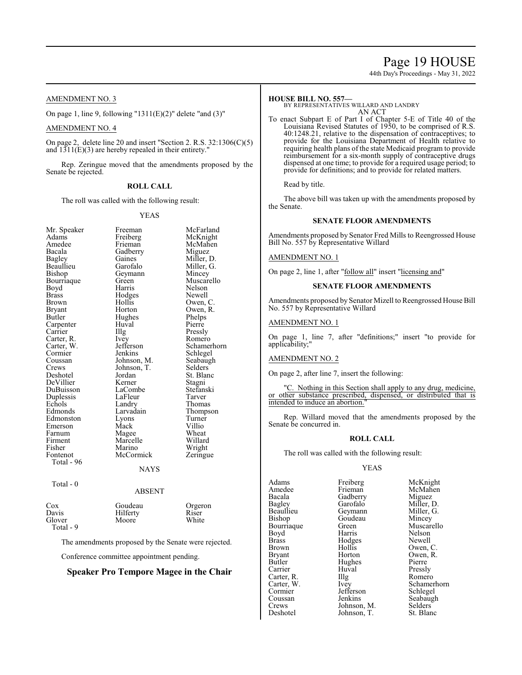# Page 19 HOUSE

44th Day's Proceedings - May 31, 2022

# AMENDMENT NO. 3

On page 1, line 9, following " $1311(E)(2)$ " delete "and  $(3)$ "

# AMENDMENT NO. 4

On page 2, delete line 20 and insert "Section 2. R.S. 32:1306(C)(5) and  $1311(E)(3)$  are hereby repealed in their entirety."

Rep. Zeringue moved that the amendments proposed by the Senate be rejected.

# **ROLL CALL**

The roll was called with the following result:

# YEAS

| Mr. Speaker  | Freeman     | McFarland   |
|--------------|-------------|-------------|
| Adams        | Freiberg    | McKnight    |
| Amedee       | Frieman     | McMahen     |
| Bacala       | Gadberry    | Miguez      |
| Bagley       | Gaines      | Miller, D.  |
| Beaullieu    | Garofalo    | Miller, G.  |
| Bishop       | Geymann     | Mincey      |
| Bourriaque   | Green       | Muscarello  |
| Boyd         | Harris      | Nelson      |
| <b>Brass</b> | Hodges      | Newell      |
| Brown        | Hollis      | Owen, C.    |
| Bryant       | Horton      | Owen, R.    |
| Butler       | Hughes      | Phelps      |
| Carpenter    | Huval       | Pierre      |
| Carrier      | Illg        | Pressly     |
| Carter, R.   | Ivey        | Romero      |
| Carter, W.   | Jefferson   | Schamerhorn |
| Cormier      | Jenkins     | Schlegel    |
| Coussan      | Johnson, M. | Seabaugh    |
| Crews        | Johnson, T. | Selders     |
| Deshotel     | Jordan      | St. Blanc   |
| DeVillier    | Kerner      | Stagni      |
| DuBuisson    | LaCombe     | Stefanski   |
| Duplessis    | LaFleur     | Tarver      |
| Echols       | Landry      | Thomas      |
| Edmonds      | Larvadain   | Thompson    |
| Edmonston    | Lyons       | Turner      |
| Emerson      | Mack        | Villio      |
| Farnum       | Magee       | Wheat       |
| Firment      | Marcelle    | Willard     |
| Fisher       | Marino      | Wright      |
| Fontenot     | McCormick   | Zeringue    |
| Total - 96   |             |             |
|              | NAYS        |             |
|              |             |             |
| Total - 0    |             |             |
|              | ABSENT      |             |
|              |             |             |

Total - 9

Cox Goudeau Orgeron<br>
Davis Hilferty Riser Davis Hilferty Riser<br>Glover Moore White Glover Moore White

The amendments proposed by the Senate were rejected.

Conference committee appointment pending.

# **Speaker Pro Tempore Magee in the Chair**

**HOUSE BILL NO. 557—** BY REPRESENTATIVES WILLARD AND LANDRY AN ACT

To enact Subpart E of Part I of Chapter 5-E of Title 40 of the Louisiana Revised Statutes of 1950, to be comprised of R.S. 40:1248.21, relative to the dispensation of contraceptives; to provide for the Louisiana Department of Health relative to requiring health plans of the state Medicaid program to provide reimbursement for a six-month supply of contraceptive drugs dispensed at one time; to provide for a required usage period; to provide for definitions; and to provide for related matters.

Read by title.

The above bill was taken up with the amendments proposed by the Senate.

# **SENATE FLOOR AMENDMENTS**

Amendments proposed by Senator Fred Mills to Reengrossed House Bill No. 557 by Representative Willard

AMENDMENT NO. 1

On page 2, line 1, after "follow all" insert "licensing and"

# **SENATE FLOOR AMENDMENTS**

Amendments proposed by Senator Mizell to Reengrossed House Bill No. 557 by Representative Willard

# AMENDMENT NO. 1

On page 1, line 7, after "definitions;" insert "to provide for applicability;"

# AMENDMENT NO. 2

On page 2, after line 7, insert the following:

"C. Nothing in this Section shall apply to any drug, medicine, or other substance prescribed, dispensed, or distributed that is intended to induce an abortion.

Rep. Willard moved that the amendments proposed by the Senate be concurred in.

# **ROLL CALL**

The roll was called with the following result:

# YEAS

| Adams         | Freiberg    | McKnight    |
|---------------|-------------|-------------|
| Amedee        | Frieman     | McMahen     |
| Bacala        | Gadberry    | Miguez      |
| <b>Bagley</b> | Garofalo    | Miller, D.  |
| Beaullieu     | Geymann     | Miller, G.  |
| Bishop        | Goudeau     | Mincey      |
| Bourriaque    | Green       | Muscarello  |
| Boyd          | Harris      | Nelson      |
| <b>Brass</b>  | Hodges      | Newell      |
| Brown         | Hollis      | Owen, C.    |
| <b>Bryant</b> | Horton      | Owen, R.    |
| Butler        | Hughes      | Pierre      |
| Carrier       | Huval       | Pressly     |
| Carter, R.    | Illg        | Romero      |
| Carter, W.    | Ivey        | Schamerhorn |
| Cormier       | Jefferson   | Schlegel    |
| Coussan       | Jenkins     | Seabaugh    |
| Crews         | Johnson, M. | Selders     |
| Deshotel      | Johnson, T. | St. Blanc   |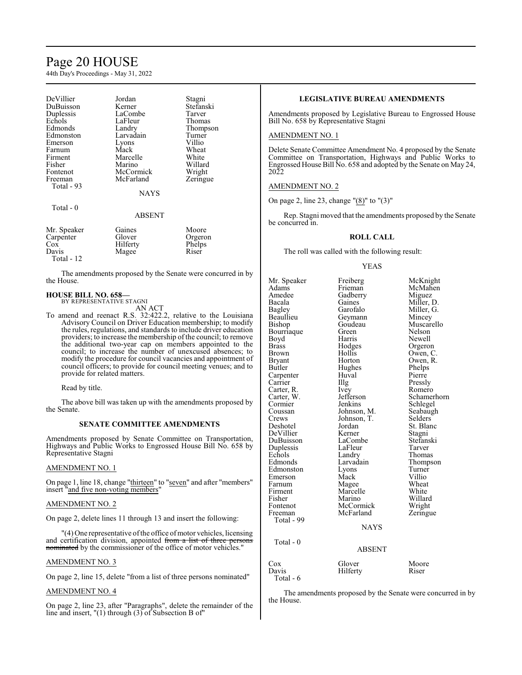# Page 20 HOUSE

44th Day's Proceedings - May 31, 2022

| DeVillier   | Jordan      | Stagni    |
|-------------|-------------|-----------|
| DuBuisson   | Kerner      | Stefanski |
| Duplessis   | LaCombe     | Tarver    |
| Echols      | LaFleur     | Thomas    |
| Edmonds     | Landry      | Thompson  |
| Edmonston   | Larvadain   | Turner    |
| Emerson     | Lyons       | Villio    |
| Farnum      | Mack        | Wheat     |
| Firment     | Marcelle    | White     |
| Fisher      | Marino      | Willard   |
| Fontenot    | McCormick   | Wright    |
| Freeman     | McFarland   | Zeringue  |
| Total - 93  |             |           |
|             | <b>NAYS</b> |           |
| Total - 0   |             |           |
|             | ABSENT      |           |
| Mr. Speaker | Gaines      | Moore     |
| Carpenter   | Glover      | Orgeron   |
| $\cos$      | Hilferty    | Phelps    |
| Davis       | Magee       | Riser     |
|             |             |           |

Total - 12

The amendments proposed by the Senate were concurred in by the House.

## **HOUSE BILL NO. 658—** BY REPRESENTATIVE STAGNI

AN ACT

To amend and reenact R.S. 32:422.2, relative to the Louisiana Advisory Council on Driver Education membership; to modify the rules, regulations, and standards to include driver education providers; to increase the membership of the council; to remove the additional two-year cap on members appointed to the council; to increase the number of unexcused absences; to modify the procedure for council vacancies and appointment of council officers; to provide for council meeting venues; and to provide for related matters.

Read by title.

The above bill was taken up with the amendments proposed by the Senate.

# **SENATE COMMITTEE AMENDMENTS**

Amendments proposed by Senate Committee on Transportation, Highways and Public Works to Engrossed House Bill No. 658 by Representative Stagni

# AMENDMENT NO. 1

On page 1, line 18, change "thirteen" to "seven" and after "members" insert "and five non-voting members"

# AMENDMENT NO. 2

On page 2, delete lines 11 through 13 and insert the following:

"(4) One representative of the office of motor vehicles, licensing and certification division, appointed from a list of three nominated by the commissioner of the office of motor vehicles."

# AMENDMENT NO. 3

On page 2, line 15, delete "from a list of three persons nominated"

# AMENDMENT NO. 4

On page 2, line 23, after "Paragraphs", delete the remainder of the line and insert, "(1) through (3) of Subsection B of"

# **LEGISLATIVE BUREAU AMENDMENTS**

Amendments proposed by Legislative Bureau to Engrossed House Bill No. 658 by Representative Stagni

# AMENDMENT NO. 1

Delete Senate Committee Amendment No. 4 proposed by the Senate Committee on Transportation, Highways and Public Works to Engrossed House Bill No. 658 and adopted by the Senate on May 24, 2022

# AMENDMENT NO. 2

On page 2, line 23, change "(8)" to "(3)"

Rep. Stagni moved that the amendments proposed by the Senate be concurred in.

# **ROLL CALL**

The roll was called with the following result:

# YEAS

Owen, R.<br>Phelps

Mr. Speaker Freiberg McKnight<br>
Adams Frieman McMahen Adams Frieman McMahen<br>Amedee Gadberry Miguez Amedee Gadberry<br>Bacala Gaines Bacala Gaines Miller, D.<br>Bagley Garofalo Miller, G. Bagley Garofalo Miller, G.<br>Beaullieu Geymann Mincey Beaullieu Geymann<br>Bishop Goudeau Goudeau Muscarello<br>Green Nelson Bourriaque Green<br>Boyd Harris Boyd Harris Newell Brass Hodges Orgeron Brown Hollis Owen, C.<br>Bryant Horton Owen, R. Butler Hughes Phelps<br>
Carpenter Huval Pierre Carpenter Huval Pierre<br>Carrier Huyal Pressly Carrier IIIg Pressly<br>Carter, R. Ivey Romero Carter, R. Ivey Romero<br>Carter, W. Jefferson Schamerhorn Carter, W. Jefferson<br>Cormier Jenkins Cormier Jenkins Schlegel<br>Coussan Johnson, M. Seabaugh Coussan Johnson, M. Seabaughter Seabaughter<br>Crews Johnson, T. Selders Crews Johnson, T.<br>Deshotel Jordan Jordan St. Blanc<br>
Kerner Stagni DeVillier Kerner Stagni<br>DuBuisson LaCombe Stefanski LaCombe Stefans<br>LaFleur Tarver Duplessis LaFleu<br>
Echols Landrv Echols Landry Thomas<br>
Edmonds Larvadain Thomas Larvadain Thompson<br>
Lyons Turner Edmonston Lyons Turner<br>Emerson Mack Villio Emerson Mack Villio Farnum Magee Wheat<br>Firment Marcelle White Firment Marcelle<br>Fisher Marino Fisher Marino Willard<br>Fontenot McCormick Wright Fontenot McCormick Wright<br>
Freeman McFarland Zeringue McFarland Total - 99 **NAYS**  Total - 0 ABSENT Cox Glover Moore<br>Davis Hilferty Riser Hilferty

Total - 6

The amendments proposed by the Senate were concurred in by the House.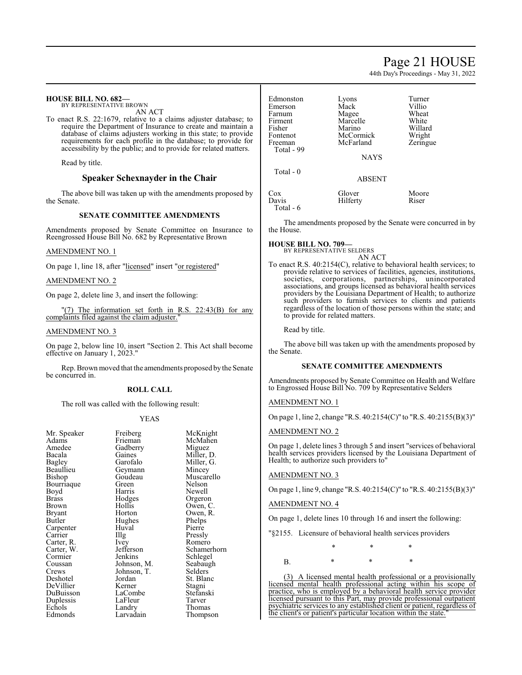# Page 21 HOUSE

44th Day's Proceedings - May 31, 2022

| <b>HOUSE BILL NO. 682-</b><br>BY REPRESENTATIVE BROWN<br>AN ACT<br>To enact R.S. 22:1679, relative to a claims adjuster database; to<br>require the Department of Insurance to create and maintain a<br>database of claims adjusters working in this state; to provide<br>requirements for each profile in the database; to provide for | Edmonston<br>Emerson<br>Farnum<br>Firment<br>Fisher<br>Fontenot<br>Freeman                                                                                                                                                                                                                             | Lyons<br>Mack<br>Magee<br>Marcelle<br>Marino<br>McCormick<br>McFarland | Turner<br>Villio<br>Wheat<br>White<br>Willard<br>Wright<br>Zeringue                                                                         |
|-----------------------------------------------------------------------------------------------------------------------------------------------------------------------------------------------------------------------------------------------------------------------------------------------------------------------------------------|--------------------------------------------------------------------------------------------------------------------------------------------------------------------------------------------------------------------------------------------------------------------------------------------------------|------------------------------------------------------------------------|---------------------------------------------------------------------------------------------------------------------------------------------|
| accessibility by the public; and to provide for related matters.                                                                                                                                                                                                                                                                        | Total - 99                                                                                                                                                                                                                                                                                             | <b>NAYS</b>                                                            |                                                                                                                                             |
| Read by title.                                                                                                                                                                                                                                                                                                                          |                                                                                                                                                                                                                                                                                                        |                                                                        |                                                                                                                                             |
| Speaker Schexnayder in the Chair                                                                                                                                                                                                                                                                                                        | Total - 0                                                                                                                                                                                                                                                                                              | <b>ABSENT</b>                                                          |                                                                                                                                             |
| The above bill was taken up with the amendments proposed by<br>the Senate.                                                                                                                                                                                                                                                              | Cox<br>Davis<br>Total - 6                                                                                                                                                                                                                                                                              | Glover<br>Hilferty                                                     | Moore<br>Riser                                                                                                                              |
| SENATE COMMITTEE AMENDMENTS                                                                                                                                                                                                                                                                                                             |                                                                                                                                                                                                                                                                                                        |                                                                        |                                                                                                                                             |
| Amendments proposed by Senate Committee on Insurance to<br>Reengrossed House Bill No. 682 by Representative Brown                                                                                                                                                                                                                       | the House.                                                                                                                                                                                                                                                                                             |                                                                        | The amendments proposed by the Senate were concurred in by                                                                                  |
| <b>AMENDMENT NO. 1</b>                                                                                                                                                                                                                                                                                                                  | <b>HOUSE BILL NO. 709-</b>                                                                                                                                                                                                                                                                             | BY REPRESENTATIVE SELDERS<br>AN ACT                                    |                                                                                                                                             |
| On page 1, line 18, after "licensed" insert "or registered"                                                                                                                                                                                                                                                                             |                                                                                                                                                                                                                                                                                                        |                                                                        | To enact R.S. 40:2154(C), relative to behavioral health services; to<br>provide relative to services of facilities, agencies, institutions, |
| <b>AMENDMENT NO. 2</b>                                                                                                                                                                                                                                                                                                                  |                                                                                                                                                                                                                                                                                                        |                                                                        | societies, corporations, partnerships, unincorporated                                                                                       |
| On page 2, delete line 3, and insert the following:                                                                                                                                                                                                                                                                                     | associations, and groups licensed as behavioral health services<br>providers by the Louisiana Department of Health; to authorize<br>such providers to furnish services to clients and patients<br>regardless of the location of those persons within the state; and<br>to provide for related matters. |                                                                        |                                                                                                                                             |
| "(7) The information set forth in R.S. 22:43(B) for any<br>complaints filed against the claim adjuster."                                                                                                                                                                                                                                |                                                                                                                                                                                                                                                                                                        |                                                                        |                                                                                                                                             |
| <b>AMENDMENT NO. 3</b>                                                                                                                                                                                                                                                                                                                  | Read by title.                                                                                                                                                                                                                                                                                         |                                                                        |                                                                                                                                             |
| On page 2, below line 10, insert "Section 2. This Act shall become<br>effective on January 1, 2023."                                                                                                                                                                                                                                    | the Senate.                                                                                                                                                                                                                                                                                            |                                                                        | The above bill was taken up with the amendments proposed by                                                                                 |

**SENATE COMMITTEE AMENDMENTS**

Amendments proposed by Senate Committee on Health and Welfare to Engrossed House Bill No. 709 by Representative Selders

# AMENDMENT NO. 1

On page 1, line 2, change "R.S. 40:2154(C)" to "R.S. 40:2155(B)(3)"

# AMENDMENT NO. 2

On page 1, delete lines 3 through 5 and insert "services of behavioral health services providers licensed by the Louisiana Department of Health; to authorize such providers to"

# AMENDMENT NO. 3

On page 1, line 9, change "R.S. 40:2154(C)" to "R.S. 40:2155(B)(3)"

AMENDMENT NO. 4

On page 1, delete lines 10 through 16 and insert the following:

"§2155. Licensure of behavioral health services providers

\* \* \*

B. \* \* \* \*

(3) A licensed mental health professional or a provisionally licensed mental health professional acting within his scope of practice, who is employed by a behavioral health service provider licensed pursuant to this Part, may provide professional outpatient psychiatric services to any established client or patient, regardless of the client's or patient's particular location within the state.

effective on January 1, 2023.

Rep. Brown moved that the amendments proposed by the Senate be concurred in.

# **ROLL CALL**

The roll was called with the following result:

## YEAS

| Mr. Speaker | Freiberg    | McKn          |
|-------------|-------------|---------------|
| Adams       | Frieman     | McMa          |
| Amedee      | Gadberry    | Migue         |
| Bacala      | Gaines      | Miller        |
| Bagley      | Garofalo    | Miller        |
| Beaullieu   | Geymann     | Mince         |
| Bishop      | Goudeau     | Musca         |
| Bourriaque  | Green       | <b>Nelson</b> |
| Boyd        | Harris      | Newel         |
| Brass       | Hodges      | Orgero        |
| Brown       | Hollis      | Owen,         |
| Bryant      | Horton      | Owen,         |
| Butler      | Hughes      | Phelps        |
| Carpenter   | Huval       | Pierre        |
| Carrier     | Illg        | Pressl        |
| Carter, R.  | Ivey        | Romer         |
| Carter, W.  | Jefferson   | Schan         |
| Cormier     | Jenkins     | Schleg        |
| Coussan     | Johnson, M. | Seabai        |
| Crews       | Johnson, T. | Selder        |
| Deshotel    | Jordan      | St. Bla       |
| DeVillier   | Kerner      | Stagni        |
| DuBuisson   | LaCombe     | Stefan        |
| Duplessis   | LaFleur     | Tarver        |
| Echols      | Landry      | Thoma         |
| Edmonds     | Larvadain   | Thomp         |

iberg McKnight<br>eman McMahen man McMahen<br>
herry Miguez Miguez nes Miller, D.<br>ofalo Miller, G. ofalo Miller, G.<br>mann Mincey mann Mincey<br>Ideau Muscare Muscarello en Nelson<br>Tis Newell ris Newell<br>Iges Orgeror lges Orgeron<br>lis Owen, C lis Owen, C.<br>ton Owen, R. ton Owen, R.<br>
rhes Phelns shes Phelps<br>
Pierre Pierre Pressly Romero Experience Schamerhorn<br>
Schlegel<br>
Schlegel kins Schlegel<br>Inson, M. Seabaugl Seabaugh<br>Selders lan St. Blanc<br>
ner Stagni ombe Stefanski's<br>Dur Tarver Purchen Late Late Tarver<br>
Duplession Contract Thomas<br>
Duplessing Tarver<br>
Duplessing Tarver<br>
Duplessing Tarver<br>
Duplessing Tarver<br>
Duplessing Tarver<br>
Duplessing Tarver<br>
Duplessing Tarver<br>
Duplessing Tarver<br>
Duplessing Tarve dry Thomas<br>vadain Thomps Thompson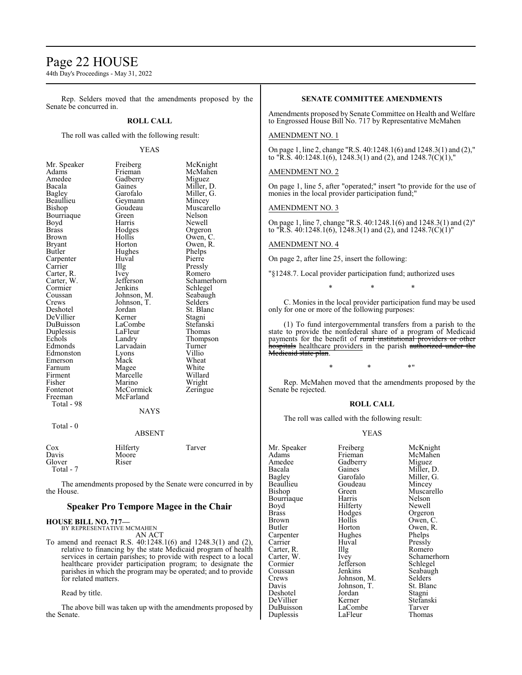# Page 22 HOUSE

44th Day's Proceedings - May 31, 2022

Rep. Selders moved that the amendments proposed by the Senate be concurred in.

# **ROLL CALL**

The roll was called with the following result:

# YEAS

| Mr. Speaker | Freiberg    | McKnight    |
|-------------|-------------|-------------|
| Adams       | Frieman     | McMahen     |
| Amedee      | Gadberry    | Miguez      |
| Bacala      | Gaines      | Miller, D.  |
| Bagley      | Garofalo    | Miller, G.  |
| Beaullieu   | Geymann     | Mincey      |
| Bishop      | Goudeau     | Muscarello  |
| Bourriaque  | Green       | Nelson      |
| Boyd        | Harris      | Newell      |
| Brass       | Hodges      | Orgeron     |
| Brown       | Hollis      | Owen, C.    |
| Bryant      | Horton      | Owen, R.    |
| Butler      | Hughes      | Phelps      |
| Carpenter   | Huval       | Pierre      |
| Carrier     | Illg        | Pressly     |
| Carter, R.  | <i>lvey</i> | Romero      |
| Carter, W.  | Jefferson   | Schamerhorn |
| Cormier     | Jenkins     | Schlegel    |
| Coussan     | Johnson, M. | Seabaugh    |
| Crews       | Johnson, T. | Selders     |
| Deshotel    | Jordan      | St. Blanc   |
| DeVillier   | Kerner      | Stagni      |
| DuBuisson   | LaCombe     | Stefanski   |
| Duplessis   | LaFleur     | Thomas      |
| Echols      | Landry      | Thompson    |
| Edmonds     | Larvadain   | Turner      |
| Edmonston   | Lyons       | Villio      |
| Emerson     | Mack        | Wheat       |
| Farnum      | Magee       | White       |
| Firment     | Marcelle    | Willard     |
| Fisher      | Marino      | Wright      |
| Fontenot    | McCormick   | Zeringue    |
| Freeman     | McFarland   |             |
| Total - 98  |             |             |
|             | NAYS        |             |
|             |             |             |
| Total - 0   |             |             |

# ABSENT

| $\cos$    | Hilferty | Tarver |
|-----------|----------|--------|
| Davis     | Moore    |        |
| Glover    | Riser    |        |
| Total - 7 |          |        |

The amendments proposed by the Senate were concurred in by the House.

# **Speaker Pro Tempore Magee in the Chair**

## **HOUSE BILL NO. 717—**

BY REPRESENTATIVE MCMAHEN

AN ACT

To amend and reenact R.S. 40:1248.1(6) and 1248.3(1) and (2), relative to financing by the state Medicaid program of health services in certain parishes; to provide with respect to a local healthcare provider participation program; to designate the parishes in which the program may be operated; and to provide for related matters.

Read by title.

The above bill was taken up with the amendments proposed by the Senate.

# **SENATE COMMITTEE AMENDMENTS**

Amendments proposed by Senate Committee on Health and Welfare to Engrossed House Bill No. 717 by Representative McMahen

# AMENDMENT NO. 1

On page 1, line 2, change "R.S. 40:1248.1(6) and 1248.3(1) and (2)," to "R.S.  $40:1248.1(6)$ ,  $1248.3(1)$  and  $(2)$ , and  $1248.7(C)(1)$ ,"

# AMENDMENT NO. 2

On page 1, line 5, after "operated;" insert "to provide for the use of monies in the local provider participation fund;"

# AMENDMENT NO. 3

On page 1, line 7, change "R.S. 40:1248.1(6) and 1248.3(1) and (2)" to "R.S. 40:1248.1(6), 1248.3(1) and (2), and 1248.7(C)(1)"

# AMENDMENT NO. 4

On page 2, after line 25, insert the following:

"§1248.7. Local provider participation fund; authorized uses

\* \* \*

C. Monies in the local provider participation fund may be used only for one or more of the following purposes:

(1) To fund intergovernmental transfers from a parish to the state to provide the nonfederal share of a program of Medicaid payments for the benefit of rural institutional providers or other hospitals healthcare providers in the parish authorized under the Medicaid state plan.

# $*$  \*  $*$  \*  $*$  "

Rep. McMahen moved that the amendments proposed by the Senate be rejected.

# **ROLL CALL**

The roll was called with the following result:

## YEAS

|             | McKnight                                                                            |
|-------------|-------------------------------------------------------------------------------------|
|             | McMahen                                                                             |
|             | Miguez                                                                              |
|             | Miller, D.                                                                          |
|             | Miller, G.                                                                          |
|             |                                                                                     |
|             | Mincey                                                                              |
|             | Muscarello                                                                          |
|             | Nelson                                                                              |
| Hilferty    | Newell                                                                              |
| Hodges      | Orgeron                                                                             |
| Hollis      | Owen, C.                                                                            |
| Horton      | Owen, R.                                                                            |
| Hughes      | Phelps                                                                              |
| Huval       | Pressly                                                                             |
| Illg        | Romero                                                                              |
| Ivey        | Schamerhorn                                                                         |
| Jefferson   | Schlegel                                                                            |
| Jenkins     | Seabaugh                                                                            |
| Johnson, M. | Selders                                                                             |
| Johnson, T. | St. Blanc                                                                           |
| Jordan      | Stagni                                                                              |
| Kerner      | Stefanski                                                                           |
| LaCombe     | Tarver                                                                              |
| LaFleur     | Thomas                                                                              |
|             | Freiberg<br>Frieman<br>Gadberry<br>Gaines<br>Garofalo<br>Goudeau<br>Green<br>Harris |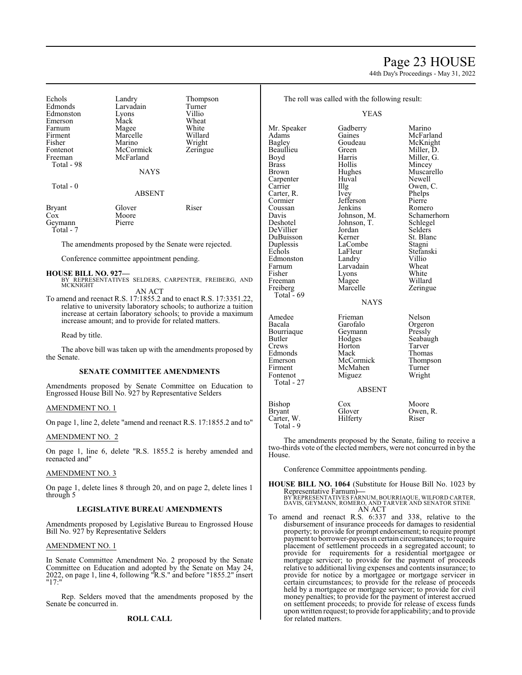# Page 23 HOUSE

44th Day's Proceedings - May 31, 2022

| Echols<br>Edmonds<br>Edmonston<br>Emerson<br>Farnum<br>Firment<br>Fisher<br>Fontenot<br>Freeman<br>Total - 98 | Landry<br>Larvadain<br>Lyons<br>Mack<br>Magee<br>Marcelle<br>Marino<br>McCormick<br>McFarland | Thompson<br>Turner<br>Villio<br>Wheat<br>White<br>Willard<br>Wright<br>Zeringue |
|---------------------------------------------------------------------------------------------------------------|-----------------------------------------------------------------------------------------------|---------------------------------------------------------------------------------|
|                                                                                                               | <b>NAYS</b>                                                                                   |                                                                                 |
| Total - 0                                                                                                     | <b>ABSENT</b>                                                                                 |                                                                                 |
| <b>Bryant</b><br>$\Gamma$ <sub>a</sub> .                                                                      | Glover<br>$M_{\odot}$                                                                         | Riser                                                                           |

Cox Moore<br>Gevmann Pierre Geymann Total - 7

The amendments proposed by the Senate were rejected.

Conference committee appointment pending.

# **HOUSE BILL NO. 927—**

BY REPRESENTATIVES SELDERS, CARPENTER, FREIBERG, AND MCKNIGHT

AN ACT

To amend and reenact R.S. 17:1855.2 and to enact R.S. 17:3351.22, relative to university laboratory schools; to authorize a tuition increase at certain laboratory schools; to provide a maximum increase amount; and to provide for related matters.

Read by title.

The above bill was taken up with the amendments proposed by the Senate.

# **SENATE COMMITTEE AMENDMENTS**

Amendments proposed by Senate Committee on Education to Engrossed House Bill No. 927 by Representative Selders

# AMENDMENT NO. 1

On page 1, line 2, delete "amend and reenact R.S. 17:1855.2 and to"

# AMENDMENT NO. 2

On page 1, line 6, delete "R.S. 1855.2 is hereby amended and reenacted and"

# AMENDMENT NO. 3

On page 1, delete lines 8 through 20, and on page 2, delete lines 1 through 5

# **LEGISLATIVE BUREAU AMENDMENTS**

Amendments proposed by Legislative Bureau to Engrossed House Bill No. 927 by Representative Selders

## AMENDMENT NO. 1

In Senate Committee Amendment No. 2 proposed by the Senate Committee on Education and adopted by the Senate on May 24, 2022, on page 1, line 4, following "R.S." and before "1855.2" insert "17:"

Rep. Selders moved that the amendments proposed by the Senate be concurred in.

# **ROLL CALL**

The roll was called with the following result:

YEAS

| Mr. Speaker<br>Adams<br>Bagley<br>Beaullieu<br>Boyd<br>Brass<br>Brown<br>Carpenter<br>Carrier<br>Carter, R.<br>Cormier<br>Coussan<br>Davis<br>Deshotel<br>DeVillier<br>DuBuisson<br>Duplessis<br>Echols<br>Edmonston<br>Farnum<br>Fisher<br>Freeman<br>Freiberg<br>Total $-69$ | Gadberry<br>Gaines<br>Goudeau<br>Green<br>Harris<br>Hollis<br>Hughes<br>Huval<br>Illg<br>Ivey<br>Jefferson<br>Jenkins<br>Johnson, M.<br>Johnson, T.<br>Jordan<br>Kerner<br>LaCombe<br>LaFleur<br>Landry<br>Larvadain<br>Lyons<br>Magee<br>Marcelle<br><b>NAYS</b> | Marino<br>McFarland<br>McKnight<br>Miller, D.<br>Miller, G.<br>Mincey<br>Muscarello<br>Newell<br>Owen, C.<br>Phelps<br>Pierre<br>Romero<br>Schamerhorn<br>Schlegel<br>Selders<br>St. Blanc<br>Stagni<br>Stefanski<br>Villio<br>Wheat<br>White<br>Willard<br>Zeringue |
|--------------------------------------------------------------------------------------------------------------------------------------------------------------------------------------------------------------------------------------------------------------------------------|-------------------------------------------------------------------------------------------------------------------------------------------------------------------------------------------------------------------------------------------------------------------|----------------------------------------------------------------------------------------------------------------------------------------------------------------------------------------------------------------------------------------------------------------------|
| Amedee<br>Bacala<br>Bourriaque<br>Butler<br>Crews<br>Edmonds<br>Emerson<br>Firment<br>Fontenot<br>Total - 27                                                                                                                                                                   | Frieman<br>Garofalo<br>Geymann<br>Hodges<br>Horton<br>Mack<br>McCormick<br>McMahen<br>Miguez<br><b>ABSENT</b>                                                                                                                                                     | Nelson<br>Orgeron<br>Pressly<br>Seabaugh<br>Tarver<br>Thomas<br>Thompson<br>Turner<br>Wright                                                                                                                                                                         |
|                                                                                                                                                                                                                                                                                |                                                                                                                                                                                                                                                                   |                                                                                                                                                                                                                                                                      |
| Bishop<br>Bryant<br>Carter, W.<br>Total - 9                                                                                                                                                                                                                                    | $\cos$<br>Glover<br>Hilferty                                                                                                                                                                                                                                      | Moore<br>Owen, R.<br>Riser                                                                                                                                                                                                                                           |

The amendments proposed by the Senate, failing to receive a two-thirds vote of the elected members, were not concurred in by the House.

Conference Committee appointments pending.

# **HOUSE BILL NO. 1064** (Substitute for House Bill No. 1023 by Representative Farnum)**—** BY REPRESENTATIVES FARNUM, BOURRIAQUE, WILFORD CARTER, DAVIS, GEYMANN, ROMERO, AND TARVER AND SENATOR STINE AN ACT

To amend and reenact R.S. 6:337 and 338, relative to the disbursement of insurance proceeds for damages to residential property; to provide for prompt endorsement; to require prompt payment to borrower-payees in certain circumstances; to require placement of settlement proceeds in a segregated account; to provide for requirements for a residential mortgagee or mortgage servicer; to provide for the payment of proceeds relative to additional living expenses and contents insurance; to provide for notice by a mortgagee or mortgage servicer in certain circumstances; to provide for the release of proceeds held by a mortgagee or mortgage servicer; to provide for civil money penalties; to provide for the payment of interest accrued on settlement proceeds; to provide for release of excess funds upon written request; to provide for applicability; and to provide for related matters.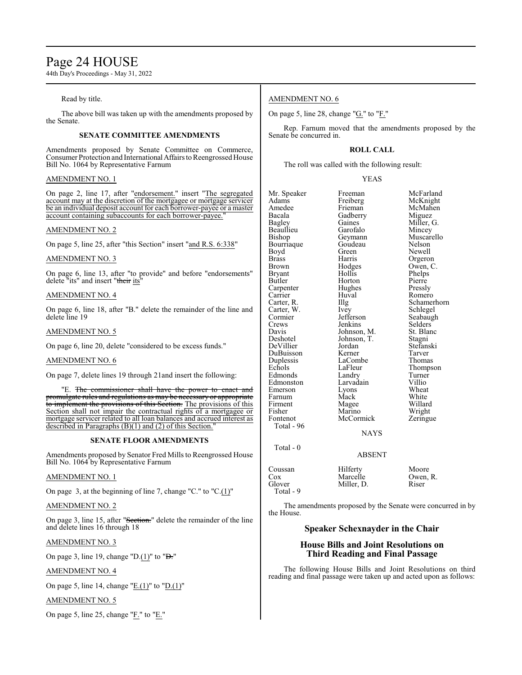# Page 24 HOUSE

44th Day's Proceedings - May 31, 2022

# Read by title.

The above bill was taken up with the amendments proposed by the Senate.

# **SENATE COMMITTEE AMENDMENTS**

Amendments proposed by Senate Committee on Commerce, Consumer Protection and International Affairs to Reengrossed House Bill No. 1064 by Representative Farnum

# AMENDMENT NO. 1

On page 2, line 17, after "endorsement." insert "The segregated account may at the discretion of the mortgagee or mortgage servicer be an individual deposit account for each borrower-payee or a master account containing subaccounts for each borrower-payee.

# AMENDMENT NO. 2

On page 5, line 25, after "this Section" insert "and R.S. 6:338"

# AMENDMENT NO. 3

On page 6, line 13, after "to provide" and before "endorsements" delete "its" and insert "their its"

# AMENDMENT NO. 4

On page 6, line 18, after "B." delete the remainder of the line and delete line 19

# AMENDMENT NO. 5

On page 6, line 20, delete "considered to be excess funds."

# AMENDMENT NO. 6

On page 7, delete lines 19 through 21and insert the following:

"E. The commissioner shall have the power to enact and promulgate rules and regulations as may be necessary or appropriate to implement the provisions of this Section. The provisions of this Section shall not impair the contractual rights of a mortgagee or mortgage servicer related to all loan balances and accrued interest as described in Paragraphs  $(B)(1)$  and  $(2)$  of this Section.

# **SENATE FLOOR AMENDMENTS**

Amendments proposed by Senator Fred Mills to Reengrossed House Bill No. 1064 by Representative Farnum

# AMENDMENT NO. 1

On page 3, at the beginning of line 7, change "C." to "C.(1)"

AMENDMENT NO. 2

On page 3, line 15, after "Section." delete the remainder of the line and delete lines 16 through 18

# AMENDMENT NO. 3

On page 3, line 19, change "D. $(1)$ " to "D."

# AMENDMENT NO. 4

On page 5, line 14, change " $E(1)$ " to " $D(1)$ "

# AMENDMENT NO. 5

On page 5, line 25, change " $E$ ." to " $E$ ."

# AMENDMENT NO. 6

On page 5, line 28, change " $G$ ." to " $F$ ."

Rep. Farnum moved that the amendments proposed by the Senate be concurred in.

# **ROLL CALL**

The roll was called with the following result:

# YEAS

| Mr. Speaker   | Freeman       | McFarland      |
|---------------|---------------|----------------|
| Adams         | Freiberg      | McKnight       |
| Amedee        | Frieman       | McMahen        |
| Bacala        | Gadberry      | Miguez         |
| Bagley        | Gaines        | Miller, G.     |
| Beaullieu     | Garofalo      | Mincey         |
| Bishop        | Geymann       | Muscarello     |
| Bourriaque    | Goudeau       | <b>Nelson</b>  |
| Boyd          | Green         | Newell         |
| <b>Brass</b>  | Harris        | Orgeron        |
| <b>Brown</b>  | Hodges        | Owen, C.       |
| <b>Bryant</b> | Hollis        | Phelps         |
| Butler        | Horton        | Pierre         |
| Carpenter     | Hughes        | Pressly        |
| Carrier       | Huval         | Romero         |
| Carter, R.    | IIIg          | Schamerhorn    |
| Carter, W.    | Ivey          | Schlegel       |
| Cormier       | Jefferson     | Seabaugh       |
| Crews         | Jenkins       | <b>Selders</b> |
| Davis         | Johnson, M.   | St. Blanc      |
| Deshotel      | Johnson, T.   | Stagni         |
| DeVillier     | Jordan        | Stefanski      |
| DuBuisson     | Kerner        | Tarver         |
| Duplessis     | LaCombe       | Thomas         |
| Echols        | LaFleur       | Thompson       |
| Edmonds       | Landry        | Turner         |
| Edmonston     | Larvadain     | Villio         |
| Emerson       | Lyons         | Wheat          |
| Farnum        | Mack          | White          |
| Firment       | Magee         | Willard        |
| Fisher        | Marino        | Wright         |
| Fontenot      | McCormick     | Zeringue       |
| Total - 96    |               |                |
|               | <b>NAYS</b>   |                |
| Total - $0$   |               |                |
|               | <b>ABSENT</b> |                |
| Coussan       | Hilferty      | Moore          |
| Cox           | Marcelle      | Owen, R.       |

Glover Miller, D. Riser Total - 9

The amendments proposed by the Senate were concurred in by the House.

# **Speaker Schexnayder in the Chair**

# **House Bills and Joint Resolutions on Third Reading and Final Passage**

The following House Bills and Joint Resolutions on third reading and final passage were taken up and acted upon as follows: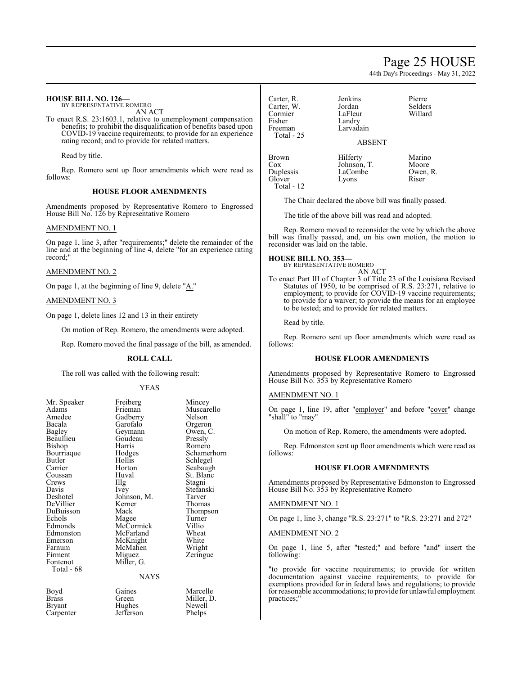# Page 25 HOUSE

44th Day's Proceedings - May 31, 2022

## **HOUSE BILL NO. 126—** BY REPRESENTATIVE ROMERO

AN ACT

To enact R.S. 23:1603.1, relative to unemployment compensation benefits; to prohibit the disqualification of benefits based upon COVID-19 vaccine requirements; to provide for an experience rating record; and to provide for related matters.

Read by title.

Rep. Romero sent up floor amendments which were read as follows:

# **HOUSE FLOOR AMENDMENTS**

Amendments proposed by Representative Romero to Engrossed House Bill No. 126 by Representative Romero

# AMENDMENT NO. 1

On page 1, line 3, after "requirements;" delete the remainder of the line and at the beginning of line 4, delete "for an experience rating record;"

# AMENDMENT NO. 2

On page 1, at the beginning of line 9, delete  $"_{A}$ ."

# AMENDMENT NO. 3

On page 1, delete lines 12 and 13 in their entirety

On motion of Rep. Romero, the amendments were adopted.

Rep. Romero moved the final passage of the bill, as amended.

# **ROLL CALL**

The roll was called with the following result:

## YEAS

| Mr. Speaker | Freiberg    | Mincey   |
|-------------|-------------|----------|
| Adams       | Frieman     | Muscar   |
| Amedee      | Gadberry    | Nelson   |
| Bacala      | Garofalo    | Orgeror  |
| Bagley      | Geymann     | Owen, 0  |
| Beaullieu   | Goudeau     | Pressly  |
| Bishop      | Harris      | Romerc   |
| Bourriaque  | Hodges      | Schame   |
| Butler      | Hollis      | Schlege  |
| Carrier     | Horton      | Seabaug  |
| Coussan     | Huval       | St. Blan |
| Crews       | Illg        | Stagni   |
| Davis       | Ivey        | Stefansl |
| Deshotel    | Johnson, M. | Tarver   |
| DeVillier   | Kerner      | Thomas   |
| DuBuisson   | Mack        | Thomps   |
| Echols      | Magee       | Turner   |
| Edmonds     | McCormick   | Villio   |
| Edmonston   | McFarland   | Wheat    |
| Emerson     | McKnight    | White    |
| Farnum      | McMahen     | Wright   |
| Firment     | Miguez      | Zeringu  |
| Fontenot    | Miller, G.  |          |
| Total - 68  |             |          |
|             | NAYS        |          |
|             |             |          |

Gadberry Nelson<br>Garofalo Orgeron Garofalo Orgeron<br>Geymann Owen, C. Geymann Owen, Owen, Coudeau Goudeau<br>Harris Harris Romero<br>Hodges Schame Hodges Schamerhorn<br>Hollis Schlegel Hollis Schlegel<br>Horton Seabaugl Horton Seabaugh<br>
Huval St. Blanc Huval St. Blanc<br>Illg Stagni Illg Stagni<br>Ivey Stefans Johnson, M.<br>Kerner Kerner Thomas<br>
Mack Thomas Magee Turner<br>
McCormick Villio McCormick Villio<br>
McFarland Wheat McFarland Wheat<br>
McKnight White McKnight White<br>
McMahen Wright McMahen<br>Miguez Miller, G.

# **NAYS**

Boyd Gaines Marcelle<br>Brass Green Miller, D Brass Green Miller, D.<br>Bryant Hughes Newell Carpenter

Hughes Newell<br>Jefferson Phelps

Muscarello<br>Nelson

Stefanski<br>Tarver

Thompson<br>Turner

Zeringue

Carter, R. Jenkins Pierre Carter, W. Jordan<br>Cormier LaFleur Cormier LaFleur Willard Fisher Landry<br>Freeman Larvada Total - 25

Glover

Larvadain

# ABSENT

Brown Hilferty Marino<br>Cox Johnson, T. Moore Cox Johnson, T. Moore<br>Duplessis LaCombe Owen, R. Total - 12

LaCombe Ower<br>Lyons Riser

The Chair declared the above bill was finally passed.

The title of the above bill was read and adopted.

Rep. Romero moved to reconsider the vote by which the above bill was finally passed, and, on his own motion, the motion to reconsider was laid on the table.

## **HOUSE BILL NO. 353—** BY REPRESENTATIVE ROMERO

AN ACT

To enact Part III of Chapter 3 of Title 23 of the Louisiana Revised Statutes of 1950, to be comprised of R.S. 23:271, relative to employment; to provide for COVID-19 vaccine requirements; to provide for a waiver; to provide the means for an employee to be tested; and to provide for related matters.

Read by title.

Rep. Romero sent up floor amendments which were read as follows:

# **HOUSE FLOOR AMENDMENTS**

Amendments proposed by Representative Romero to Engrossed House Bill No. 353 by Representative Romero

## AMENDMENT NO. 1

On page 1, line 19, after "employer" and before "cover" change "shall" to "may"

On motion of Rep. Romero, the amendments were adopted.

Rep. Edmonston sent up floor amendments which were read as follows:

# **HOUSE FLOOR AMENDMENTS**

Amendments proposed by Representative Edmonston to Engrossed House Bill No. 353 by Representative Romero

# AMENDMENT NO. 1

On page 1, line 3, change "R.S. 23:271" to "R.S. 23:271 and 272"

# AMENDMENT NO. 2

On page 1, line 5, after "tested;" and before "and" insert the following:

"to provide for vaccine requirements; to provide for written documentation against vaccine requirements; to provide for exemptions provided for in federal laws and regulations; to provide for reasonable accommodations; to provide for unlawful employment practices;"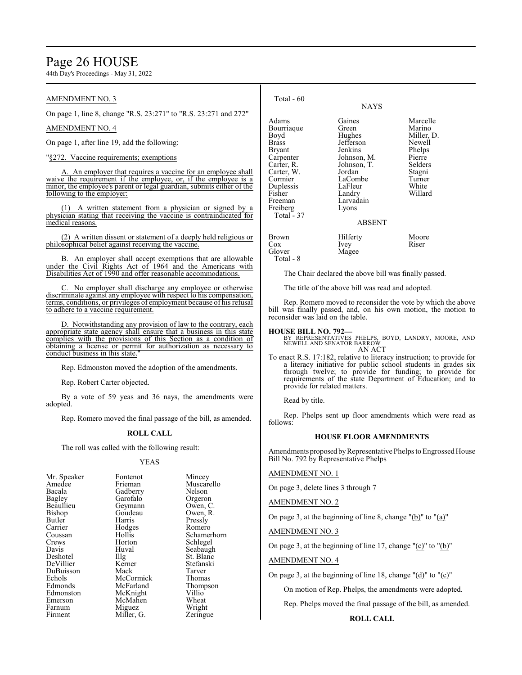# Page 26 HOUSE

44th Day's Proceedings - May 31, 2022

# AMENDMENT NO. 3

On page 1, line 8, change "R.S. 23:271" to "R.S. 23:271 and 272"

# AMENDMENT NO. 4

On page 1, after line 19, add the following:

"§272. Vaccine requirements; exemptions

An employer that requires a vaccine for an employee shall waive the requirement if the employee, or, if the employee is a minor, the employee's parent or legal guardian, submits either of the following to the employer:

A written statement from a physician or signed by a physician stating that receiving the vaccine is contraindicated for medical reasons.

(2) A written dissent or statement of a deeply held religious or philosophical belief against receiving the vaccine.

B. An employer shall accept exemptions that are allowable under the Civil Rights Act of 1964 and the Americans with Disabilities Act of 1990 and offer reasonable accommodations.

No employer shall discharge any employee or otherwise discriminate against any employee with respect to his compensation, terms, conditions, or privileges of employment because of his refusal to adhere to a vaccine requirement.

D. Notwithstanding any provision of law to the contrary, each appropriate state agency shall ensure that a business in this state complies with the provisions of this Section as a condition of obtaining a license or permit for authorization as necessary to conduct business in this state."

Rep. Edmonston moved the adoption of the amendments.

Rep. Robert Carter objected.

By a vote of 59 yeas and 36 nays, the amendments were adopted.

Rep. Romero moved the final passage of the bill, as amended.

# **ROLL CALL**

The roll was called with the following result:

# YEAS

| Mr. Speaker | Fontenot          | Mincey         |
|-------------|-------------------|----------------|
| Amedee      | Frieman           | Muscar         |
| Bacala      | Gadberry          | Nelson         |
| Bagley      | Garofalo          | Orgeror        |
| Beaullieu   | Geymann           | Owen, $\theta$ |
| Bishop      | Goudeau           | Owen, 1        |
| Butler      | Harris            | Pressly        |
| Carrier     | Hodges            | Romero         |
| Coussan     | Hollis            | Schame         |
| Crews       | Horton            | Schlege        |
| Davis       | Huval             | Seabaug        |
| Deshotel    | $\prod_{i=1}^{n}$ | St. Blar       |
| DeVillier   | Kerner            | <b>Stefans</b> |
| DuBuisson   | Mack              | Tarver         |
| Echols      | McCormick         | Thomas         |
| Edmonds     | McFarland         | Thomp:         |
| Edmonston   | McKnight          | Villio         |
| Emerson     | McMahen           | Wheat          |
| Farnum      | Miguez            | Wright         |
| Firment     | Miller, G.        | Zeringu        |
|             |                   |                |

Muscarello<br>Nelson Gadberry Nelson<br>Garofalo Orgeron Garofalo Orgeron<br>Geymann Owen, C. Geymann Owen, C.<br>Goudeau Owen, R. Goudeau Owen,<br>Harris Pressly Hodges Romero<br>Hollis Schame Hollis Schamerhorn<br>Horton Schlegel Horton Schlegel<br>Huval Seabaugl Huval Seabaugh<br>Illg St. Blanc Illg St. Blanc<br>
Kerner Stefanski Kerner Stefanski<br>Mack Tarver Tarver<br>Thomas Thompson<br>Villio McKnight Villio<br>
McMahen Wheat McMahen Wheat<br>
Miguez Wright Miller, G. Zeringue

| Total - 60                                                                                                                                                     | <b>NAYS</b>                                                                                                                                     |                                                                                                                   |
|----------------------------------------------------------------------------------------------------------------------------------------------------------------|-------------------------------------------------------------------------------------------------------------------------------------------------|-------------------------------------------------------------------------------------------------------------------|
| Adams<br>Bourriaque<br>Boyd<br>Brass<br>Bryant<br>Carpenter<br>Carter, R.<br>Carter, W.<br>Cormier<br>Duplessis<br>Fisher<br>Freeman<br>Freiberg<br>Total - 37 | Gaines<br>Green<br>Hughes<br>Jefferson<br>Jenkins<br>Johnson, M.<br>Johnson, T.<br>Jordan<br>LaCombe<br>LaFleur<br>Landry<br>Larvadain<br>Lyons | Marcelle<br>Marino<br>Miller, D.<br>Newell<br>Phelps<br>Pierre<br>Selders<br>Stagni<br>Turner<br>White<br>Willard |
|                                                                                                                                                                | <b>ABSENT</b>                                                                                                                                   |                                                                                                                   |
| Brown<br>Cox<br>Glover                                                                                                                                         | Hilferty<br>Ivey<br>Magee                                                                                                                       | Moore<br>Riser                                                                                                    |

The Chair declared the above bill was finally passed.

The title of the above bill was read and adopted.

Rep. Romero moved to reconsider the vote by which the above bill was finally passed, and, on his own motion, the motion to reconsider was laid on the table.

# **HOUSE BILL NO. 792—**

Total - 8

BY REPRESENTATIVES PHELPS, BOYD, LANDRY, MOORE, AND NEWELL AND SENATOR BARROW AN ACT

To enact R.S. 17:182, relative to literacy instruction; to provide for a literacy initiative for public school students in grades six through twelve; to provide for funding; to provide for requirements of the state Department of Education; and to provide for related matters.

Read by title.

Rep. Phelps sent up floor amendments which were read as follows:

# **HOUSE FLOOR AMENDMENTS**

Amendments proposed by Representative Phelps to Engrossed House Bill No. 792 by Representative Phelps

# AMENDMENT NO. 1

On page 3, delete lines 3 through 7

AMENDMENT NO. 2

On page 3, at the beginning of line 8, change "(b)" to "(a)"

AMENDMENT NO. 3

On page 3, at the beginning of line 17, change "(c)" to "(b)"

# AMENDMENT NO. 4

On page 3, at the beginning of line 18, change "(d)" to "(c)"

On motion of Rep. Phelps, the amendments were adopted.

Rep. Phelps moved the final passage of the bill, as amended.

# **ROLL CALL**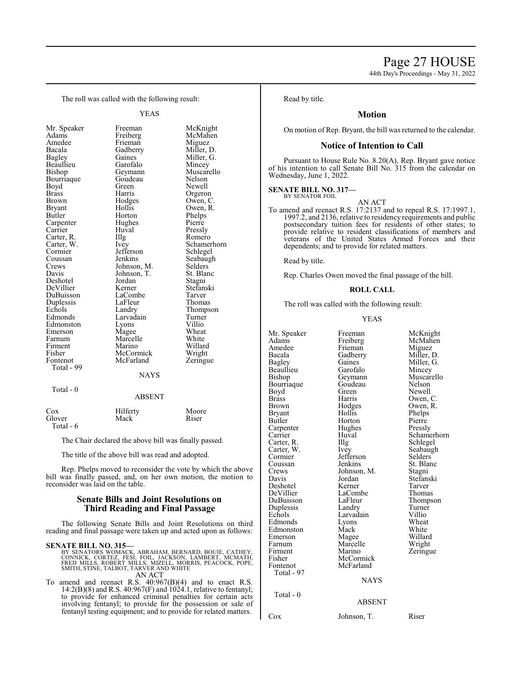44th Day's Proceedings - May 31, 2022

The roll was called with the following result:

YEAS

Bourriaque Goude<br>Boyd Green Carpenter Hughe<br>Carrier Huval Carter, R. Illg<br>Carter, W. Ivey Cormier Jefferson<br>Coussan Jenkins Duplessis LaFleur<br>Echols Landry Total - 99

Mr. Speaker Freeman McKnight<br>
Adams Freiberg McMahen Freiberg Amedee Frieman Miguez<br>Bacala Gadberry Miller, l Bacala Gadberry Miller, D. Gaines Miller, G.<br>Garofalo Mincey Beaullieu Garofalo Mincey<br>Bishop Geymann Muscarello Geymann Muscar<br>Goudeau Nelson Boyd Green Newell<br>Brass Harris Orgeror Brass Harris Orgeron<br>Brown Hodges Owen, C Brown Hodges Owen, C.<br>Bryant Hollis Owen, R. Bryant Hollis Owen, R. Horton Phelps<br>Hughes Pierre Carrier Huval Pressly<br>Carter, R. Illg Romero Carter, W. Ivey Schamerhorn<br>
Cormier Jefferson Schlegel Coussan Jenkins Seabaugh<br>Crews Johnson M. Selders Crews Johnson, M. Selders Davis Johnson, T. St. Blanc Johnson, T. St. Bla<br>Jordan Stagni Deshotel Jordan Stagni DeVillier Kerner Stefans<br>DuBuisson LaCombe Tarver DuBuisson LaCombe Tarver Echols Landry Thompson<br>Edmonds Larvadain Turner Larvadain Turner<br>Lyons Villio Edmonston Lyons Villio<br>
Emerson Magee Wheat Emerson Magee Wheat<br>
Farnum Marcelle White Marcelle White<br>
Marino Willard Firment Marino Willard<br>Fisher McCormick Wright Fisher McCormick Wright<br>
Fontenot McFarland Zeringue McFarland NAYS

Total - 0

# ABSENT

| Cox       | Hilferty | Moore |
|-----------|----------|-------|
| Glover    | Mack     | Riser |
| Total - 6 |          |       |

The Chair declared the above bill was finally passed.

The title of the above bill was read and adopted.

Rep. Phelps moved to reconsider the vote by which the above bill was finally passed, and, on her own motion, the motion to reconsider was laid on the table.

# **Senate Bills and Joint Resolutions on Third Reading and Final Passage**

The following Senate Bills and Joint Resolutions on third reading and final passage were taken up and acted upon as follows:

# **SENATE BILL NO. 315—**

- BY SENATORS WOMACK, ABRAHAM, BERNARD, BOUIE, CATHEY,<br>CONNICK, CORTEZ, FESI, FOIL, JACKSON, LAMBERT, MCMATH,<br>FRED MILLS, ROBERT MILLS, MIZELL, MORRIS, PEACOCK, POPE,<br>SMITH, STINE, TALBOT, TARVER AND WHITE AN ACT
- To amend and reenact R.S. 40:967(B)(4) and to enact R.S. 14:2(B)(8) and R.S. 40:967(F) and 1024.1, relative to fentanyl; to provide for enhanced criminal penalties for certain acts involving fentanyl; to provide for the possession or sale of fentanyl testing equipment; and to provide for related matters.

Read by title.

# **Motion**

On motion of Rep. Bryant, the bill was returned to the calendar.

# **Notice of Intention to Call**

Pursuant to House Rule No. 8.20(A), Rep. Bryant gave notice of his intention to call Senate Bill No. 315 from the calendar on Wednesday, June 1, 2022.

# **SENATE BILL NO. 317—** BY SENATOR FOIL

AN ACT To amend and reenact R.S. 17:2137 and to repeal R.S. 17:1997.1, 1997.2, and 2136, relative to residency requirements and public postsecondary tuition fees for residents of other states; to provide relative to resident classifications of members and veterans of the United States Armed Forces and their dependents; and to provide for related matters.

Read by title.

Rep. Charles Owen moved the final passage of the bill.

# **ROLL CALL**

The roll was called with the following result:

## YEAS

| Mr. Speaker<br>Adams<br>Amedee<br>Bacala<br><b>Bagley</b><br>Beaullieu<br>Bishop<br>Bourriaque<br>Boyd<br><b>Brass</b><br>Brown<br>Bryant<br>Butler<br>Carpenter<br>Carrier<br>Carter, R.<br>Carter, W.<br>Cormier<br>Coussan<br>Crews<br>Davis<br>Deshotel<br>DeVillier<br>DuBuisson<br>Duplessis<br>Echols<br>Edmonds<br>Edmonston<br>Emerson<br>Farnum<br>Firment<br>Fisher<br>Fontenot<br>Total - 97<br>Total - 0 | Freeman<br>Freiberg<br>Frieman<br>Gadberry<br>Gaines<br>Garofalo<br>Geymann<br>Goudeau<br>Green<br>Harris<br>Hodges<br>Hollis<br>Horton<br>Hughes<br>Huval<br>Illg<br>Ivey<br>Jefferson<br>Jenkins<br>Johnson, M.<br>Jordan<br>Kerner<br>LaCombe<br>LaFleur<br>Landry<br>Larvadain<br>Lyons<br>Mack<br>Magee<br>Marcelle<br>Marino<br>McCormick<br>McFarland<br><b>NAYS</b> | McKnight<br>McMahen<br>Miguez<br>Miller, D.<br>Miller, G.<br>Mincey<br>Muscarello<br>Nelson<br>Newell<br>Owen, C.<br>Owen, R.<br>Phelps<br>Pierre<br>Pressly<br>Schamerhorn<br>Schlegel<br>Seabaugh<br>Selders<br>St. Blanc<br>Stagni<br>Stefanski<br>Tarver<br>Thomas<br>Thompson<br>Turner<br>Villio<br>Wheat<br>White<br>Willard<br>Wright<br>Zeringue |
|-----------------------------------------------------------------------------------------------------------------------------------------------------------------------------------------------------------------------------------------------------------------------------------------------------------------------------------------------------------------------------------------------------------------------|-----------------------------------------------------------------------------------------------------------------------------------------------------------------------------------------------------------------------------------------------------------------------------------------------------------------------------------------------------------------------------|-----------------------------------------------------------------------------------------------------------------------------------------------------------------------------------------------------------------------------------------------------------------------------------------------------------------------------------------------------------|
|                                                                                                                                                                                                                                                                                                                                                                                                                       | <b>ABSENT</b>                                                                                                                                                                                                                                                                                                                                                               |                                                                                                                                                                                                                                                                                                                                                           |
| Cox                                                                                                                                                                                                                                                                                                                                                                                                                   | Johnson. T.                                                                                                                                                                                                                                                                                                                                                                 | Riser                                                                                                                                                                                                                                                                                                                                                     |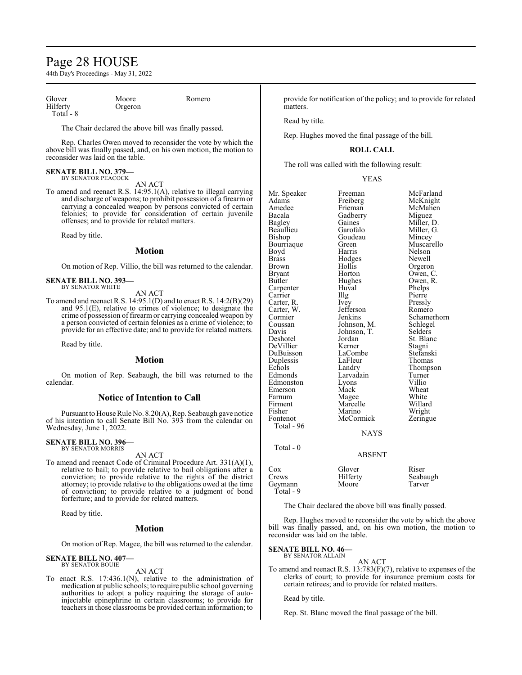# Page 28 HOUSE

44th Day's Proceedings - May 31, 2022

| Glover    | Moore   | Romero |
|-----------|---------|--------|
| Hilfertv  | Orgeron |        |
| Total - 8 |         |        |

The Chair declared the above bill was finally passed.

Rep. Charles Owen moved to reconsider the vote by which the above bill was finally passed, and, on his own motion, the motion to reconsider was laid on the table.

# **SENATE BILL NO. 379—** BY SENATOR PEACOCK

AN ACT

To amend and reenact R.S. 14:95.1(A), relative to illegal carrying and discharge of weapons; to prohibit possession of a firearm or carrying a concealed weapon by persons convicted of certain felonies; to provide for consideration of certain juvenile offenses; and to provide for related matters.

Read by title.

# **Motion**

On motion of Rep. Villio, the bill was returned to the calendar.

**SENATE BILL NO. 393—** BY SENATOR WHITE

AN ACT

To amend and reenact R.S. 14:95.1(D) and to enact R.S. 14:2(B)(29) and 95.1(E), relative to crimes of violence; to designate the crime of possession of firearm or carrying concealed weapon by a person convicted of certain felonies as a crime of violence; to provide for an effective date; and to provide for related matters.

Read by title.

# **Motion**

On motion of Rep. Seabaugh, the bill was returned to the calendar.

# **Notice of Intention to Call**

Pursuant to House Rule No. 8.20(A), Rep. Seabaugh gave notice of his intention to call Senate Bill No. 393 from the calendar on Wednesday, June 1, 2022.

## **SENATE BILL NO. 396—** BY SENATOR MORRIS

AN ACT

To amend and reenact Code of Criminal Procedure Art. 331(A)(1), relative to bail; to provide relative to bail obligations after a conviction; to provide relative to the rights of the district attorney; to provide relative to the obligations owed at the time of conviction; to provide relative to a judgment of bond forfeiture; and to provide for related matters.

Read by title.

# **Motion**

On motion of Rep. Magee, the bill was returned to the calendar.

# **SENATE BILL NO. 407—** BY SENATOR BOUIE

AN ACT

To enact R.S. 17:436.1(N), relative to the administration of medication at public schools; to require public school governing authorities to adopt a policy requiring the storage of autoinjectable epinephrine in certain classrooms; to provide for teachers in those classrooms be provided certain information; to

provide for notification of the policy; and to provide for related **matters** 

Read by title.

Rep. Hughes moved the final passage of the bill.

# **ROLL CALL**

The roll was called with the following result:

## YEAS

| Mr. Speaker   | Freeman       | McFarland   |
|---------------|---------------|-------------|
| Adams         | Freiberg      | McKnight    |
| Amedee        | Frieman       | McMahen     |
| Bacala        | Gadberry      | Miguez      |
| <b>Bagley</b> | Gaines        | Miller, D.  |
| Beaullieu     | Garofalo      | Miller, G.  |
| Bishop        | Goudeau       | Mincey      |
| Bourriaque    | Green         | Muscarello  |
| Boyd          | Harris        | Nelson      |
| <b>Brass</b>  | Hodges        | Newell      |
| <b>Brown</b>  | Hollis        | Orgeron     |
| <b>Bryant</b> | Horton        | Owen, C.    |
| Butler        | Hughes        | Owen, R.    |
| Carpenter     | Huval         | Phelps      |
| Carrier       | Illg          | Pierre      |
| Carter, R.    | Ivey          | Pressly     |
| Carter, W.    | Jefferson     | Romero      |
| Cormier       | Jenkins       | Schamerhorn |
| Coussan       | Johnson, M.   | Schlegel    |
| Davis         | Johnson, T.   | Selders     |
| Deshotel      | Jordan        | St. Blanc   |
| DeVillier     | Kerner        | Stagni      |
| DuBuisson     | LaCombe       | Stefanski   |
| Duplessis     | LaFleur       | Thomas      |
| Echols        | Landry        | Thompson    |
| Edmonds       | Larvadain     | Turner      |
| Edmonston     | Lyons         | Villio      |
| Emerson       | Mack          | Wheat       |
| Farnum        | Magee         | White       |
| Firment       | Marcelle      | Willard     |
| Fisher        | Marino        | Wright      |
| Fontenot      | McCormick     | Zeringue    |
| Total - 96    |               |             |
|               | <b>NAYS</b>   |             |
| Total - 0     |               |             |
|               | <b>ABSENT</b> |             |
|               |               |             |
| $\cos$        | Glover        | Riser       |
| Crews         | Hilferty      | Seabaugh    |
| Geymann       | Moore         | Tarver      |

The Chair declared the above bill was finally passed.

Rep. Hughes moved to reconsider the vote by which the above bill was finally passed, and, on his own motion, the motion to reconsider was laid on the table.

**SENATE BILL NO. 46—** BY SENATOR ALLAIN

Total - 9

AN ACT

To amend and reenact R.S. 13:783(F)(7), relative to expenses of the clerks of court; to provide for insurance premium costs for certain retirees; and to provide for related matters.

Read by title.

Rep. St. Blanc moved the final passage of the bill.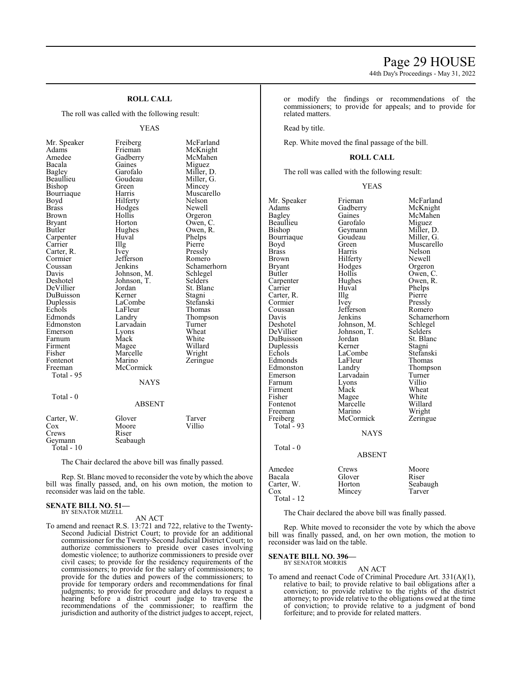# **ROLL CALL**

The roll was called with the following result:

# YEAS

Bacala Gaines<br>Bagley Garofalo Brass Hodges<br>Brown Hollis Cormier Jefferson<br>Coussan Jenkins Echols LaFleur<br>Edmonds Landry Fisher Marcelle<br>Fontenot Marino Total - 95 Total - 0

Mr. Speaker Freiberg McFarland<br>Adams Frieman McKnight Adams Frieman McKnight<br>Amedee Gadberry McMahen Amedee Gadberry McMahen<br>Bacala Gaines Miguez Bagley Garofalo Miller, D. Beaullieu Goudeau Miller, G.<br>Bishop Green Mincey Green Mincey<br>Harris Muscarello Bourriaque Harris Muscarello Hilferty<br>Hodges Newell Brown Hollis Orgeron<br>Bryant Horton Owen, C Bryant Horton Owen, C.<br>Butler Hughes Owen, R. Hughes Owen, R.<br>Huval Phelps Carpenter Huval Phelps<br>Carrier Hughes Pierre Carrier IIIg Pierre<br>Carter, R. Ivey Pressly Carter, R. Ivey Pressly<br>
Cormier Jefferson Romero Coussan Jenkins Schamerhorn<br>
Davis Johnson, M. Schlegel Davis Johnson, M. Schlege<br>Deshotel Johnson, T. Selders Johnson, T.<br>Jordan St. Blanc DeVillier Jordan St. Blanck<br>DuBuisson Kerner Stagni DuBuisson Kerner Stagni Duplessis LaCombe Stefansk<br>Echols LaFleur Thomas Landry Thompson<br>Larvadain Turner Edmonston Larvadain Turner<br>
Emerson Lyons Wheat Emerson Lyons Wheat<br>
Farnum Mack White Farnum Mack White<br>
Firment Magee Willard Firment Magee Willard<br>Fisher Marcelle Wright Zeringue Freeman McCormick **NAYS** ABSENT Carter, W. Glover Tarver

| Cancel, M.   | <b>OIU VEL</b> | 1 ai v Ci |
|--------------|----------------|-----------|
| Cox          | Moore          | Villio    |
| Crews        | Riser          |           |
| Geymann      | Seabaugh       |           |
| Total - $10$ |                |           |
|              |                |           |

The Chair declared the above bill was finally passed.

Rep. St. Blanc moved to reconsider the vote by which the above bill was finally passed, and, on his own motion, the motion to reconsider was laid on the table.

## **SENATE BILL NO. 51—** BY SENATOR MIZELL

AN ACT

To amend and reenact R.S. 13:721 and 722, relative to the Twenty-Second Judicial District Court; to provide for an additional commissioner for the Twenty-Second Judicial District Court; to authorize commissioners to preside over cases involving domestic violence; to authorize commissioners to preside over civil cases; to provide for the residency requirements of the commissioners; to provide for the salary of commissioners; to provide for the duties and powers of the commissioners; to provide for temporary orders and recommendations for final judgments; to provide for procedure and delays to request a hearing before a district court judge to traverse the recommendations of the commissioner; to reaffirm the jurisdiction and authority of the district judges to accept, reject, or modify the findings or recommendations of the commissioners; to provide for appeals; and to provide for related matters.

Read by title.

Rep. White moved the final passage of the bill.

# **ROLL CALL**

The roll was called with the following result:

## YEAS

| Mr. Speaker   | Frieman       | McFarland   |
|---------------|---------------|-------------|
| Adams         | Gadberry      | McKnight    |
| Bagley        | Gaines        | McMahen     |
| Beaullieu     | Garofalo      | Miguez      |
| Bishop        | Geymann       | Miller, D.  |
| Bourriaque    | Goudeau       | Miller, G.  |
| Boyd          | Green         | Muscarello  |
| Brass         | Harris        | Nelson      |
| Brown         | Hilferty      | Newell      |
| <b>Bryant</b> | Hodges        | Orgeron     |
| Butler        | Hollis        | Owen, C.    |
| Carpenter     | Hughes        | Owen, R.    |
| Carrier       | Huval         | Phelps      |
| Carter, R.    | Illg          | Pierre      |
| Cormier       | <i>lvey</i>   | Pressly     |
| Coussan       | Jefferson     | Romero      |
| Davis         | Jenkins       | Schamerhorn |
| Deshotel      | Johnson, M.   | Schlegel    |
| DeVillier     | Johnson, T.   | Selders     |
| DuBuisson     | Jordan        | St. Blanc   |
| Duplessis     | Kerner        | Stagni      |
| Echols        | LaCombe       | Stefanski   |
| Edmonds       | LaFleur       | Thomas      |
| Edmonston     | Landry        | Thompson    |
| Emerson       | Larvadain     | Turner      |
| Farnum        | Lyons         | Villio      |
| Firment       | Mack          | Wheat       |
| Fisher        | Magee         | White       |
| Fontenot      | Marcelle      | Willard     |
| Freeman       | Marino        | Wright      |
| Freiberg      | McCormick     | Zeringue    |
| Total - 93    |               |             |
|               | <b>NAYS</b>   |             |
| Total - 0     |               |             |
|               | <b>ABSENT</b> |             |
| Amedee        | Crews         | Moore       |
| Bacala        | Glover        | Riser       |
| Carter, W.    | Horton        | Seabaugh    |
| $\cos$        | Mincey        | Tarver      |
| Total - 12    |               |             |

The Chair declared the above bill was finally passed.

Rep. White moved to reconsider the vote by which the above bill was finally passed, and, on her own motion, the motion to reconsider was laid on the table.

# **SENATE BILL NO. 396—**

BY SENATOR MORRIS AN ACT

To amend and reenact Code of Criminal Procedure Art. 331(A)(1), relative to bail; to provide relative to bail obligations after a conviction; to provide relative to the rights of the district attorney; to provide relative to the obligations owed at the time of conviction; to provide relative to a judgment of bond forfeiture; and to provide for related matters.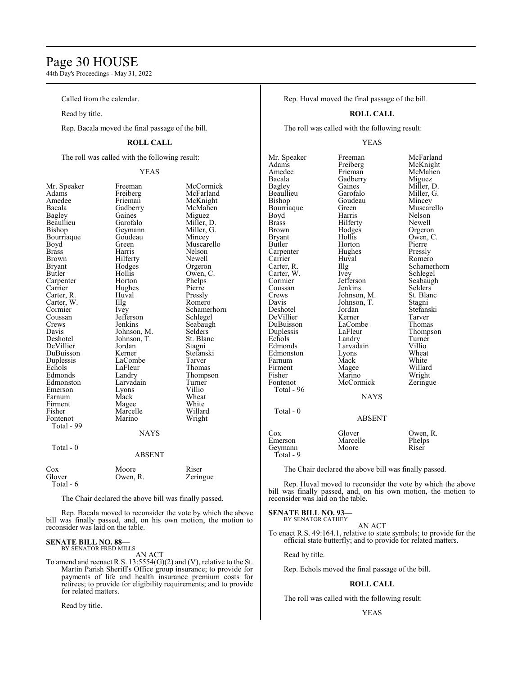# Page 30 HOUSE

44th Day's Proceedings - May 31, 2022

Called from the calendar.

Read by title.

Rep. Bacala moved the final passage of the bill.

# **ROLL CALL**

The roll was called with the following result:

# YEAS

Bacala Gadberry<br>Bagley Gaines Bourriaque Goude<br>Boyd Green Brown Hilferty<br>Bryant Hodges Carter, W. Illg<br>Cormier Ivey Coussan Jefferson<br>Crews Jenkins Echols LaFleur<br>Edmonds Landry Fontenot Total - 99 Total - 0 Total - 6

Mr. Speaker Freeman McCormick<br>Adams Freiberg McFarland Adams Freiberg McFarland Amedee Frieman McKnight<br>Bacala Gadberry McMahen Bagley Gaines Miguez<br>Beaullieu Garofalo Miller, l Beaullieu Garofalo Miller, D.<br>Bishop Geymann Miller, G. Geymann Miller, Goudeau Mincey Boyd Green Muscarello<br>Brass Harris Nelson Brass Harris Nelson Bryant Hodges Orgeron<br>Butler Hollis Owen, C Hollis Owen, C.<br>Horton Phelps Carpenter Horton Phelps<br>
Carrier Hughes Pierre Hughes Pierre<br>Huyal Pressly Carter, R. Huval Pressly Cormier Ivey Schamerhorn<br>
Coussan Jefferson Schlegel Crews Jenkins Seabaugh<br>Davis Johnson, M. Selders Davis Johnson, M. Selders<br>Deshotel Johnson, T. St. Blanc Johnson, T. St. Blanch<br>Jordan Stagni DeVillier Jordan Stagni DuBuisson Kerner Stefans<br>Duplessis LaCombe Tarver Duplessis LaCombe Tarver Landry Thompson<br>Larvadain Turner Edmonston Larvadain Turner Emerson Lyons Villio<br>
Farnum Mack Wheat Farnum Mack Wheat<br>Firment Mage White Firment Magee White<br>
Fisher Marcelle Willard Marcelle Willard<br>
Marino Wright NAYS ABSENT

| Moore    | Riser    |
|----------|----------|
| Owen, R. | Zeringue |
|          |          |
|          |          |

The Chair declared the above bill was finally passed.

Rep. Bacala moved to reconsider the vote by which the above bill was finally passed, and, on his own motion, the motion to reconsider was laid on the table.

## **SENATE BILL NO. 88—** BY SENATOR FRED MILLS

AN ACT

To amend and reenact R.S. 13:5554(G)(2) and (V), relative to the St. Martin Parish Sheriff's Office group insurance; to provide for payments of life and health insurance premium costs for retirees; to provide for eligibility requirements; and to provide for related matters.

Read by title.

Rep. Huval moved the final passage of the bill.

# **ROLL CALL**

The roll was called with the following result:

# YEAS

Mr. Speaker Freeman McFarland<br>
Adams Freiberg McKnight Adams Freiberg McKnight Amedee Frieman McMahen<br>Bacala Gadberry Miguez Bacala Gadberry<br>Bagley Gaines Bagley Gaines Miller, D.<br>Beaullieu Garofalo Miller, G. Beaullieu Garofalo Miller, G.<br>Bishop Goudeau Mincey Bourriaque Green<br>Boyd Harris Boyd Harris Nelson<br>Brass Hilferty Newell Brass Hilferty Newell<br>Brown Hodges Orgeron Brown Hodges<br>Bryant Hollis Bryant Hollis Owen, C.<br>Butler Horton Pierre Carpenter Hughe<br>Carrier Huval Carrier Huval Romero<br>Carter, R. Illg Schamer Carter, W. Ivey<br>Cormier Jefferson Cormier Jefferson Seabaugh<br>
Coussan Jenkins Selders Coussan Jenkins Selders<br>Crews Johnson M St Blanc Crews Johnson, M. St. Bla<br>
Davis Johnson, T. Stagni Davis Johnson, T.<br>Deshotel Jordan DeVillier Kerner Tarver<br>DuBuisson LaCombe Thomas DuBuisson LaComb<br>
Duplessis LaFleur Duplessis LaFleur Thompson<br>
Echols Landry Turner Echols Landry Turner<br>Edmonds Larvadain Villio Edmonston Lyons Wheat<br>Farnum Mack White Farnum Mack<br>Firment Magee Firment Magee Willard<br>Fisher Marino Wright Fisher Marino Wright<br>Fontenot McCormick Zeringue Total - 96 Total - 0

**McCormick NAYS** 

Goudeau Mincey<br>Green Muscarello Horton Pierre<br>Hughes Pressly Illg Schamerhorn<br>Ivey Schlegel Jordan Stefanski<br>Kerner Tarver Larvadain Villio<br>Lyons Wheat

# ABSENT

Cox Glover Owen, R.<br>Emerson Marcelle Phelps Emerson Marcelle Phelp<br>
Geymann Moore Riser Geymann Total - 9

The Chair declared the above bill was finally passed.

Rep. Huval moved to reconsider the vote by which the above bill was finally passed, and, on his own motion, the motion to reconsider was laid on the table.

## **SENATE BILL NO. 93—** BY SENATOR CATHEY

AN ACT

To enact R.S. 49:164.1, relative to state symbols; to provide for the official state butterfly; and to provide for related matters.

Read by title.

Rep. Echols moved the final passage of the bill.

# **ROLL CALL**

The roll was called with the following result: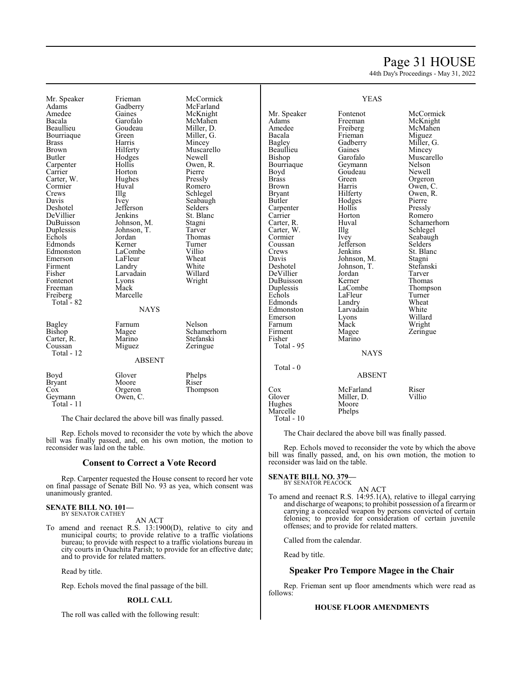# Page 31 HOUSE

44th Day's Proceedings - May 31, 2022

Mr. Speaker Frieman McCormick<br>Adams Gadberry McFarland Adams Gadberry McFarland<br>Amedee Gaines McKnight Amedee Gaines McKnight<br>Bacala Garofalo McMahen Bacala Garofalo McMahen **Bourriaque** Brass Harris Mincey Brown Hilferty Muscarello<br>Butler Hodges Newell Carpenter Hollis Owen,<br>Carrier Horton Pierre Carter, W. Hughes Pressly<br>Cormier Huval Romero Cormier Huv<br>Crews Hllg Crews Illg Schlegel<br>
Davis Ivev Seabaug Davis Ivey Seabaugh<br>Deshotel Jefferson Selders DeVillier Jenkins St. Blanch<br>DuBuisson Johnson, M. Stagni DuBuisson Johnson, M. Stagni Duplessis Johnson, T.<br>Echols Jordan Edmonds Kerner Turner<br>Edmonston LaCombe Villio Edmonston LaCombe Villio<br>
Emerson LaFleur Wheat Emerson LaFleur Wheat<br>Firment Landry White Firment Landry White<br>
Fisher Larvadain Willard Fontenot Lyons<br>Freeman Mack Freeman Mack<br>Freiberg Marcelle Freiberg Marcelle Total - 82 Bagley Farnum Nelson<br>Bishop Magee Schame Carter, R. Marino<br>Coussan Miguez Total - 12

Goudeau Miller, D.<br>Green Miller, G. Hodges Newell<br>Hollis Owen, R. Horton Pierre<br>
Hughes Pressly Jefferson Selders<br>Jenkins St. Blanc Jordan Thomas<br>
Kerner Turner Larvadain Willard<br>Lyons Wright **NAYS** 

Magee Schamerhorn<br>Marino Stefanski Zeringue

| Boyd          | Glover   | Phelps   |
|---------------|----------|----------|
| <b>Bryant</b> | Moore    | Riser    |
| Cox           | Orgeron  | Thompson |
| Geymann       | Owen, C. |          |
| $Total - 11$  |          |          |

The Chair declared the above bill was finally passed.

ABSENT

Rep. Echols moved to reconsider the vote by which the above bill was finally passed, and, on his own motion, the motion to reconsider was laid on the table.

# **Consent to Correct a Vote Record**

Rep. Carpenter requested the House consent to record her vote on final passage of Senate Bill No. 93 as yea, which consent was unanimously granted.

## **SENATE BILL NO. 101—** BY SENATOR CATHEY

AN ACT

To amend and reenact R.S. 13:1900(D), relative to city and municipal courts; to provide relative to a traffic violations bureau; to provide with respect to a traffic violations bureau in city courts in Ouachita Parish; to provide for an effective date; and to provide for related matters.

Read by title.

Rep. Echols moved the final passage of the bill.

# **ROLL CALL**

The roll was called with the following result:

Mr. Speaker Fontenot McCormick<br>
Adams Freeman McKnight Adams Freeman McKnight<br>Amedee Freiberg McMahen Amedee Freiberg McMahen<br>Bacala Frieman Miguez Bagley Gadberry Miller,<br>Beaullieu Gaines Mincey Beaullieu Gaines<br>Bishop Garofalo Bourriaque Geymann Nelson<br>Boyd Goudeau Newell Boyd Goudeau<br>Brass Green Brass Green Orgeron<br>Brown Harris Owen, C Brown Harris Owen, C.<br>Bryant Hilferty Owen, R. Bryant Hilferty Owen, R.<br>Butler Hodges Pierre Hodges<br>Hollis Carpenter Hollis Pressly<br>Carrier Horton Romero Carrier Horton Romero<br>Carter, R. Huval Schamer Carter, W. Illg<br>Cormier Ivev Cormier Ivey Seabaugh<br>Coussan Jefferson Selders Coussan Jefferson<br>Crews Jenkins Crews Jenkins St. Blanc<br>
Davis Johnson, M. Stagni Davis Johnson, M. Stagni DeVillier Jordan Tarver DuBuisson Kerner<br>
Duplessis LaCombe Duplessis LaCombe Thompson<br>
Echols LaFleur Turner Edmonds Landry Wheat<br>Edmonston Larvadain White Edmonston Larvad<br>Emerson Lyons Farnum Mack<br>Firment Magee Firment Magee Zeringue<br>Fisher Marino Marino Total - 95 Total - 0

# YEAS

Frieman Miguez<br>Gadberry Miller, G. Garofalo Muscarello<br>Geymann Nelson Huval Schamerhorn<br>
Illg Schlegel Johnson, T. Stefans<br>Jordan Tarver LaFleur Turner<br>Landry Wheat External Lyons<br>
External Muslim Wright<br>
Muslim Wright

NAYS

# ABSENT

# Cox McFarland Riser<br>
Glover Miller D. Villio Miller, D.<br>Moore

The Chair declared the above bill was finally passed.

Rep. Echols moved to reconsider the vote by which the above bill was finally passed, and, on his own motion, the motion to reconsider was laid on the table.

# **SENATE BILL NO. 379**

Hughes Moore<br>Marcelle Phelps

Marcelle Total - 10

BY SENATOR PEACOCK

AN ACT To amend and reenact R.S. 14:95.1(A), relative to illegal carrying and discharge of weapons; to prohibit possession of a firearmor carrying a concealed weapon by persons convicted of certain felonies; to provide for consideration of certain juvenile offenses; and to provide for related matters.

Called from the calendar.

Read by title.

# **Speaker Pro Tempore Magee in the Chair**

Rep. Frieman sent up floor amendments which were read as follows:

# **HOUSE FLOOR AMENDMENTS**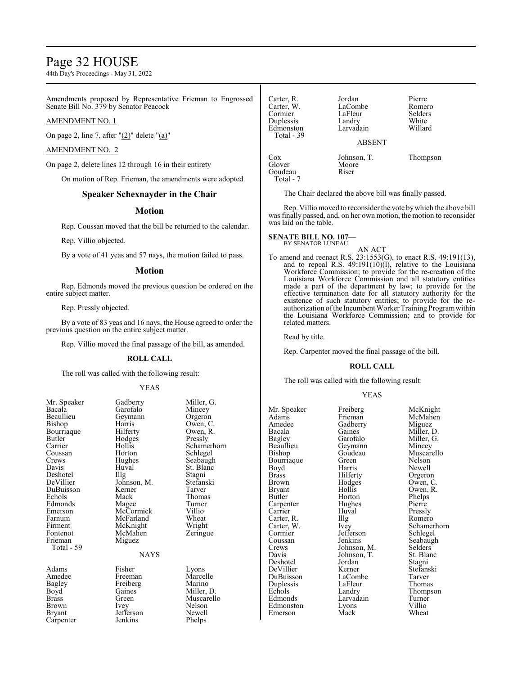# Page 32 HOUSE

44th Day's Proceedings - May 31, 2022

Amendments proposed by Representative Frieman to Engrossed Senate Bill No. 379 by Senator Peacock

# AMENDMENT NO. 1

On page 2, line 7, after " $(2)$ " delete " $(a)$ "

# AMENDMENT NO. 2

On page 2, delete lines 12 through 16 in their entirety

On motion of Rep. Frieman, the amendments were adopted.

# **Speaker Schexnayder in the Chair**

# **Motion**

Rep. Coussan moved that the bill be returned to the calendar.

Rep. Villio objected.

By a vote of 41 yeas and 57 nays, the motion failed to pass.

# **Motion**

Rep. Edmonds moved the previous question be ordered on the entire subject matter.

Rep. Pressly objected.

By a vote of 83 yeas and 16 nays, the House agreed to order the previous question on the entire subject matter.

Rep. Villio moved the final passage of the bill, as amended.

# **ROLL CALL**

The roll was called with the following result:

# YEAS

| Mr. Speaker   | Gadberry          | Miller  |
|---------------|-------------------|---------|
| Bacala        | Garofalo          | Mince   |
| Beaullieu     | Geymann           | Orgero  |
| <b>Bishop</b> | Harris            | Owen,   |
| Bourriaque    | Hilferty          | Owen.   |
| Butler        | Hodges            | Pressl  |
| Carrier       | Hollis            | Scham   |
| Coussan       | Horton            | Schleg  |
| Crews         | Hughes            | Seabai  |
| Davis         | Huval             | St. Bla |
| Deshotel      | $\prod_{i=1}^{n}$ | Stagni  |
| DeVillier     | Johnson, M.       | Stefan  |
| DuBuisson     | Kerner            | Tarver  |
| Echols        | Mack              | Thoma   |
| Edmonds       | Magee             | Turner  |
| Emerson       | McCormick         | Villio  |
| Farnum        | McFarland         | Wheat   |
| Firment       | McKnight          | Wrigh   |
| Fontenot      | McMahen           | Zering  |
| Frieman       | Miguez            |         |
| Total - 59    |                   |         |
|               | NAYS              |         |
|               |                   |         |

Carpenter

Gadberry Miller, G.<br>Garofalo Mincey Garofalo Mincey<br>Geymann Orgeron Geymann Harris Owen, C.<br>Hilferty Owen, R. Hodges<br>Hollis Horton Schlegel<br>Hughes Seabaugh Hughes Seabaugh<br>Huval St. Blanc Huval St. Blanc<br>Illg Stagni Johnson, M. Stefanski<br>Kerner Tarver Kerner<br>Mack Magee Turner<br>
McCormick Villio McCormick Villio<br>
McFarland Wheat McFarland Wheat<br>
McKnight Wright McKnight<br>
McMahen Zeringue McMahen Miguez

# **NAYS**

Adams Fisher Lyons<br>Amedee Freeman Marcelle Amedee Freeman Marcell<br>
Bagley Freiberg Marino Bagley Freiberg<br>Boyd Gaines Boyd Gaines Miller, D.<br>Brass Green Muscarell Bryant Jefferson Newell<br>Carpenter Jenkins Phelps

Owen, R.<br>Pressly Hollis Schamerhorn<br>
Horton Schlegel Thomas<br>Turner

Brass Green Muscarello<br>Brown Ivey Nelson Ivey Nelson<br>Jefferson Newell

| Carter, R.<br>Carter, W.<br>Cormier<br>Duplessis<br>Edmonston<br>Total - 39 |  |
|-----------------------------------------------------------------------------|--|
| Cox<br>Glover<br>Goudeau                                                    |  |

Total - 7

Jordan Pierre<br>LaCombe Romero LaCombe<br>
LaFleur Selders LaFleur Selder<br>
Landry White Landry White<br>Larvadain Willard Larvadain ABSENT

Johnson, T. Thompson

The Chair declared the above bill was finally passed.

Rep. Villio moved to reconsider the vote bywhich the above bill was finally passed, and, on her own motion, the motion to reconsider was laid on the table.

## **SENATE BILL NO. 107—** BY SENATOR LUNEAU

AN ACT

Moore<br>Riser

To amend and reenact R.S. 23:1553(G), to enact R.S. 49:191(13), and to repeal R.S. 49:191(10)(l), relative to the Louisiana Workforce Commission; to provide for the re-creation of the Louisiana Workforce Commission and all statutory entities made a part of the department by law; to provide for the effective termination date for all statutory authority for the existence of such statutory entities; to provide for the reauthorization ofthe Incumbent Worker Training Programwithin the Louisiana Workforce Commission; and to provide for related matters.

Read by title.

Rep. Carpenter moved the final passage of the bill.

# **ROLL CALL**

The roll was called with the following result:

# YEAS

Amedee Gadberry<br>Bacala Gaines Beaullieu Geymann<br>Bishop Goudeau Bourriaque Green<br>Boyd Harris Brown Hodges<br>Bryant Hollis Cormier Jefferson<br>Coussan Jenkins Duplessis LaFleu<br>
Echols Landry Emerson

Mr. Speaker Freiberg McKnight<br>
Adams Frieman McMahen Adams Frieman McMahen<br>Amedee Gadberry Miguez Bacala Gaines Miller, D.<br>Bagley Garofalo Miller, G. Bagley Garofalo Miller, G.<br>Beaullieu Geymann Mincey Goudeau Muscarello<br>Green Nelson Boyd Harris Newell<br>Brass Hilferty Orgeron Brass Hilferty Orgeron<br>Brown Hodges Owen C Bryant Hollis Owen, R.<br>Butler Horton Phelps Horton Phelps<br>Hughes Pierre Carpenter Hughes Pierre<br>Carrier Huval Presslv Carrier Huval Pressly Carter, R. Illg Romero<br>Carter, W. Ivey Schame Carter, W. Ivey Schamerhorn<br>
Cormier Jefferson Schlegel Coussan Jenkins Seabaugh<br>Crews Johnson, M. Selders Crews Johnson, M. Selders<br>Davis Johnson, T. St. Blanc Johnson, T. St. Blanch<br>Jordan Stagni Deshotel Jordan Stagni<br>
DeVillier Kerner Stefanski DeVillier Kerner Stefans<br>DuBuisson LaCombe Tarver DuBuisson LaCombe Tarver<br>
Duplessis LaFleur Thomas Echols Landry Thompson<br>Edmonds Larvadain Turner Larvadain Turner<br>Lyons Villio Edmonston Lyons Villio<br>Emerson Mack Wheat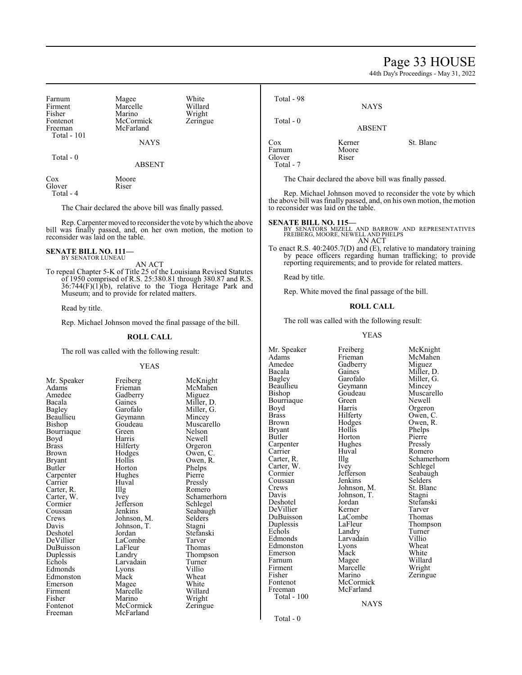# Page 33 HOUSE

44th Day's Proceedings - May 31, 2022

| Farnum<br>Firment                                                                                                                                                                                                                                | Magee<br>Marcelle                              | White<br>Willard                                                                                                                 | Total - 98                                                                                                                                                                                     | <b>NAYS</b>                                           |                                                                                      |
|--------------------------------------------------------------------------------------------------------------------------------------------------------------------------------------------------------------------------------------------------|------------------------------------------------|----------------------------------------------------------------------------------------------------------------------------------|------------------------------------------------------------------------------------------------------------------------------------------------------------------------------------------------|-------------------------------------------------------|--------------------------------------------------------------------------------------|
| Fisher<br>Fontenot<br>Freeman                                                                                                                                                                                                                    | Marino<br>McCormick<br>McFarland               | Wright<br>Zeringue                                                                                                               | Total - 0                                                                                                                                                                                      | <b>ABSENT</b>                                         |                                                                                      |
| Total - 101                                                                                                                                                                                                                                      | <b>NAYS</b>                                    |                                                                                                                                  | Cox                                                                                                                                                                                            | Kerner                                                | St. Blanc                                                                            |
| Total - 0                                                                                                                                                                                                                                        | <b>ABSENT</b>                                  |                                                                                                                                  | Farnum<br>Glover<br>Total - 7                                                                                                                                                                  | Moore<br>Riser                                        |                                                                                      |
| Cox                                                                                                                                                                                                                                              | Moore                                          |                                                                                                                                  |                                                                                                                                                                                                | The Chair declared the above bill was finally passed. |                                                                                      |
| Glover<br>Total - 4                                                                                                                                                                                                                              | Riser                                          |                                                                                                                                  |                                                                                                                                                                                                |                                                       | Rep. Michael Johnson moved to reconsider the vote by which                           |
| The Chair declared the above bill was finally passed.                                                                                                                                                                                            |                                                |                                                                                                                                  | the above bill was finally passed, and, on his own motion, the motion<br>to reconsider was laid on the table.                                                                                  |                                                       |                                                                                      |
| reconsider was laid on the table.                                                                                                                                                                                                                |                                                | Rep. Carpenter moved to reconsider the vote by which the above<br>bill was finally passed, and, on her own motion, the motion to | <b>SENATE BILL NO. 115—</b>                                                                                                                                                                    | AN ACT                                                | BY SENATORS MIZELL AND BARROW AND REPRESENTATIVES FREIBERG, MOORE, NEWELL AND PHELPS |
| <b>SENATE BILL NO. 111—</b><br>BY SENATOR LUNEAU<br>AN ACT                                                                                                                                                                                       |                                                |                                                                                                                                  | To enact R.S. 40:2405.7(D) and (E), relative to mandatory training<br>by peace officers regarding human trafficking; to provide<br>reporting requirements; and to provide for related matters. |                                                       |                                                                                      |
| To repeal Chapter 5-K of Title 25 of the Louisiana Revised Statutes<br>of 1950 comprised of R.S. 25:380.81 through 380.87 and R.S.<br>$36:744(F)(1)(b)$ , relative to the Tioga Heritage Park and<br>Museum; and to provide for related matters. |                                                | Read by title.                                                                                                                   |                                                                                                                                                                                                |                                                       |                                                                                      |
|                                                                                                                                                                                                                                                  |                                                |                                                                                                                                  | Rep. White moved the final passage of the bill.                                                                                                                                                |                                                       |                                                                                      |
| Read by title.                                                                                                                                                                                                                                   |                                                |                                                                                                                                  | <b>ROLL CALL</b>                                                                                                                                                                               |                                                       |                                                                                      |
| Rep. Michael Johnson moved the final passage of the bill.                                                                                                                                                                                        |                                                | The roll was called with the following result:                                                                                   |                                                                                                                                                                                                |                                                       |                                                                                      |
|                                                                                                                                                                                                                                                  | <b>ROLL CALL</b>                               |                                                                                                                                  | <b>YEAS</b>                                                                                                                                                                                    |                                                       |                                                                                      |
|                                                                                                                                                                                                                                                  | The roll was called with the following result: |                                                                                                                                  | Mr. Speaker<br>Adams                                                                                                                                                                           | Freiberg<br>Frieman                                   | McKnight<br>McMahen                                                                  |
|                                                                                                                                                                                                                                                  | <b>YEAS</b>                                    |                                                                                                                                  | Amedee<br>Bacala                                                                                                                                                                               | Gadberry<br>Gaines                                    | Miguez<br>Miller, D.                                                                 |
| Mr. Speaker<br>Adams                                                                                                                                                                                                                             | Freiberg<br>Frieman                            | McKnight<br>McMahen                                                                                                              | Bagley<br>Beaullieu<br>Bishop                                                                                                                                                                  | Garofalo<br>Geymann<br>Goudeau                        | Miller, G.<br>Mincey<br>Muscarello                                                   |
| Amedee<br>Bacala                                                                                                                                                                                                                                 | Gadberry<br>Gaines                             | Miguez<br>Miller, D.                                                                                                             | Bourriaque                                                                                                                                                                                     | Green                                                 | Newell                                                                               |
| Bagley                                                                                                                                                                                                                                           | Garofalo                                       | Miller, G.                                                                                                                       | Boyd                                                                                                                                                                                           | Harris                                                | Orgeron                                                                              |
| Beaullieu                                                                                                                                                                                                                                        | Geymann                                        | Mincey                                                                                                                           | <b>Brass</b>                                                                                                                                                                                   | Hilferty                                              | Owen, C.                                                                             |
| Bishop                                                                                                                                                                                                                                           | Goudeau                                        | Muscarello                                                                                                                       | Brown                                                                                                                                                                                          | Hodges                                                | Owen, R.                                                                             |
| Bourriaque                                                                                                                                                                                                                                       | Green                                          | Nelson                                                                                                                           | <b>Bryant</b>                                                                                                                                                                                  | Hollis                                                | Phelps                                                                               |
| Boyd                                                                                                                                                                                                                                             | Harris                                         | Newell                                                                                                                           | Butler                                                                                                                                                                                         | Horton                                                | Pierre                                                                               |
| <b>Brass</b>                                                                                                                                                                                                                                     | Hilferty                                       | Orgeron                                                                                                                          | Carpenter                                                                                                                                                                                      | Hughes                                                | Pressly                                                                              |
| Brown                                                                                                                                                                                                                                            | Hodges                                         | Owen, C.                                                                                                                         | Carrier                                                                                                                                                                                        | Huval                                                 | Romero                                                                               |
| <b>Bryant</b>                                                                                                                                                                                                                                    | Hollis                                         | Owen, R.                                                                                                                         | Carter, R.                                                                                                                                                                                     | Illg                                                  | Schamerhorn                                                                          |
| $R$ utler                                                                                                                                                                                                                                        | $H$ <sub>O</sub> rton                          | <b>Phelne</b>                                                                                                                    | Carter, W.                                                                                                                                                                                     | Ivey                                                  | Schlegel                                                                             |

Carpenter Hughe<br>
Carrier Huval Carter, R. Illg<br>Carter, W. Ivey Cormier Jefferson<br>Coussan Jenkins Davis Johnson, T.<br>Deshotel Jordan DuBuisson LaFleur<br>Duplessis Landry

Bryant Hollis Owen, R.<br>Butler Horton Phelps Horton Phelps<br>Hughes Pierre Huval Pressly<br>Illg Romero Carter, W. Ivey Schamerhorn<br>
Cormier Jefferson Schlegel Coussan Jenkins Seabaugh<br>Crews Johnson, M. Selders Crews Johnson, M. Selders<br>Davis Johnson, T. Stagni Deshotel Jordan Stefanski<br>DeVillier LaCombe Tarver LaCombe<br>
LaFleur Thomas Duplessis Landry Thompson<br>
Echols Larvadain Turner Larvadain Turner<br>Lyons Villio Edmonds Lyons Villio<br>Edmonston Mack Wheat Edmonston Mack Wheat<br>
Emerson Magee White Emerson Magee White<br>
Firment Marcelle Willard Firment Marcelle Willard<br>Fisher Marino Wright Fisher Marino Wright<br>Fontenot McCormick Zeringue Fontenot McCormick<br>Freeman McFarland McFarland

Carter, W. Ivey Schlegel<br>
Cormier Jefferson Seabaugl Coussan Jenkins Selders<br>Crews Johnson, M. St. Blanc Crews Johnson, M. St. Blanch<br>Davis Johnson, T. Stagni Davis Johnson, T.<br>Deshotel Jordan DeVillier Kerner Tarver<br>DuBuisson LaCombe Thomas DuBuisson LaComb<br>
Duplessis LaFleur Duplessis LaFleur Thompson<br>Echols Landry Turner Echols Landry Turner<br>Edmonds Larvadain Villio Edmonston Lyons Wheat<br>Emerson Mack White Emerson Mack White<br>
Farnum Magee Willard Farnum Magee Willard Firment Marcelle Wright Fisher Marino Zeringue<br>Fontenot McCormick Zeringue Fontenot McCormick<br>Freeman McFarland Total - 100

Total - 0

Jefferson Seabaugh<br>Jenkins Selders

Jordan Stefanski<br>Kerner Tarver

Larvadain Villio<br>
Lyons Wheat

McFarland

NAYS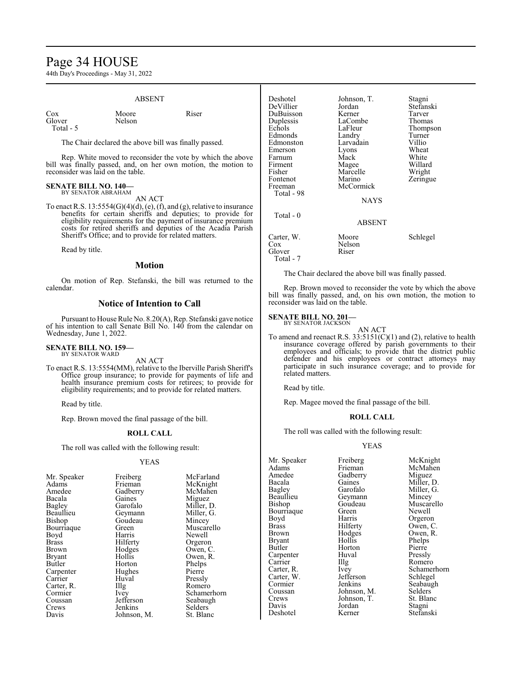# Page 34 HOUSE

44th Day's Proceedings - May 31, 2022

# ABSENT

Moore Riser

| Cox.      |  |
|-----------|--|
| Glover    |  |
| Total - 5 |  |

Nelson

The Chair declared the above bill was finally passed.

Rep. White moved to reconsider the vote by which the above bill was finally passed, and, on her own motion, the motion to reconsider was laid on the table.

## **SENATE BILL NO. 140—** BY SENATOR ABRAHAM

# AN ACT

To enact R.S.  $13:5554(G)(4)(d)$ , (e), (f), and (g), relative to insurance benefits for certain sheriffs and deputies; to provide for eligibility requirements for the payment of insurance premium costs for retired sheriffs and deputies of the Acadia Parish Sheriff's Office; and to provide for related matters.

Read by title.

# **Motion**

On motion of Rep. Stefanski, the bill was returned to the calendar.

# **Notice of Intention to Call**

Pursuant to House Rule No. 8.20(A), Rep. Stefanski gave notice of his intention to call Senate Bill No. 140 from the calendar on Wednesday, June 1, 2022.

### **SENATE BILL NO. 159—** BY SENATOR WARD

AN ACT

To enact R.S. 13:5554(MM), relative to the Iberville Parish Sheriff's Office group insurance; to provide for payments of life and health insurance premium costs for retirees; to provide for eligibility requirements; and to provide for related matters.

Read by title.

Rep. Brown moved the final passage of the bill.

# **ROLL CALL**

The roll was called with the following result:

# YEAS

| Mr. Speaker   | Freiberg    | McFarland   |
|---------------|-------------|-------------|
| Adams         | Frieman     | McKnight    |
| Amedee        | Gadberry    | McMahen     |
| Bacala        | Gaines      | Miguez      |
| Bagley        | Garofalo    | Miller, D.  |
| Beaullieu     | Geymann     | Miller, G.  |
| Bishop        | Goudeau     | Mincey      |
| Bourriaque    | Green       | Muscarello  |
| Boyd          | Harris      | Newell      |
| Brass         | Hilferty    | Orgeron     |
| <b>Brown</b>  | Hodges      | Owen, C.    |
| <b>Bryant</b> | Hollis      | Owen, R.    |
| Butler        | Horton      | Phelps      |
| Carpenter     | Hughes      | Pierre      |
| Carrier       | Huval       | Pressly     |
| Carter, R.    | Illg        | Romero      |
| Cormier       | <i>lvey</i> | Schamerhorn |
| Coussan       | Jefferson   | Seabaugh    |
| Crews         | Jenkins     | Selders     |
| Davis         | Johnson, M. | St. Blanc   |

| Deshotel<br>DeVillier<br>DuBuisson<br>Duplessis<br>Echols<br>Edmonds<br>Edmonston<br>Emerson<br>Farnum<br>Firment<br>Fisher<br>Fontenot<br>Freeman<br>Total - 98<br>$Total - 0$ | Johnson, T.<br>Jordan<br>Kerner<br>LaCombe<br>LaFleur<br>Landry<br>Larvadain<br>Lyons<br>Mack<br>Magee<br>Marcelle<br>Marino<br>McCormick<br><b>NAYS</b><br>ABSENT | Stagni<br>Stefanski<br>Tarver<br>Thomas<br>Thompson<br>Turner<br>Villio<br>Wheat<br>White<br>Willard<br>Wright<br>Zeringue |
|---------------------------------------------------------------------------------------------------------------------------------------------------------------------------------|--------------------------------------------------------------------------------------------------------------------------------------------------------------------|----------------------------------------------------------------------------------------------------------------------------|
|                                                                                                                                                                                 |                                                                                                                                                                    |                                                                                                                            |
| Carter, W.<br>$\cos$<br>Glover<br>Total - 7                                                                                                                                     | Moore<br>Nelson<br>Riser                                                                                                                                           | Schlegel                                                                                                                   |

The Chair declared the above bill was finally passed.

Rep. Brown moved to reconsider the vote by which the above bill was finally passed, and, on his own motion, the motion to reconsider was laid on the table.

## **SENATE BILL NO. 201—** BY SENATOR JACKSON

AN ACT To amend and reenact R.S.  $33:5151(C)(1)$  and (2), relative to health insurance coverage offered by parish governments to their employees and officials; to provide that the district public defender and his employees or contract attorneys may participate in such insurance coverage; and to provide for related matters.

Read by title.

Rep. Magee moved the final passage of the bill.

# **ROLL CALL**

The roll was called with the following result:

# YEAS

Mr. Speaker Freiberg McKnight<br>
Adams Frieman McMahen Adams Frieman McMahen<br>Amedee Gadberry Miguez Amedee Gadberry<br>Bacala Gaines Bacala Gaines Miller, D.<br>Bagley Garofalo Miller, G. Bagley Garofalo Miller, G. Beaullieu Geymann<br>Bishop Goudeau Bourriaque Green<br>Boyd Harris Boyd Harris Orgeron<br>Brass Hilferty Owen, C Brass Hilferty Owen, C.<br>Brown Hodges Owen, R. Bryant Hollis Phelps<br>Butler Horton Pierre Carpenter Huv<br>Carrier Hllg Carrier Illg Romero<br>Carter, R. Ivey Schame Carter, W. Jefferson<br>Cormier Jenkins Cormier Jenkins Seabaugh<br>Coussan Johnson, M. Selders Coussan Johnson, M. Selders<br>Crews Johnson, T. St. Blanc Crews Johnson, T.<br>Davis Jordan Davis Jordan Stagni

Hodges Owen, R.<br>Hollis Phelps Horton Pierre<br>
Huval Pressly Deshotel Kerner Stefanski

Goudeau Muscarello<br>Green Newell Ivey Schamerhorn<br>Jefferson Schlegel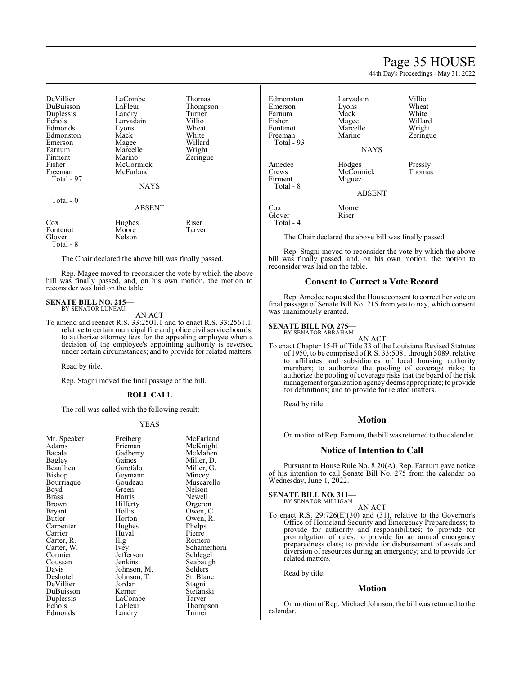# Page 35 HOUSE

44th Day's Proceedings - May 31, 2022

Zeringue

| DeVillier<br>DuBuisson<br>Duplessis<br>Echols<br>Edmonds<br>Edmonston<br>Emerson<br>Farnum<br>Firment<br>Fisher<br>Freeman<br>Total - 97 | LaCombe<br>LaFleur<br>Landry<br>Larvadain<br>Lyons<br>Mack<br>Magee<br>Marcelle<br>Marino<br>McCormick<br>McFarland | Thomas<br>Thompson<br>Turner<br>Villio<br>Wheat<br>White<br>Willard<br>Wright<br>Zeringue |
|------------------------------------------------------------------------------------------------------------------------------------------|---------------------------------------------------------------------------------------------------------------------|-------------------------------------------------------------------------------------------|
|                                                                                                                                          | <b>NAYS</b>                                                                                                         |                                                                                           |
| Total - 0                                                                                                                                | <b>ABSENT</b>                                                                                                       |                                                                                           |
| Cox<br>Fontenot<br>$\sim$                                                                                                                | Hughes<br>Moore<br><b>AT 1</b>                                                                                      | Riser<br>Tarver                                                                           |

Glover Nelson Total - 8

The Chair declared the above bill was finally passed.

Rep. Magee moved to reconsider the vote by which the above bill was finally passed, and, on his own motion, the motion to reconsider was laid on the table.

# **SENATE BILL NO. 215—** BY SENATOR LUNEAU

AN ACT

To amend and reenact R.S. 33:2501.1 and to enact R.S. 33:2561.1, relative to certain municipal fire and police civil service boards; to authorize attorney fees for the appealing employee when a decision of the employee's appointing authority is reversed under certain circumstances; and to provide for related matters.

Read by title.

Rep. Stagni moved the final passage of the bill.

## **ROLL CALL**

The roll was called with the following result:

## YEAS

| Mr. Speaker | Freiberg          | McFarland   |
|-------------|-------------------|-------------|
| Adams       | Frieman           | McKnight    |
| Bacala      | Gadberry          | McMahen     |
| Bagley      | Gaines            | Miller, D.  |
| Beaullieu   | Garofalo          | Miller, G.  |
| Bishop      | Geymann           | Mincey      |
| Bourriaque  | Goudeau           | Muscarello  |
| Boyd        | Green             | Nelson      |
| Brass       | Harris            | Newell      |
| Brown       | Hilferty          | Orgeron     |
| Bryant      | Hollis            | Owen, C.    |
| Butler      | Horton            | Owen, R.    |
| Carpenter   | Hughes            | Phelps      |
| Carrier     | Huval             | Pierre      |
| Carter, R.  | $\prod_{i=1}^{n}$ | Romero      |
| Carter, W.  | Ivey              | Schamerhorn |
| Cormier     | Jefferson         | Schlegel    |
| Coussan     | Jenkins           | Seabaugh    |
| Davis       | Johnson, M.       | Selders     |
| Deshotel    | Johnson, T.       | St. Blanc   |
| DeVillier   | Jordan            | Stagni      |
| DuBuisson   | Kerner            | Stefanski   |
| Duplessis   | LaCombe           | Tarver      |
| Echols      | LaFleur           | Thompson    |
| Edmonds     | Landry            | Turner      |
|             |                   |             |

Edmonston Larvadain Villio Emerson Lyons Wheat<br>
Farnum Mack White<br>
Mack White Farnum Mack<br>Fisher Magee Fisher Magee Willard<br>Fontenot Marcelle Wright Fontenot Marcelle<br>Freeman Marino Total - 93 NAYS Amedee Hodges Pressly<br>Crews McCormick Thomas McCormick<br>Miguez Firment Total - 8 ABSENT Cox Moore<br>Glover Riser Glover Total - 4

The Chair declared the above bill was finally passed.

Rep. Stagni moved to reconsider the vote by which the above bill was finally passed, and, on his own motion, the motion to reconsider was laid on the table.

# **Consent to Correct a Vote Record**

Rep. Amedee requested the House consent to correct her vote on final passage of Senate Bill No. 215 from yea to nay, which consent was unanimously granted.

## **SENATE BILL NO. 275—** BY SENATOR ABRAHAM

AN ACT

To enact Chapter 15-B of Title 33 of the Louisiana Revised Statutes of 1950, to be comprised ofR.S. 33:5081 through 5089, relative to affiliates and subsidiaries of local housing authority members; to authorize the pooling of coverage risks; to authorize the pooling of coverage risks that the board of the risk management organization agencydeems appropriate; to provide for definitions; and to provide for related matters.

Read by title.

# **Motion**

On motion ofRep. Farnum, the bill was returned to the calendar.

# **Notice of Intention to Call**

Pursuant to House Rule No. 8.20(A), Rep. Farnum gave notice of his intention to call Senate Bill No. 275 from the calendar on Wednesday, June 1, 2022.

**SENATE BILL NO. 311—** BY SENATOR MILLIGAN

AN ACT

To enact R.S. 29:726(E)(30) and (31), relative to the Governor's Office of Homeland Security and Emergency Preparedness; to provide for authority and responsibilities; to provide for promulgation of rules; to provide for an annual emergency preparedness class; to provide for disbursement of assets and diversion of resources during an emergency; and to provide for related matters.

Read by title.

# **Motion**

On motion of Rep. Michael Johnson, the bill was returned to the calendar.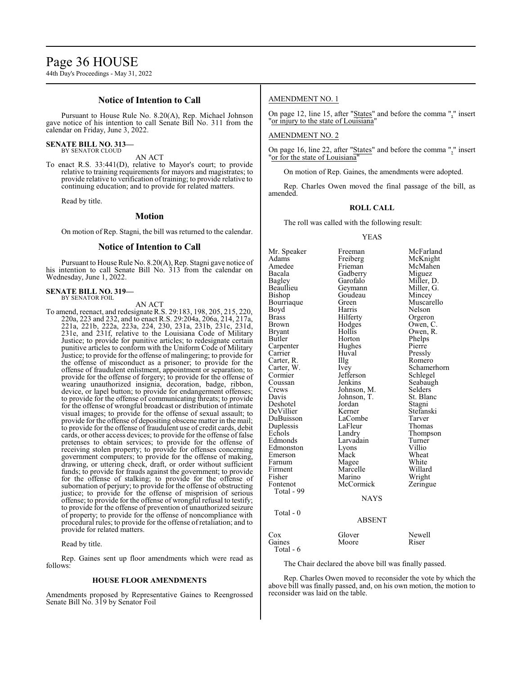# Page 36 HOUSE

44th Day's Proceedings - May 31, 2022

# **Notice of Intention to Call**

Pursuant to House Rule No. 8.20(A), Rep. Michael Johnson gave notice of his intention to call Senate Bill No. 311 from the calendar on Friday, June 3, 2022.

# **SENATE BILL NO. 313—** BY SENATOR CLOUD

AN ACT

To enact R.S. 33:441(D), relative to Mayor's court; to provide relative to training requirements for mayors and magistrates; to provide relative to verification of training; to provide relative to continuing education; and to provide for related matters.

Read by title.

# **Motion**

On motion of Rep. Stagni, the bill was returned to the calendar.

# **Notice of Intention to Call**

Pursuant to House Rule No. 8.20(A), Rep. Stagni gave notice of his intention to call Senate Bill No. 313 from the calendar on Wednesday, June 1, 2022.

## **SENATE BILL NO. 319—** BY SENATOR FOIL

AN ACT

To amend, reenact, and redesignate R.S. 29:183, 198, 205, 215, 220, 220a, 223 and 232, and to enact R.S. 29:204a, 206a, 214, 217a, 221a, 221b, 222a, 223a, 224, 230, 231a, 231b, 231c, 231d, 231e, and 231f, relative to the Louisiana Code of Military Justice; to provide for punitive articles; to redesignate certain punitive articles to conform with the Uniform Code of Military Justice; to provide for the offense of malingering; to provide for the offense of misconduct as a prisoner; to provide for the offense of fraudulent enlistment, appointment or separation; to provide for the offense of forgery; to provide for the offense of wearing unauthorized insignia, decoration, badge, ribbon, device, or lapel button; to provide for endangerment offenses; to provide for the offense of communicating threats; to provide for the offense of wrongful broadcast or distribution of intimate visual images; to provide for the offense of sexual assault; to provide for the offense of depositing obscene matter in the mail; to provide for the offense of fraudulent use of credit cards, debit cards, or other access devices; to provide for the offense of false pretenses to obtain services; to provide for the offense of receiving stolen property; to provide for offenses concerning government computers; to provide for the offense of making, drawing, or uttering check, draft, or order without sufficient funds; to provide for frauds against the government; to provide for the offense of stalking; to provide for the offense of subornation of perjury; to provide for the offense of obstructing justice; to provide for the offense of misprision of serious offense; to provide for the offense of wrongful refusal to testify; to provide for the offense of prevention of unauthorized seizure of property; to provide for the offense of noncompliance with procedural rules; to provide for the offense of retaliation; and to provide for related matters.

Read by title.

Rep. Gaines sent up floor amendments which were read as follows:

# **HOUSE FLOOR AMENDMENTS**

Amendments proposed by Representative Gaines to Reengrossed Senate Bill No. 319 by Senator Foil

# AMENDMENT NO. 1

On page 12, line 15, after "States" and before the comma "," insert "or injury to the state of Louisiana"

# AMENDMENT NO. 2

On page 16, line 22, after "States" and before the comma "," insert "or for the state of Louisiana"

On motion of Rep. Gaines, the amendments were adopted.

Rep. Charles Owen moved the final passage of the bill, as amended.

## **ROLL CALL**

The roll was called with the following result:

## YEAS

Mr. Speaker Freeman McFarland<br>
Adams Freiberg McKnight Adams Freiberg McKnight Amedee Frieman McMahen<br>Bacala Gadberry Miguez Bacala Gadberry Miguez Bagley Garofalo Miller, D. Beaullieu Geymann Miller, executive Goudeau Miller, executive Goudeau Mincey Bishop Goudeau<br>Bourriaque Green Bourriaque Green Muscarello<br>
Boyd Harris Nelson Boyd Harris Nelson<br>Brass Hilferty Orgero Brass Filerty Orgeron<br>Brown Hodges Owen, C Brown Hodges Owen, C.<br>Bryant Hollis Owen, R. Bryant Hollis Owen, R.<br>Butler Horton Phelps Horton Phelps<br>Hughes Pierre Carpenter Hughe<br>Carrier Huval Huval Pressly<br>
Illg Romero Carter, R.<br>Carter, W. Carter, W. Ivey Schamerhorn<br>
Cormier Iefferson Schlegel Cormier Jefferson Schlegel<br>Coussan Jenkins Seabaug Coussan Jenkins Seabaugh<br>Crews Johnson, M. Selders Crews Johnson, M. Selders<br>Davis Johnson, T. St. Blanc Johnson, T. St. Bla<br>Jordan Stagni Deshotel Jordan Stagni DeVillier Kerner Stefans<br>DuBuisson LaCombe Tarver DuBuisson LaCombe Tarver<br>
Duplessis LaFleur Thomas Duplessis LaFleur<br>Echols Landry Echols Landry Thompson<br>
Edmonds Larvadain Turner Larvadain Turner<br>
Lyons Villio Edmonston Lyons Villio<br>Emerson Mack Wheat Emerson Mack Wheat<br>
Farnum Magee White Farnum Magee White Firment Marcelle Willard<br>Fisher Marino Wright Fisher Marino Wright<br>
Fontenot McCormick Zeringue McCormick Total - 99 NAYS Total - 0 ABSENT Cox Glover Newell<br>Gaines Moore Riser Moore Total - 6

The Chair declared the above bill was finally passed.

Rep. Charles Owen moved to reconsider the vote by which the above bill was finally passed, and, on his own motion, the motion to reconsider was laid on the table.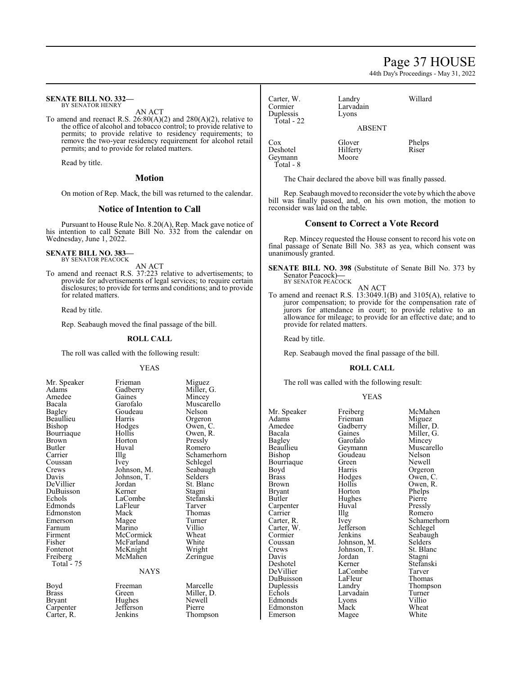# Page 37 HOUSE

44th Day's Proceedings - May 31, 2022

## **SENATE BILL NO. 332—** BY SENATOR HENRY

AN ACT

To amend and reenact R.S. 26:80(A)(2) and 280(A)(2), relative to the office of alcohol and tobacco control; to provide relative to permits; to provide relative to residency requirements; to remove the two-year residency requirement for alcohol retail permits; and to provide for related matters.

Read by title.

# **Motion**

On motion of Rep. Mack, the bill was returned to the calendar.

# **Notice of Intention to Call**

Pursuant to House Rule No. 8.20(A), Rep. Mack gave notice of his intention to call Senate Bill No. 332 from the calendar on Wednesday, June 1, 2022.

**SENATE BILL NO. 383—** BY SENATOR PEACOCK

AN ACT

To amend and reenact R.S. 37:223 relative to advertisements; to provide for advertisements of legal services; to require certain disclosures; to provide for terms and conditions; and to provide for related matters.

Read by title.

Rep. Seabaugh moved the final passage of the bill.

# **ROLL CALL**

The roll was called with the following result:

| Mr. Speaker        |
|--------------------|
| Adams              |
| Amedee             |
| Bacala             |
| Bagley             |
| Beaullieu          |
| Bishop             |
| Bourriaque         |
| <b>Brown</b>       |
| <b>Butler</b>      |
|                    |
| Carrier<br>Coussan |
| Crews              |
| Davis              |
| DeVillier          |
| DuBuisson          |
| Echols             |
|                    |
| Edmonds            |
| Edmonston          |
| Emerson            |
| Farnum             |
| Firment            |
| Fisher             |
| Fontenot           |
| Freiberg           |
| 75<br>Total -      |
|                    |
|                    |

Carpenter Jefferson<br>Carter, R. Jenkins

YEAS Frieman Miguez<br>Gadberry Miller, Gadberry Miller, G.<br>Gaines Mincey Gaines Mincey<br>Garofalo Muscare Goudeau<br>Harris Harris Orgeron<br>Hodges Owen, C Hodges Owen, C.<br>Hollis Owen, R. Horton<br>Huval Huval Romero<br>Illg Schamer Johnson, M. Seabaug<br>Johnson, T. Selders Johnson, T.<br>Jordan Jordan St. Blanc<br>Kerner Stagni LaCombe Stefans<br>LaFleur Tarver LaFleur<br>Mack Magee Turne<br>
Marino Villio Marino Villio<br>McCormick Wheat McCormick Wheat<br>
McFarland White McFarland White<br>
McKnight Wright McKnight<br>McMahen NAYS Boyd Freeman Marcelle<br>Brass Green Miller, D Brass Green Miller, D.

Muscarello<br>Nelson Owen, R.<br>Pressly Illg Schamerhorn<br>Ivev Schlegel Schlegel<br>Seabaugh Stagni<br>Stefanski Thomas<br>Turner Zeringue Hughes Newel<br>Jefferson Pierre Thompson

| Carter, W.<br>Cormier<br>Duplessis<br>Total - 22 | Landry<br>Larvadain<br>Lyons | Willard         |
|--------------------------------------------------|------------------------------|-----------------|
|                                                  | <b>ABSENT</b>                |                 |
| Cox<br>Deshotel<br>Geymann<br>Total - 8          | Glover<br>Hilferty<br>Moore  | Phelps<br>Riser |

The Chair declared the above bill was finally passed.

Rep. Seabaugh moved to reconsider the vote bywhich the above bill was finally passed, and, on his own motion, the motion to reconsider was laid on the table.

# **Consent to Correct a Vote Record**

Rep. Mincey requested the House consent to record his vote on final passage of Senate Bill No. 383 as yea, which consent was unanimously granted.

**SENATE BILL NO. 398** (Substitute of Senate Bill No. 373 by Senator Peacock)**—** BY SENATOR PEACOCK

AN ACT To amend and reenact R.S. 13:3049.1(B) and 3105(A), relative to juror compensation; to provide for the compensation rate of jurors for attendance in court; to provide relative to an allowance for mileage; to provide for an effective date; and to provide for related matters.

Read by title.

Rep. Seabaugh moved the final passage of the bill.

## **ROLL CALL**

The roll was called with the following result:

# YEAS

Mr. Speaker Freiberg McMahen<br>Adams Frieman Miguez Adams Frieman<br>Amedee Gadberry Amedee Gadberry Miller, D.<br>Bacala Gaines Miller, G. Bacala Gaines Miller, G.<br>Bagley Garofalo Mincey Bagley Garofalo<br>Beaullieu Geymann Beaullieu Geymann Muscarello<br>Bishop Goudeau Nelson Bourriaque Green<br>Boyd Harris Boyd Harris Orgeron<br>Brass Hodges Owen, C Brass Hodges Owen, C. Brown Hollis Owen, R.<br>Bryant Horton Phelps Bryant Horton Phelps<br>Butler Hughes Pierre Carpenter Huv<br>Carrier Huy Carrier Illg Romero<br>Carter, R. Ivey Schamer Carter, W. Jefferson Schwarter, W. September 31, 1996 Cormier Jenkins Seabaugh<br>Coussan Johnson, M. Selders Coussan Johnson, M. Selders Crews Johnson, T. St. Blanc Crews Johnson, T.<br>Davis Jordan Davis Jordan Stagni Deshotel Kerner Stefanski<br>DeVillier LaCombe Tarver DuBuisson LaFleur Thomas<br>
Duplessis Landry Thompson Duplessis Landry Thomp<br>Echols Larvadain Turner Edmonds Lyons Villio Edmonston Mack Wheat<br>
Emerson Magee White Emerson Magee

Goudeau Nelson<br>Green Newell Hughes Pierre<br>Huval Pressly Ivey Schamerhorn<br>Jefferson Schlegel LaCombe Tarver<br>
LaFleur Thomas Larvadain Turne<br>Lyons Villio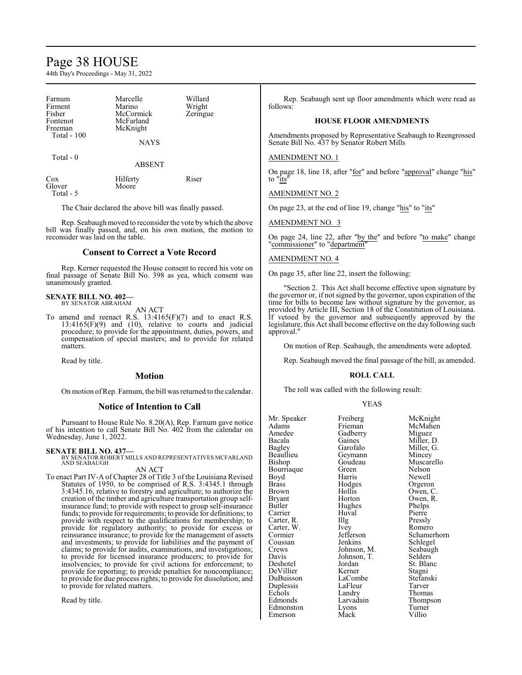# Page 38 HOUSE

44th Day's Proceedings - May 31, 2022

| Farnum<br>Firment<br>Fisher<br>Fontenot<br>Freeman<br>Total $-100$ | Marcelle<br>Marino<br>McCormick<br>McFarland<br>McKnight<br><b>NAYS</b> | Willard<br>Wright<br>Zeringue |
|--------------------------------------------------------------------|-------------------------------------------------------------------------|-------------------------------|
| Total $-0$                                                         | <b>ABSENT</b>                                                           |                               |
| Cox<br>Glover<br>Total - 5                                         | Hilferty<br>Moore                                                       | Riser                         |

The Chair declared the above bill was finally passed.

Rep. Seabaugh moved to reconsider the vote by which the above bill was finally passed, and, on his own motion, the motion to reconsider was laid on the table.

# **Consent to Correct a Vote Record**

Rep. Kerner requested the House consent to record his vote on final passage of Senate Bill No. 398 as yea, which consent was unanimously granted.

## **SENATE BILL NO. 402—** BY SENATOR ABRAHAM

AN ACT

To amend and reenact R.S. 13:4165(F)(7) and to enact R.S.  $13:4165(F)(9)$  and  $(10)$ , relative to courts and judicial procedure; to provide for the appointment, duties, powers, and compensation of special masters; and to provide for related matters.

Read by title.

# **Motion**

On motion ofRep. Farnum, the bill was returned to the calendar.

# **Notice of Intention to Call**

Pursuant to House Rule No. 8.20(A), Rep. Farnum gave notice of his intention to call Senate Bill No. 402 from the calendar on Wednesday, June 1, 2022.

**SENATE BILL NO. 437—** BY SENATOR ROBERT MILLS AND REPRESENTATIVES MCFARLAND AND SEABAUGH AN ACT

To enact Part IV-A of Chapter 28 of Title 3 of the Louisiana Revised Statutes of 1950, to be comprised of R.S. 3:4345.1 through 3:4345.16, relative to forestry and agriculture; to authorize the creation of the timber and agriculture transportation group selfinsurance fund; to provide with respect to group self-insurance funds; to provide for requirements; to provide for definitions; to provide with respect to the qualifications for membership; to provide for regulatory authority; to provide for excess or reinsurance insurance; to provide for the management of assets and investments; to provide for liabilities and the payment of claims; to provide for audits, examinations, and investigations; to provide for licensed insurance producers; to provide for insolvencies; to provide for civil actions for enforcement; to provide for reporting; to provide penalties for noncompliance; to provide for due process rights; to provide for dissolution; and to provide for related matters.

Read by title.

Rep. Seabaugh sent up floor amendments which were read as follows:

# **HOUSE FLOOR AMENDMENTS**

Amendments proposed by Representative Seabaugh to Reengrossed Senate Bill No. 437 by Senator Robert Mills

# AMENDMENT NO. 1

On page 18, line 18, after "for" and before "approval" change "his" to "its"

AMENDMENT NO. 2

On page 23, at the end of line 19, change "his" to "its"

AMENDMENT NO. 3

On page 24, line 22, after "by the" and before "to make" change "commissioner" to "department"

# AMENDMENT NO. 4

On page 35, after line 22, insert the following:

"Section 2. This Act shall become effective upon signature by the governor or, if not signed by the governor, upon expiration of the time for bills to become law without signature by the governor, as provided by Article III, Section 18 of the Constitution of Louisiana. If vetoed by the governor and subsequently approved by the legislature, this Act shall become effective on the day following such approval."

On motion of Rep. Seabaugh, the amendments were adopted.

Rep. Seabaugh moved the final passage of the bill, as amended.

## **ROLL CALL**

The roll was called with the following result:

## YEAS

| Mr. Speaker  | Freiberg    | McKn    |
|--------------|-------------|---------|
| Adams        | Frieman     | McMa    |
| Amedee       | Gadberry    | Migue   |
| Bacala       | Gaines      | Miller, |
| Bagley       | Garofalo    | Miller, |
| Beaullieu    | Geymann     | Mince   |
| Bishop       | Goudeau     | Musca   |
| Bourriaque   | Green       | Nelsor  |
| Boyd         | Harris      | Newel   |
| <b>Brass</b> | Hodges      | Orgero  |
| Brown        | Hollis      | Owen,   |
| Bryant       | Horton      | Owen,   |
| Butler       | Hughes      | Phelps  |
| Carrier      | Huval       | Pierre  |
| Carter, R.   | Illg        | Pressly |
| Carter, W.   | Ivey        | Romer   |
| Cormier      | Jefferson   | Scham   |
| Coussan      | Jenkins     | Schleg  |
| Crews        | Johnson, M. | Seabaı  |
| Davis        | Johnson, T. | Selder  |
| Deshotel     | Jordan      | St. Bla |
| DeVillier    | Kerner      | Stagni  |
| DuBuisson    | LaCombe     | Stefan  |
| Duplessis    | LaFleur     | Tarver  |
| Echols       | Landry      | Thoma   |
| Edmonds      | Larvadain   | Thomp   |
| Edmonston    | Lyons       | Turner  |
| Emerson      | Mack        | Villio  |

McKnight McMahen Miguez Miller, D. Miller, G. Mincey Muscarello Nelson Newell Orgeron Owen, C. Owen, R. Phelps Pierre Pressly Romero Schamerhorn Schlegel Seabaugh Selders St. Blanc Stagni Stefanski<br>Tarver Thomas Thompson Turner<br>Villio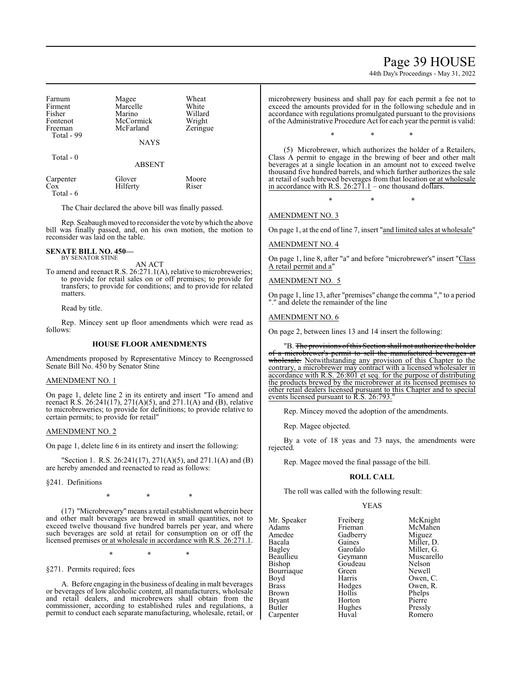# Page 39 HOUSE

44th Day's Proceedings - May 31, 2022

| Farnum      |             | Wheat    |
|-------------|-------------|----------|
|             | Magee       |          |
| Firment     | Marcelle    | White    |
| Fisher      | Marino      | Willard  |
| Fontenot    | McCormick   | Wright   |
| Freeman     | McFarland   | Zeringue |
| Total - 99  |             |          |
|             | <b>NAYS</b> |          |
| $Total - 0$ |             |          |

ABSENT

| Carpenter | Glover   | Moore |
|-----------|----------|-------|
| Cox       | Hilferty | Riser |
| Total - 6 |          |       |

The Chair declared the above bill was finally passed.

Rep. Seabaugh moved to reconsider the vote by which the above bill was finally passed, and, on his own motion, the motion to reconsider was laid on the table.

## **SENATE BILL NO. 450—** BY SENATOR STINE

AN ACT

To amend and reenact R.S. 26:271.1(A), relative to microbreweries; to provide for retail sales on or off premises; to provide for transfers; to provide for conditions; and to provide for related matters.

Read by title.

Rep. Mincey sent up floor amendments which were read as follows:

# **HOUSE FLOOR AMENDMENTS**

Amendments proposed by Representative Mincey to Reengrossed Senate Bill No. 450 by Senator Stine

# AMENDMENT NO. 1

On page 1, delete line 2 in its entirety and insert "To amend and reenact R.S. 26:241(17), 271(A)(5), and 271.1(A) and (B), relative to microbreweries; to provide for definitions; to provide relative to certain permits; to provide for retail"

# AMENDMENT NO. 2

On page 1, delete line 6 in its entirety and insert the following:

"Section 1. R.S. 26:241(17), 271(A)(5), and 271.1(A) and (B) are hereby amended and reenacted to read as follows:

§241. Definitions

\* \* \*

(17) "Microbrewery"means a retail establishment wherein beer and other malt beverages are brewed in small quantities, not to exceed twelve thousand five hundred barrels per year, and where such beverages are sold at retail for consumption on or off the licensed premises or at wholesale in accordance with R.S. 26:271.1.

\* \* \*

§271. Permits required; fees

A. Before engaging in the business of dealing in malt beverages or beverages of low alcoholic content, all manufacturers, wholesale and retail dealers, and microbrewers shall obtain from the commissioner, according to established rules and regulations, a permit to conduct each separate manufacturing, wholesale, retail, or

microbrewery business and shall pay for each permit a fee not to exceed the amounts provided for in the following schedule and in accordance with regulations promulgated pursuant to the provisions of the Administrative Procedure Act for each year the permit is valid:

\* \* \*

(5) Microbrewer, which authorizes the holder of a Retailers, Class A permit to engage in the brewing of beer and other malt beverages at a single location in an amount not to exceed twelve thousand five hundred barrels, and which further authorizes the sale at retail of such brewed beverages from that location or at wholesale in accordance with R.S.  $26:27\overline{1}$ .1 – one thousand dollars.

\* \* \*

AMENDMENT NO. 3

On page 1, at the end of line 7, insert "and limited sales at wholesale"

# AMENDMENT NO. 4

On page 1, line 8, after "a" and before "microbrewer's" insert "Class A retail permit and a'

AMENDMENT NO. 5

On page 1, line 13, after "premises" change the comma "," to a period "." and delete the remainder of the line

# AMENDMENT NO. 6

On page 2, between lines 13 and 14 insert the following:

"B. The provisions of this Section shall not authorize the holder of a microbrewer's permit to sell the manufactured beverages at wholesale. Notwithstanding any provision of this Chapter to the contrary, a microbrewer may contract with a licensed wholesaler in accordance with R.S. 26:801 et seq. for the purpose of distributing the products brewed by the microbrewer at its licensed premises to other retail dealers licensed pursuant to this Chapter and to special events licensed pursuant to R.S. 26:793.

Rep. Mincey moved the adoption of the amendments.

Rep. Magee objected.

By a vote of 18 yeas and 73 nays, the amendments were rejected.

Rep. Magee moved the final passage of the bill.

# **ROLL CALL**

The roll was called with the following result:

# YEAS

| Mr. Speaker   | Freiberg | McKnight   |
|---------------|----------|------------|
| Adams         | Frieman  | McMahen    |
| Amedee        | Gadberry | Miguez     |
| Bacala        | Gaines   | Miller, D. |
| Bagley        | Garofalo | Miller, G. |
| Beaullieu     | Geymann  | Muscarello |
| <b>Bishop</b> | Goudeau  | Nelson     |
| Bourriaque    | Green    | Newell     |
| Boyd          | Harris   | Owen, C.   |
| <b>Brass</b>  | Hodges   | Owen, R.   |
| <b>Brown</b>  | Hollis   | Phelps     |
| <b>Bryant</b> | Horton   | Pierre     |
| Butler        | Hughes   | Pressly    |
| Carpenter     | Huval    | Romero     |

eman McMahen<br>1berry Miguez 19 Miguez<br>
1991 Miller, I<br>
Miller, I nes Miller, D.<br>
ofalo Miller, G. vertical control of a series and Miller, G.<br>Bagden Muscarell ymann Muscarello<br>udeau Nelson udeau Nelson<br>en Newell Newell rris Owen, C. dges Owen, R.<br>Ilis Phelps lis Phelps<br>
ton Pierre Hughes Pressly<br>Huval Romerc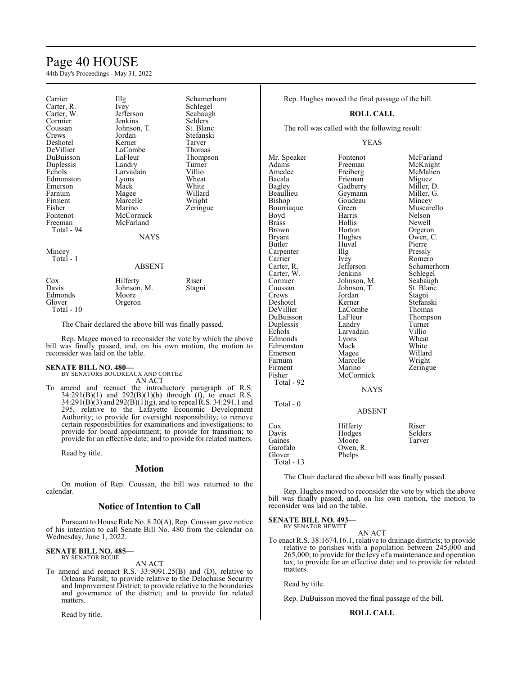# Page 40 HOUSE

44th Day's Proceedings - May 31, 2022

| Carrier<br>Carter, R.<br>Carter, W.<br>Cormier<br>Coussan<br>Crews<br>Deshotel<br>DeVillier<br>DuBuisson<br>Duplessis<br>Echols<br>Edmonston<br>Emerson<br>Farnum<br>Firment<br>Fisher<br>Fontenot<br>Freeman<br>Total - 94 | Illg<br>Ivey<br>Jefferson<br>Jenkins<br>Johnson, T.<br>Jordan<br>Kerner<br>LaCombe<br>LaFleur<br>Landry<br>Larvadain<br>Lyons<br>Mack<br>Magee<br>Marcelle<br>Marino<br>McCormick<br>McFarland<br>NAYS | Schamerhorn<br>Schlegel<br>Seabaugh<br>Selders<br>St. Blanc<br>Stefanski<br>Tarver<br>Thomas<br>Thompson<br>Turner<br>Villio<br>Wheat<br>White<br>Willard<br>Wright<br>Zeringue |
|-----------------------------------------------------------------------------------------------------------------------------------------------------------------------------------------------------------------------------|--------------------------------------------------------------------------------------------------------------------------------------------------------------------------------------------------------|---------------------------------------------------------------------------------------------------------------------------------------------------------------------------------|
| Mincey<br>Total - 1                                                                                                                                                                                                         | ABSENT                                                                                                                                                                                                 |                                                                                                                                                                                 |
| Cox<br>Davis<br>Edmonds<br>Glover<br>Total - 10                                                                                                                                                                             | Hilferty<br>Johnson, M.<br>Moore<br>Orgeron                                                                                                                                                            | Riser<br>Stagni                                                                                                                                                                 |

The Chair declared the above bill was finally passed.

Rep. Magee moved to reconsider the vote by which the above bill was finally passed, and, on his own motion, the motion to reconsider was laid on the table.

## **SENATE BILL NO. 480—**

Mincey

| BY SENATORS BOUDREAUX AND CORTEZ |  |
|----------------------------------|--|
| AN ACT                           |  |

To amend and reenact the introductory paragraph of R.S.  $34:291(B)(1)$  and  $292(B)(1)(b)$  through (f), to enact R.S.  $34:291(B)(3)$  and  $292(B)(1)(g)$ , and to repeal R.S. 34:291.1 and 295, relative to the Lafayette Economic Development Authority; to provide for oversight responsibility; to remove certain responsibilities for examinations and investigations; to provide for board appointment; to provide for transition; to provide for an effective date; and to provide for related matters.

Read by title.

# **Motion**

On motion of Rep. Coussan, the bill was returned to the calendar.

# **Notice of Intention to Call**

Pursuant to House Rule No. 8.20(A), Rep. Coussan gave notice of his intention to call Senate Bill No. 480 from the calendar on Wednesday, June 1, 2022.

## **SENATE BILL NO. 485—** BY SENATOR BOUIE

AN ACT

To amend and reenact R.S. 33:9091.25(B) and (D), relative to Orleans Parish; to provide relative to the Delachaise Security and Improvement District; to provide relative to the boundaries and governance of the district; and to provide for related matters.

Read by title.

Rep. Hughes moved the final passage of the bill.

## **ROLL CALL**

The roll was called with the following result:

YEAS

Mr. Speaker Fontenot McFarland<br>Adams Freeman McKnight Adams Freeman McKnight<br>Amedee Freiberg McMahen Amedee Freiberg McMahen<br>Bacala Frieman Miguez Bacala Frieman Miguez<br>Bagley Gadberry Miller, D. Bagley Gadberry Miller, D.<br>Beaullieu Geymann Miller, G. Beaullieu Geymann Miller,<br>Bishop Goudeau Mincey Goudeau Bourriaque Green Muscarello<br>
Boyd Harris Nelson Boyd Harris Nelson<br>Brass Hollis Newell Brass Hollis Newell Brown Horton Orgeron Bryant Hughes Owen, C Bryant Hughes Owen, C.<br>Butler Huval Pierre Huval Pierre<br>Illg Pressly Carpenter Illg<br>Carrier Ivev Carrier Ivey Romero<br>Carter, R. Jefferson Schamer Jefferson Schamerhorn<br>Jenkins Schlegel Carter, W. Jenkins Schlegel<br>
Cormier Johnson, M. Seabaugh Cormier Johnson, M. Seabaugh<br>Coussan Johnson, T. St. Blanc Coussan Johnson, T.<br>Crews Jordan Jordan Stagni<br>Kerner Stefanski Deshotel Kerner Stefanski LaCombe Thomas<br>
LaFleur Thompson DuBuisson LaFleur Thomp<br>
Duplessis Landry Turner Duplessis Landry Turner<br>
Echols Larvadain Villio Larvadain Villio<br>
Lyons Wheat Edmonds Lyons Wheat<br>Edmonston Mack White Edmonston Mack White<br>
Emerson Magee Willard Emerson Magee Willard<br>Farnum Marcelle Wright Farnum Marcelle<br>Firment Marino Firment Marino Zeringue<br>Fisher McCormick Zeringue McCormick Total - 92 NAYS Total - 0 ABSENT Cox Hilferty Riser<br>Davis Hodges Selders Davis Hodges Selders Gaines Moore<br>Garofalo Owen, Garofalo Owen, R.<br>Glover Phelps

Total - 13

The Chair declared the above bill was finally passed.

Rep. Hughes moved to reconsider the vote by which the above bill was finally passed, and, on his own motion, the motion to reconsider was laid on the table.

## **SENATE BILL NO. 493** BY SENATOR HEWITT

AN ACT

Phelps

To enact R.S. 38:1674.16.1, relative to drainage districts; to provide relative to parishes with a population between 245,000 and 265,000; to provide for the levy of a maintenance and operation tax; to provide for an effective date; and to provide for related matters.

Read by title.

Rep. DuBuisson moved the final passage of the bill.

# **ROLL CALL**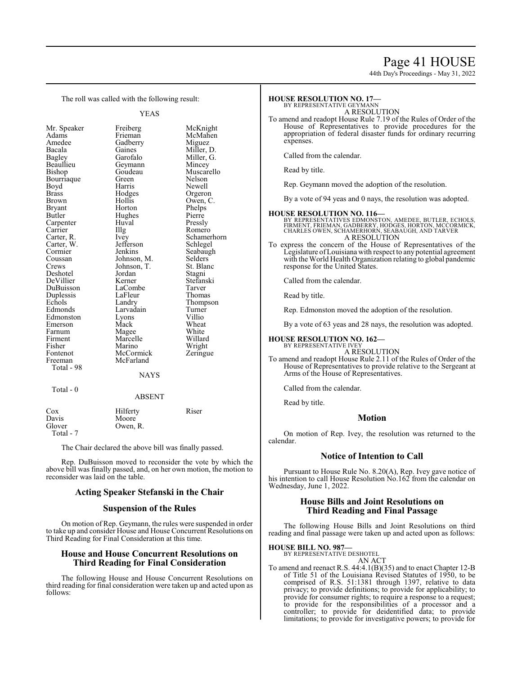# Page 41 HOUSE

44th Day's Proceedings - May 31, 2022

The roll was called with the following result:

Beaullieu Geymann<br>Bishop Goudeau Bourriaque Green<br>Boyd Harris Carpenter Huv<br>Carrier Hllg Carter, W. Jefferson<br>Cormier Jenkins Duplessis LaFleu<br>
Echols Landry Fontenot McCormick<br>Freeman McFarland Total - 98

YEAS Mr. Speaker Freiberg McKnight<br>Adams Frieman McMahen Adams Frieman McMahen<br>Amedee Gadberry Miguez Amedee Gadberry Miguez Bacala Gaines Miller, D. Bagley Garofalo Miller, G. Goudeau Muscarello<br>Green Nelson Boyd Harris Newell<br>Brass Hodges Orgero Brass Hodges Orgeron Brown Hollis Owen, C.<br>Bryant Horton Phelps Bryant Horton Phelps<br>Butler Hughes Pierre Hughes Pierre<br>Huval Pressly Carrier IIIg Romero<br>Carter, R. Ivey Schamer Ivey Schamerhorn<br>Jefferson Schlegel Cormier Jenkins Seabaugh<br>Coussan Johnson, M. Selders Coussan Johnson, M. Selders<br>Crews Johnson, T. St. Blanc Johnson, T. St. Blanch<br>Jordan Stagni Deshotel Jordan Stagni DeVillier Kerner Stefans<br>DuBuisson LaCombe Tarver DuBuisson LaCombe Tarver Echols Landry Thompson<br>Edmonds Larvadain Turner Larvadain Turner<br>Lyons Villio Edmonston Lyons Villio Emerson Mack Wheat<br>
Farnum Magee White Farnum Magee White<br>
Firment Marcelle Willard Firment Marcelle Willard<br>
Fisher Marino Wright Fisher Marino Wright<br>Fontenot McCormick Zeringue McFarland

# NAYS

Total - 0

# ABSENT

| Cox       | Hilferty | Riser |
|-----------|----------|-------|
| Davis     | Moore    |       |
| Glover    | Owen, R. |       |
| Total - 7 |          |       |

The Chair declared the above bill was finally passed.

Rep. DuBuisson moved to reconsider the vote by which the above bill was finally passed, and, on her own motion, the motion to reconsider was laid on the table.

# **Acting Speaker Stefanski in the Chair**

# **Suspension of the Rules**

On motion of Rep. Geymann, the rules were suspended in order to take up and consider House and House Concurrent Resolutions on Third Reading for Final Consideration at this time.

# **House and House Concurrent Resolutions on Third Reading for Final Consideration**

The following House and House Concurrent Resolutions on third reading for final consideration were taken up and acted upon as follows:

## **HOUSE RESOLUTION NO. 17—** BY REPRESENTATIVE GEYMANN

A RESOLUTION

To amend and readopt House Rule 7.19 of the Rules of Order of the House of Representatives to provide procedures for the appropriation of federal disaster funds for ordinary recurring expenses.

Called from the calendar.

Read by title.

Rep. Geymann moved the adoption of the resolution.

By a vote of 94 yeas and 0 nays, the resolution was adopted.

# **HOUSE RESOLUTION NO. 116—**

- BY REPRESENTATIVES EDMONSTON, AMEDEE, BUTLER, ECHOLS,<br>FIRMENT, FRIEMAN, GADBERRY, HODGES, HORTON, MCCORMICK,<br>CHARLES OWEN, SCHAMERHORN, SEABAUGH, AND TARVER A RESOLUTION
- To express the concern of the House of Representatives of the Legislature ofLouisiana with respect to any potential agreement with the World Health Organization relating to global pandemic response for the United States.

Called from the calendar.

Read by title.

Rep. Edmonston moved the adoption of the resolution.

By a vote of 63 yeas and 28 nays, the resolution was adopted.

# **HOUSE RESOLUTION NO. 162—**

BY REPRESENTATIVE IVEY A RESOLUTION

To amend and readopt House Rule 2.11 of the Rules of Order of the House of Representatives to provide relative to the Sergeant at Arms of the House of Representatives.

Called from the calendar.

Read by title.

# **Motion**

On motion of Rep. Ivey, the resolution was returned to the calendar.

# **Notice of Intention to Call**

Pursuant to House Rule No. 8.20(A), Rep. Ivey gave notice of his intention to call House Resolution No.162 from the calendar on Wednesday, June 1, 2022.

# **House Bills and Joint Resolutions on Third Reading and Final Passage**

The following House Bills and Joint Resolutions on third reading and final passage were taken up and acted upon as follows:

# **HOUSE BILL NO. 987—**

BY REPRESENTATIVE DESHOTEL AN ACT

To amend and reenact R.S. 44:4.1(B)(35) and to enact Chapter 12-B of Title 51 of the Louisiana Revised Statutes of 1950, to be comprised of R.S. 51:1381 through 1397, relative to data privacy; to provide definitions; to provide for applicability; to provide for consumer rights; to require a response to a request; to provide for the responsibilities of a processor and a controller; to provide for deidentified data; to provide limitations; to provide for investigative powers; to provide for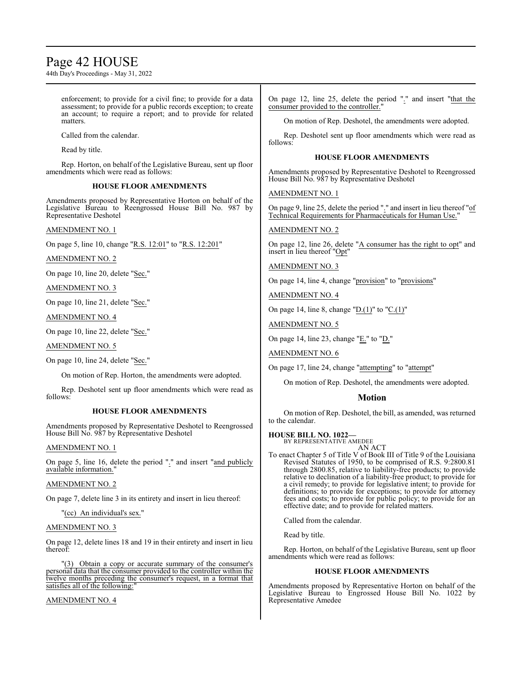# Page 42 HOUSE

44th Day's Proceedings - May 31, 2022

enforcement; to provide for a civil fine; to provide for a data assessment; to provide for a public records exception; to create an account; to require a report; and to provide for related matters.

Called from the calendar.

Read by title.

Rep. Horton, on behalf of the Legislative Bureau, sent up floor amendments which were read as follows:

# **HOUSE FLOOR AMENDMENTS**

Amendments proposed by Representative Horton on behalf of the Legislative Bureau to Reengrossed House Bill No. 987 by Representative Deshotel

# AMENDMENT NO. 1

On page 5, line 10, change "R.S. 12:01" to "R.S. 12:201"

AMENDMENT NO. 2

On page 10, line 20, delete "Sec."

AMENDMENT NO. 3

On page 10, line 21, delete "Sec."

AMENDMENT NO. 4

On page 10, line 22, delete "Sec."

AMENDMENT NO. 5

On page 10, line 24, delete "Sec."

On motion of Rep. Horton, the amendments were adopted.

Rep. Deshotel sent up floor amendments which were read as follows:

# **HOUSE FLOOR AMENDMENTS**

Amendments proposed by Representative Deshotel to Reengrossed House Bill No. 987 by Representative Deshotel

# AMENDMENT NO. 1

On page 5, line 16, delete the period "." and insert "and publicly available information."

# AMENDMENT NO. 2

On page 7, delete line 3 in its entirety and insert in lieu thereof:

# "(cc) An individual's sex."

# AMENDMENT NO. 3

On page 12, delete lines 18 and 19 in their entirety and insert in lieu thereof:

"(3) Obtain a copy or accurate summary of the consumer's personal data that the consumer provided to the controller within the twelve months preceding the consumer's request, in a format that satisfies all of the following:

AMENDMENT NO. 4

On page 12, line 25, delete the period "." and insert "that the consumer provided to the controller."

On motion of Rep. Deshotel, the amendments were adopted.

Rep. Deshotel sent up floor amendments which were read as follows:

# **HOUSE FLOOR AMENDMENTS**

Amendments proposed by Representative Deshotel to Reengrossed House Bill No. 987 by Representative Deshotel

AMENDMENT NO. 1

On page 9, line 25, delete the period "." and insert in lieu thereof "of Technical Requirements for Pharmaceuticals for Human Use."

AMENDMENT NO. 2

On page 12, line 26, delete "A consumer has the right to opt" and insert in lieu thereof "Opt"

AMENDMENT NO. 3

On page 14, line 4, change "provision" to "provisions"

AMENDMENT NO. 4

On page 14, line 8, change " $D(1)$ " to " $C(1)$ "

AMENDMENT NO. 5

On page 14, line 23, change "E." to "D."

AMENDMENT NO. 6

On page 17, line 24, change "attempting" to "attempt"

On motion of Rep. Deshotel, the amendments were adopted.

# **Motion**

On motion of Rep. Deshotel, the bill, as amended, was returned to the calendar.

# **HOUSE BILL NO. 1022—**

BY REPRESENTATIVE AMEDEE AN ACT

To enact Chapter 5 of Title V of Book III of Title 9 of the Louisiana Revised Statutes of 1950, to be comprised of R.S. 9:2800.81 through 2800.85, relative to liability-free products; to provide relative to declination of a liability-free product; to provide for a civil remedy; to provide for legislative intent; to provide for definitions; to provide for exceptions; to provide for attorney fees and costs; to provide for public policy; to provide for an effective date; and to provide for related matters.

Called from the calendar.

Read by title.

Rep. Horton, on behalf of the Legislative Bureau, sent up floor amendments which were read as follows:

# **HOUSE FLOOR AMENDMENTS**

Amendments proposed by Representative Horton on behalf of the Legislative Bureau to Engrossed House Bill No. 1022 by Representative Amedee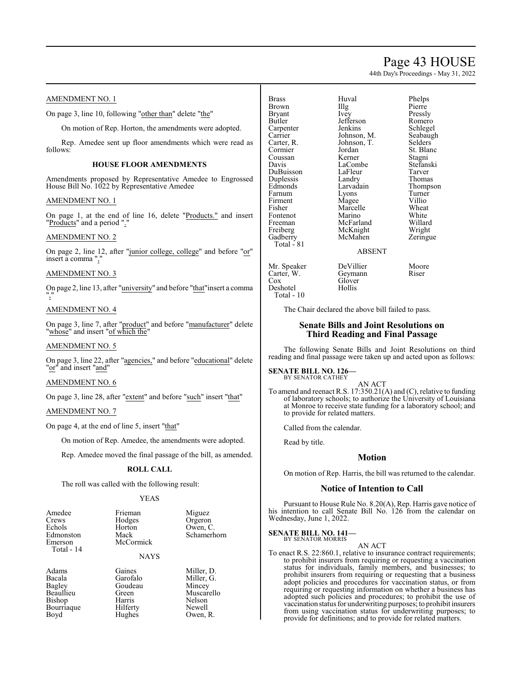# Page 43 HOUSE

44th Day's Proceedings - May 31, 2022

# AMENDMENT NO. 1

On page 3, line 10, following "other than" delete "the"

On motion of Rep. Horton, the amendments were adopted.

Rep. Amedee sent up floor amendments which were read as follows:

# **HOUSE FLOOR AMENDMENTS**

Amendments proposed by Representative Amedee to Engrossed House Bill No. 1022 by Representative Amedee

# AMENDMENT NO. 1

On page 1, at the end of line 16, delete "Products." and insert "Products" and a period "."

# AMENDMENT NO. 2

On page 2, line 12, after "junior college, college" and before "or" insert a comma ","

# AMENDMENT NO. 3

On page 2, line 13, after "university" and before "that"insert a comma ","

# AMENDMENT NO. 4

On page 3, line 7, after "product" and before "manufacturer" delete "whose" and insert "of which the"

# AMENDMENT NO. 5

On page 3, line 22, after "agencies," and before "educational" delete "or<sup>"</sup> and insert "and"

# AMENDMENT NO. 6

On page 3, line 28, after "extent" and before "such" insert "that"

# AMENDMENT NO. 7

On page 4, at the end of line 5, insert "that"

On motion of Rep. Amedee, the amendments were adopted.

Rep. Amedee moved the final passage of the bill, as amended.

# **ROLL CALL**

The roll was called with the following result:

## YEAS

| Amedee     | Frieman   | Miguez      |
|------------|-----------|-------------|
| Crews      | Hodges    | Orgeron     |
| Echols     | Horton    | Owen, C.    |
| Edmonston  | Mack      | Schamerhorn |
| Emerson    | McCormick |             |
| Total - 14 |           |             |

# NAYS

Adams Gaines Miller, D.<br>Bacala Garofalo Miller. G. Bacala Garofalo Miller, G. Bagley Goudeau Mincey<br>Beaullieu Green Muscaro Bishop Harris Nelson Bourriaque Boyd Hughes Owen, R.

Green Muscarello<br>
Harris Nelson

Brass Huval Phelps<br>Brown Illg Pierre Brown Illg Pierre Bryant Ivey Pressly<br>Butler Befferson Romero Carpenter Jenkins Schlegel<br>Carrier Johnson, M. Seabaugh Carrier Johnson, M.<br>Carter, R. Johnson, T. Carter, R. Johnson, T. Selders Cormier Jordan St. Blanc<br>
Coussan Kerner Stagni Coussan Kerner Stagni DuBuisson LaFleur Tarver<br>
Duplessis Landry Thomas Duplessis Landry<br>Edmonds Larvadain Farnum Lyons Turner<br>
Firment Magee Villio Firment Magee Villio<br>Fisher Marcelle Wheat Fontenot Marino White<br>
Freeman McFarland Willard Freeman McFarland Willard<br>
Freiberg McKnight Wright Freiberg McKnight<br>Gadberry McMahen Total - 81

Jefferson Romero<br>
Jenkins Schlegel LaCombe Stefans<br>LaFleur Tarver Marcelle Wheat<br>
Marino White

# Larvadain Thompson<br>Lyons Turner Zeringue

# ABSENT

Mr. Speaker DeVillier Moore<br>Carter, W. Geymann Riser Carter, W.<br>Cox Deshotel

Total - 10

Glover<br>Hollis

The Chair declared the above bill failed to pass.

# **Senate Bills and Joint Resolutions on Third Reading and Final Passage**

The following Senate Bills and Joint Resolutions on third reading and final passage were taken up and acted upon as follows:

## **SENATE BILL NO. 126—** BY SENATOR CATHEY

AN ACT To amend and reenact R.S. 17:350.21(A) and (C), relative to funding of laboratory schools; to authorize the University of Louisiana at Monroe to receive state funding for a laboratory school; and to provide for related matters.

Called from the calendar.

Read by title.

# **Motion**

On motion of Rep. Harris, the bill was returned to the calendar.

# **Notice of Intention to Call**

Pursuant to House Rule No. 8.20(A), Rep. Harris gave notice of his intention to call Senate Bill No. 126 from the calendar on Wednesday, June 1, 2022.

## **SENATE BILL NO. 141—** BY SENATOR MORRIS

## AN ACT

To enact R.S. 22:860.1, relative to insurance contract requirements; to prohibit insurers from requiring or requesting a vaccination status for individuals, family members, and businesses; to prohibit insurers from requiring or requesting that a business adopt policies and procedures for vaccination status, or from requiring or requesting information on whether a business has adopted such policies and procedures; to prohibit the use of vaccination status for underwriting purposes; to prohibit insurers from using vaccination status for underwriting purposes; to provide for definitions; and to provide for related matters.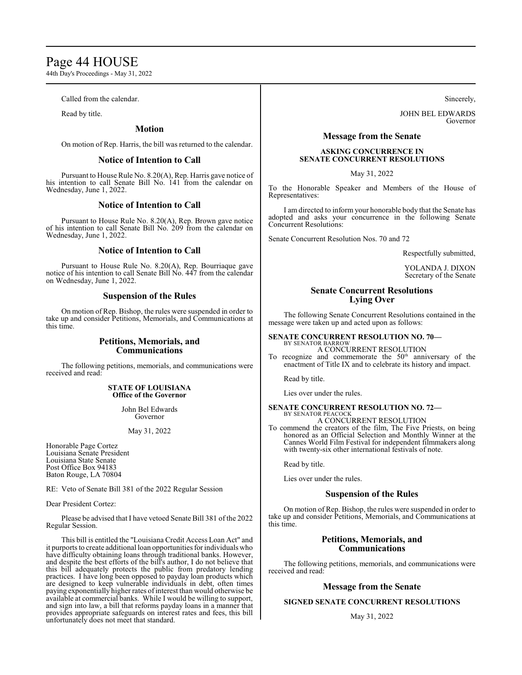# Page 44 HOUSE

44th Day's Proceedings - May 31, 2022

Called from the calendar.

Read by title.

# **Motion**

On motion of Rep. Harris, the bill was returned to the calendar.

# **Notice of Intention to Call**

Pursuant to House Rule No. 8.20(A), Rep. Harris gave notice of his intention to call Senate Bill No. 141 from the calendar on Wednesday, June 1, 2022.

# **Notice of Intention to Call**

Pursuant to House Rule No. 8.20(A), Rep. Brown gave notice of his intention to call Senate Bill No. 209 from the calendar on Wednesday, June 1, 2022.

# **Notice of Intention to Call**

Pursuant to House Rule No. 8.20(A), Rep. Bourriaque gave notice of his intention to call Senate Bill No. 447 from the calendar on Wednesday, June 1, 2022.

# **Suspension of the Rules**

On motion of Rep. Bishop, the rules were suspended in order to take up and consider Petitions, Memorials, and Communications at this time.

# **Petitions, Memorials, and Communications**

The following petitions, memorials, and communications were received and read:

# **STATE OF LOUISIANA Office of the Governor**

John Bel Edwards Governor

May 31, 2022

Honorable Page Cortez Louisiana Senate President Louisiana State Senate Post Office Box 94183 Baton Rouge, LA 70804

RE: Veto of Senate Bill 381 of the 2022 Regular Session

Dear President Cortez:

Please be advised that I have vetoed Senate Bill 381 of the 2022 Regular Session.

This bill is entitled the "Louisiana Credit Access Loan Act" and it purports to create additional loan opportunities for individuals who have difficulty obtaining loans through traditional banks. However, and despite the best efforts of the bill's author, I do not believe that this bill adequately protects the public from predatory lending practices. I have long been opposed to payday loan products which are designed to keep vulnerable individuals in debt, often times paying exponentially higher rates ofinterest than would otherwise be available at commercial banks. While I would be willing to support, and sign into law, a bill that reforms payday loans in a manner that provides appropriate safeguards on interest rates and fees, this bill unfortunately does not meet that standard.

Sincerely,

JOHN BEL EDWARDS Governor

# **Message from the Senate**

# **ASKING CONCURRENCE IN SENATE CONCURRENT RESOLUTIONS**

May 31, 2022

To the Honorable Speaker and Members of the House of Representatives:

I am directed to inform your honorable body that the Senate has adopted and asks your concurrence in the following Senate Concurrent Resolutions:

Senate Concurrent Resolution Nos. 70 and 72

Respectfully submitted,

YOLANDA J. DIXON Secretary of the Senate

# **Senate Concurrent Resolutions Lying Over**

The following Senate Concurrent Resolutions contained in the message were taken up and acted upon as follows:

# **SENATE CONCURRENT RESOLUTION NO. 70—** BY SENATOR BARROW

A CONCURRENT RESOLUTION To recognize and commemorate the  $50<sup>th</sup>$  anniversary of the enactment of Title IX and to celebrate its history and impact.

Read by title.

Lies over under the rules.

# **SENATE CONCURRENT RESOLUTION NO. 72—** BY SENATOR PEACOCK

A CONCURRENT RESOLUTION

To commend the creators of the film, The Five Priests, on being honored as an Official Selection and Monthly Winner at the Cannes World Film Festival for independent filmmakers along with twenty-six other international festivals of note.

Read by title.

Lies over under the rules.

# **Suspension of the Rules**

On motion of Rep. Bishop, the rules were suspended in order to take up and consider Petitions, Memorials, and Communications at this time.

# **Petitions, Memorials, and Communications**

The following petitions, memorials, and communications were received and read:

# **Message from the Senate**

# **SIGNED SENATE CONCURRENT RESOLUTIONS**

May 31, 2022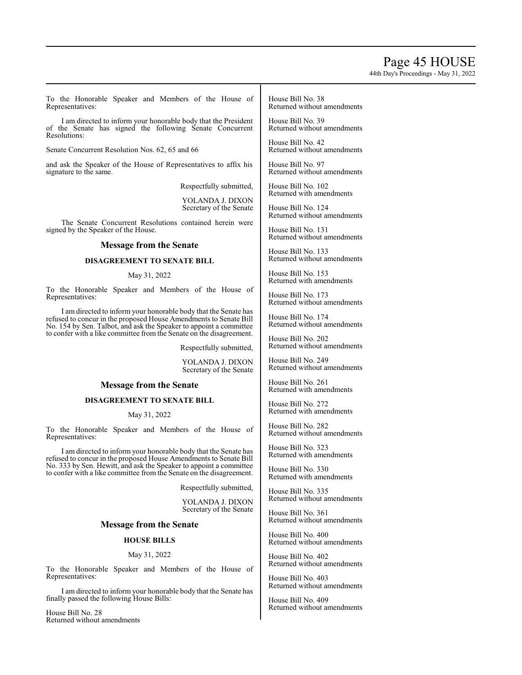# Page 45 HOUSE

44th Day's Proceedings - May 31, 2022

To the Honorable Speaker and Members of the House of Representatives:

I am directed to inform your honorable body that the President of the Senate has signed the following Senate Concurrent Resolutions:

Senate Concurrent Resolution Nos. 62, 65 and 66

and ask the Speaker of the House of Representatives to affix his signature to the same.

Respectfully submitted,

YOLANDA J. DIXON Secretary of the Senate

The Senate Concurrent Resolutions contained herein were signed by the Speaker of the House.

# **Message from the Senate**

# **DISAGREEMENT TO SENATE BILL**

# May 31, 2022

To the Honorable Speaker and Members of the House of Representatives:

I am directed to inform your honorable body that the Senate has refused to concur in the proposed House Amendments to Senate Bill No. 154 by Sen. Talbot, and ask the Speaker to appoint a committee to confer with a like committee from the Senate on the disagreement.

Respectfully submitted,

YOLANDA J. DIXON Secretary of the Senate

# **Message from the Senate**

# **DISAGREEMENT TO SENATE BILL**

## May 31, 2022

To the Honorable Speaker and Members of the House of Representatives:

I am directed to inform your honorable body that the Senate has refused to concur in the proposed House Amendments to Senate Bill No. 333 by Sen. Hewitt, and ask the Speaker to appoint a committee to confer with a like committee from the Senate on the disagreement.

Respectfully submitted,

YOLANDA J. DIXON Secretary of the Senate

# **Message from the Senate**

# **HOUSE BILLS**

## May 31, 2022

To the Honorable Speaker and Members of the House of Representatives:

I am directed to inform your honorable body that the Senate has finally passed the following House Bills:

House Bill No. 28 Returned without amendments House Bill No. 38 Returned without amendments

House Bill No. 39 Returned without amendments

House Bill No. 42 Returned without amendments

House Bill No. 97 Returned without amendments

House Bill No. 102 Returned with amendments

House Bill No. 124 Returned without amendments

House Bill No. 131 Returned without amendments

House Bill No. 133 Returned without amendments

House Bill No. 153 Returned with amendments

House Bill No. 173 Returned without amendments

House Bill No. 174 Returned without amendments

House Bill No. 202 Returned without amendments

House Bill No. 249 Returned without amendments

House Bill No. 261 Returned with amendments

House Bill No. 272 Returned with amendments

House Bill No. 282 Returned without amendments

House Bill No. 323 Returned with amendments

House Bill No. 330 Returned with amendments

House Bill No. 335 Returned without amendments

House Bill No. 361 Returned without amendments

House Bill No. 400 Returned without amendments

House Bill No. 402 Returned without amendments

House Bill No. 403 Returned without amendments

House Bill No. 409 Returned without amendments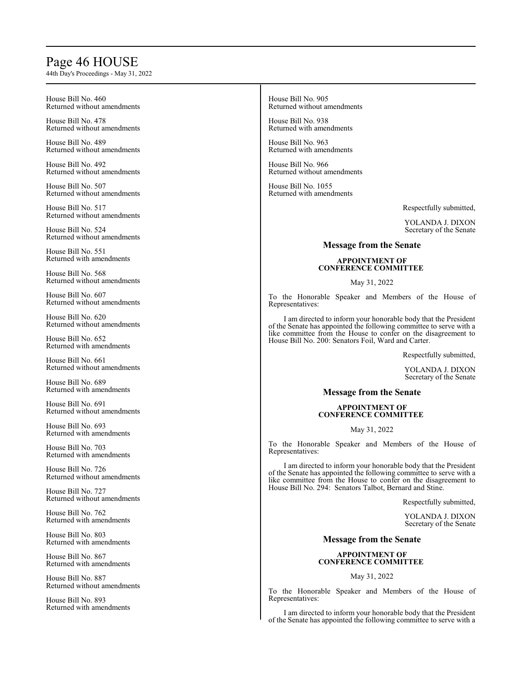# Page 46 HOUSE

44th Day's Proceedings - May 31, 2022

House Bill No. 460 Returned without amendments

House Bill No. 478 Returned without amendments

House Bill No. 489 Returned without amendments

House Bill No. 492 Returned without amendments

House Bill No. 507 Returned without amendments

House Bill No. 517 Returned without amendments

House Bill No. 524 Returned without amendments

House Bill No. 551 Returned with amendments

House Bill No. 568 Returned without amendments

House Bill No. 607 Returned without amendments

House Bill No. 620 Returned without amendments

House Bill No. 652 Returned with amendments

House Bill No. 661 Returned without amendments

House Bill No. 689 Returned with amendments

House Bill No. 691 Returned without amendments

House Bill No. 693 Returned with amendments

House Bill No. 703 Returned with amendments

House Bill No. 726 Returned without amendments

House Bill No. 727 Returned without amendments

House Bill No. 762 Returned with amendments

House Bill No. 803 Returned with amendments

House Bill No. 867 Returned with amendments

House Bill No. 887 Returned without amendments

House Bill No. 893 Returned with amendments House Bill No. 905 Returned without amendments

House Bill No. 938 Returned with amendments

House Bill No. 963 Returned with amendments

House Bill No. 966 Returned without amendments

House Bill No. 1055 Returned with amendments

Respectfully submitted,

YOLANDA J. DIXON Secretary of the Senate

# **Message from the Senate**

# **APPOINTMENT OF CONFERENCE COMMITTEE**

May 31, 2022

To the Honorable Speaker and Members of the House of Representatives:

I am directed to inform your honorable body that the President of the Senate has appointed the following committee to serve with a like committee from the House to confer on the disagreement to House Bill No. 200: Senators Foil, Ward and Carter.

Respectfully submitted,

YOLANDA J. DIXON Secretary of the Senate

# **Message from the Senate**

# **APPOINTMENT OF CONFERENCE COMMITTEE**

May 31, 2022

To the Honorable Speaker and Members of the House of Representatives:

I am directed to inform your honorable body that the President of the Senate has appointed the following committee to serve with a like committee from the House to confer on the disagreement to House Bill No. 294: Senators Talbot, Bernard and Stine.

Respectfully submitted,

YOLANDA J. DIXON Secretary of the Senate

# **Message from the Senate**

# **APPOINTMENT OF CONFERENCE COMMITTEE**

May 31, 2022

To the Honorable Speaker and Members of the House of Representatives:

I am directed to inform your honorable body that the President of the Senate has appointed the following committee to serve with a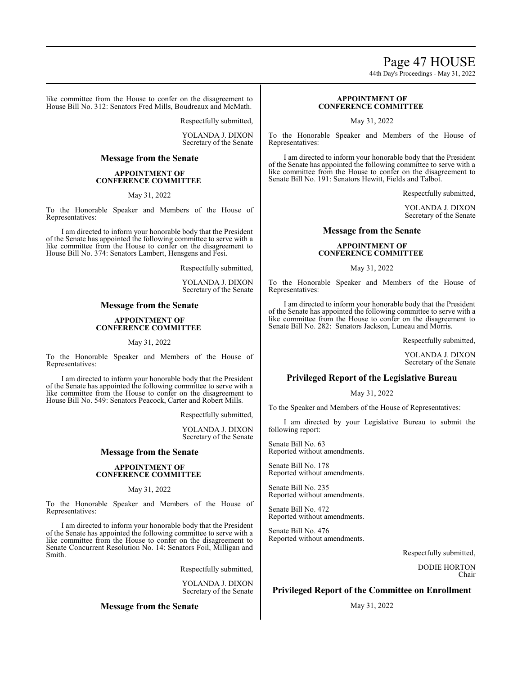# Page 47 HOUSE

44th Day's Proceedings - May 31, 2022

like committee from the House to confer on the disagreement to House Bill No. 312: Senators Fred Mills, Boudreaux and McMath.

Respectfully submitted,

YOLANDA J. DIXON Secretary of the Senate

# **Message from the Senate**

# **APPOINTMENT OF CONFERENCE COMMITTEE**

May 31, 2022

To the Honorable Speaker and Members of the House of Representatives:

I am directed to inform your honorable body that the President of the Senate has appointed the following committee to serve with a like committee from the House to confer on the disagreement to House Bill No. 374: Senators Lambert, Hensgens and Fesi.

Respectfully submitted,

YOLANDA J. DIXON Secretary of the Senate

# **Message from the Senate**

# **APPOINTMENT OF CONFERENCE COMMITTEE**

# May 31, 2022

To the Honorable Speaker and Members of the House of Representatives:

I am directed to inform your honorable body that the President of the Senate has appointed the following committee to serve with a like committee from the House to confer on the disagreement to House Bill No. 549: Senators Peacock, Carter and Robert Mills.

Respectfully submitted,

YOLANDA J. DIXON Secretary of the Senate

# **Message from the Senate**

# **APPOINTMENT OF CONFERENCE COMMITTEE**

# May 31, 2022

To the Honorable Speaker and Members of the House of Representatives:

I am directed to inform your honorable body that the President of the Senate has appointed the following committee to serve with a like committee from the House to confer on the disagreement to Senate Concurrent Resolution No. 14: Senators Foil, Milligan and Smith.

Respectfully submitted,

YOLANDA J. DIXON Secretary of the Senate

# **Message from the Senate**

# **APPOINTMENT OF CONFERENCE COMMITTEE**

May 31, 2022

To the Honorable Speaker and Members of the House of Representatives:

I am directed to inform your honorable body that the President of the Senate has appointed the following committee to serve with a like committee from the House to confer on the disagreement to Senate Bill No. 191: Senators Hewitt, Fields and Talbot.

Respectfully submitted,

YOLANDA J. DIXON Secretary of the Senate

# **Message from the Senate**

# **APPOINTMENT OF CONFERENCE COMMITTEE**

May 31, 2022

To the Honorable Speaker and Members of the House of Representatives:

I am directed to inform your honorable body that the President of the Senate has appointed the following committee to serve with a like committee from the House to confer on the disagreement to Senate Bill No. 282: Senators Jackson, Luneau and Morris.

Respectfully submitted,

YOLANDA J. DIXON Secretary of the Senate

# **Privileged Report of the Legislative Bureau**

May 31, 2022

To the Speaker and Members of the House of Representatives:

I am directed by your Legislative Bureau to submit the following report:

Senate Bill No. 63 Reported without amendments.

Senate Bill No. 178 Reported without amendments.

Senate Bill No. 235 Reported without amendments.

Senate Bill No. 472 Reported without amendments.

Senate Bill No. 476 Reported without amendments.

Respectfully submitted,

DODIE HORTON Chair

# **Privileged Report of the Committee on Enrollment**

May 31, 2022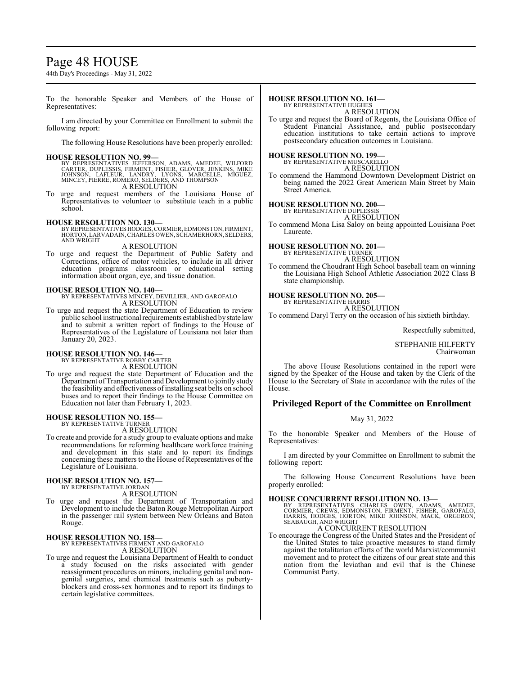# Page 48 HOUSE

44th Day's Proceedings - May 31, 2022

To the honorable Speaker and Members of the House of Representatives:

I am directed by your Committee on Enrollment to submit the following report:

The following House Resolutions have been properly enrolled:

## **HOUSE RESOLUTION NO. 99—**

BY REPRESENTATIVES JEFFERSON, ADAMS, AMEDEE, WILFORD<br>CARTER, DUPLESSIS, FIRMENT, FISHER, GLOVER, JENKINS, MIKE<br>JOHNSON, LAFLEUR, LANDRY, LYONS, MARCELLE, MIGUEZ,<br>MINCEY, PIERRE, ROMERO, SELDERS, AND THOMPSON A RESOLUTION

To urge and request members of the Louisiana House of Representatives to volunteer to substitute teach in a public school.

**HOUSE RESOLUTION NO. 130—** BY REPRESENTATIVES HODGES,CORMIER, EDMONSTON, FIRMENT, HORTON, LARVADAIN,CHARLES OWEN, SCHAMERHORN, SELDERS, AND WRIGHT A RESOLUTION

To urge and request the Department of Public Safety and Corrections, office of motor vehicles, to include in all driver education programs classroom or educational setting information about organ, eye, and tissue donation.

# **HOUSE RESOLUTION NO. 140—**

BY REPRESENTATIVES MINCEY, DEVILLIER, AND GAROFALO A RESOLUTION

To urge and request the state Department of Education to review public school instructional requirements established by state law and to submit a written report of findings to the House of Representatives of the Legislature of Louisiana not later than January 20, 2023.

# **HOUSE RESOLUTION NO. 146—** BY REPRESENTATIVE ROBBY CARTER

A RESOLUTION

To urge and request the state Department of Education and the Department of Transportation and Development to jointly study the feasibility and effectiveness of installing seat belts on school buses and to report their findings to the House Committee on Education not later than February 1, 2023.

## **HOUSE RESOLUTION NO. 155—** BY REPRESENTATIVE TURNER

A RESOLUTION

To create and provide for a study group to evaluate options and make recommendations for reforming healthcare workforce training and development in this state and to report its findings concerning these matters to the House of Representatives of the Legislature of Louisiana.

## **HOUSE RESOLUTION NO. 157—** BY REPRESENTATIVE JORDAN

A RESOLUTION

To urge and request the Department of Transportation and Development to include the Baton Rouge Metropolitan Airport in the passenger rail system between New Orleans and Baton Rouge.

# **HOUSE RESOLUTION NO. 158—**

BY REPRESENTATIVES FIRMENT AND GAROFALO A RESOLUTION

To urge and request the Louisiana Department of Health to conduct a study focused on the risks associated with gender reassignment procedures on minors, including genital and nongenital surgeries, and chemical treatments such as pubertyblockers and cross-sex hormones and to report its findings to certain legislative committees.

## **HOUSE RESOLUTION NO. 161—** BY REPRESENTATIVE HUGHES

A RESOLUTION

To urge and request the Board of Regents, the Louisiana Office of Student Financial Assistance, and public postsecondary education institutions to take certain actions to improve postsecondary education outcomes in Louisiana.

# **HOUSE RESOLUTION NO. 199—** BY REPRESENTATIVE MUSCARELLO

A RESOLUTION

To commend the Hammond Downtown Development District on being named the 2022 Great American Main Street by Main Street America.

# **HOUSE RESOLUTION NO. 200—**

BY REPRESENTATIVE DUPLESSIS A RESOLUTION

To commend Mona Lisa Saloy on being appointed Louisiana Poet Laureate.

# **HOUSE RESOLUTION NO. 201—**

BY REPRESENTATIVE TURNER A RESOLUTION

To commend the Choudrant High School baseball team on winning the Louisiana High School Athletic Association 2022 Class B state championship.

# **HOUSE RESOLUTION NO. 205—** BY REPRESENTATIVE HARRIS

A RESOLUTION

To commend Daryl Terry on the occasion of his sixtieth birthday.

Respectfully submitted,

# STEPHANIE HILFERTY Chairwoman

The above House Resolutions contained in the report were signed by the Speaker of the House and taken by the Clerk of the House to the Secretary of State in accordance with the rules of the House.

# **Privileged Report of the Committee on Enrollment**

# May 31, 2022

To the honorable Speaker and Members of the House of Representatives:

I am directed by your Committee on Enrollment to submit the following report:

The following House Concurrent Resolutions have been properly enrolled:

# **HOUSE CONCURRENT RESOLUTION NO. 13—**

BY REPRESENTATIVES CHARLES OWEN, ADAMS, AMEDEE,<br>CORMIER, CREWS, EDMONSTON, FIRMENT, FISHER, GAROFALO,<br>HARRIS, HODGES, HORTON, MIKE JOHNSON, MACK, ORGERON,<br>SEABAUGH, AND WRIGHT A CONCURRENT RESOLUTION

To encourage the Congress of the United States and the President of the United States to take proactive measures to stand firmly against the totalitarian efforts of the world Marxist/communist movement and to protect the citizens of our great state and this nation from the leviathan and evil that is the Chinese Communist Party.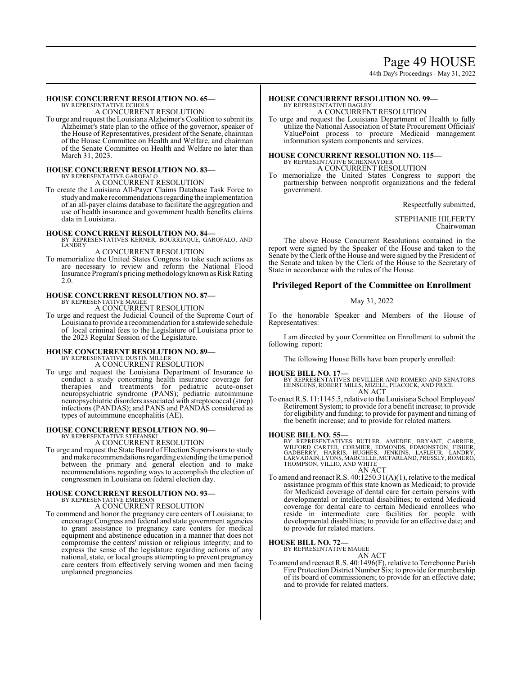# Page 49 HOUSE

44th Day's Proceedings - May 31, 2022

# **HOUSE CONCURRENT RESOLUTION NO. 65—**

BY REPRESENTATIVE ECHOLS A CONCURRENT RESOLUTION

To urge and request the Louisiana Alzheimer's Coalition to submit its Alzheimer's state plan to the office of the governor, speaker of the House of Representatives, president of the Senate, chairman of the House Committee on Health and Welfare, and chairman of the Senate Committee on Health and Welfare no later than March 31, 2023.

# **HOUSE CONCURRENT RESOLUTION NO. 83<br>BY REPRESENTATIVE GAROFALO<br>A CONCURRENT RESOLUTION**

To create the Louisiana All-Payer Claims Database Task Force to study and make recommendations regarding the implementation of an all-payer claims database to facilitate the aggregation and use of health insurance and government health benefits claims data in Louisiana.

**HOUSE CONCURRENT RESOLUTION NO. 84—** BY REPRESENTATIVES KERNER, BOURRIAQUE, GAROFALO, AND LANDRY

# A CONCURRENT RESOLUTION

To memorialize the United States Congress to take such actions as are necessary to review and reform the National Flood Insurance Program's pricing methodology known as Risk Rating 2.0.

# **HOUSE CONCURRENT RESOLUTION NO. 87—** BY REPRESENTATIVE MAGEE

A CONCURRENT RESOLUTION

To urge and request the Judicial Council of the Supreme Court of Louisiana to provide a recommendation for a statewide schedule of local criminal fees to the Legislature of Louisiana prior to the 2023 Regular Session of the Legislature.

# **HOUSE CONCURRENT RESOLUTION NO. 89—** BY REPRESENTATIVE DUSTIN MILLER A CONCURRENT RESOLUTION

To urge and request the Louisiana Department of Insurance to conduct a study concerning health insurance coverage for therapies and treatments for pediatric acute-onset neuropsychiatric syndrome (PANS); pediatric autoimmune neuropsychiatric disorders associated with streptococcal (strep) infections (PANDAS); and PANS and PANDAS considered as types of autoimmune encephalitis (AE).

# **HOUSE CONCURRENT RESOLUTION NO. 90—**

BY REPRESENTATIVE STEFANSKI A CONCURRENT RESOLUTION

To urge and request the State Board of Election Supervisors to study andmake recommendations regarding extending the time period between the primary and general election and to make recommendations regarding ways to accomplish the election of congressmen in Louisiana on federal election day.

# **HOUSE CONCURRENT RESOLUTION NO. 93—** BY REPRESENTATIVE EMERSON

A CONCURRENT RESOLUTION

To commend and honor the pregnancy care centers of Louisiana; to encourage Congress and federal and state government agencies to grant assistance to pregnancy care centers for medical equipment and abstinence education in a manner that does not compromise the centers' mission or religious integrity; and to express the sense of the legislature regarding actions of any national, state, or local groups attempting to prevent pregnancy care centers from effectively serving women and men facing unplanned pregnancies.

## **HOUSE CONCURRENT RESOLUTION NO. 99—** BY REPRESENTATIVE BAGLEY

A CONCURRENT RESOLUTION

To urge and request the Louisiana Department of Health to fully utilize the National Association of State Procurement Officials' ValuePoint process to procure Medicaid management information system components and services.

# **HOUSE CONCURRENT RESOLUTION NO. 115—** BY REPRESENTATIVE SCHEXNAYDER

A CONCURRENT RESOLUTION

To memorialize the United States Congress to support the partnership between nonprofit organizations and the federal government.

Respectfully submitted,

# STEPHANIE HILFERTY Chairwoman

The above House Concurrent Resolutions contained in the report were signed by the Speaker of the House and taken to the Senate by the Clerk of the House and were signed by the President of the Senate and taken by the Clerk of the House to the Secretary of State in accordance with the rules of the House.

# **Privileged Report of the Committee on Enrollment**

# May 31, 2022

To the honorable Speaker and Members of the House of Representatives:

I am directed by your Committee on Enrollment to submit the following report:

The following House Bills have been properly enrolled:

# **HOUSE BILL NO. 17—**

BY REPRESENTATIVES DEVILLIER AND ROMERO AND SENATORS HENSGENS, ROBERT MILLS, MIZELL, PEACOCK, AND PRICE AN ACT

To enact R.S. 11:1145.5, relative to the Louisiana School Employees' Retirement System; to provide for a benefit increase; to provide for eligibility and funding; to provide for payment and timing of the benefit increase; and to provide for related matters.

**HOUSE BILL NO. 55—**<br>BY REPRESENTATIVES BUTLER, AMEDEE, BRYANT, CARRIER,<br>WILFORD CARTER, CORMIER, EDMONDS, EDMONSTON, FISHER,<br>GADBERRY, HARRIS, HUGHES, JENKINS, LAFLEUR, LANDRY,<br>LARVADAIN,LYYONS,MARCELLE,MCFARLAND,PRESSLY, AN ACT

To amend and reenact R.S. 40:1250.31(A)(1), relative to the medical assistance program of this state known as Medicaid; to provide for Medicaid coverage of dental care for certain persons with developmental or intellectual disabilities; to extend Medicaid coverage for dental care to certain Medicaid enrollees who reside in intermediate care facilities for people with developmental disabilities; to provide for an effective date; and to provide for related matters.

## **HOUSE BILL NO. 72—** BY REPRESENTATIVE MAGEE

AN ACT To amend and reenact R.S. 40:1496(F), relative to Terrebonne Parish Fire Protection District Number Six; to provide for membership of its board of commissioners; to provide for an effective date; and to provide for related matters.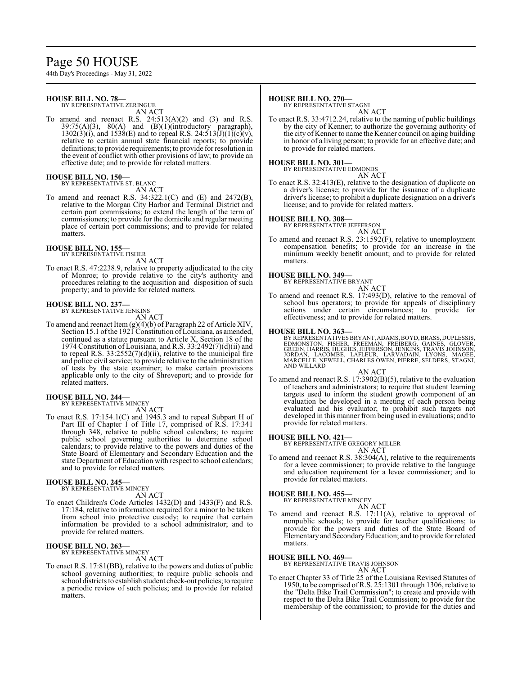# Page 50 HOUSE

44th Day's Proceedings - May 31, 2022

# **HOUSE BILL NO. 78—**

BY REPRESENTATIVE ZERINGUE AN ACT

To amend and reenact R.S. 24:513(A)(2) and (3) and R.S. 39:75(A)(3), 80(A) and (B)(1)(introductory paragraph),  $39:75(A)(3)$ ,  $80(A)$  and  $(B)(1)($ introductory  $1302(3)(i)$ , and  $1538(E)$  and to repeal R.S.  $24:513(J)(1)(c)(v)$ , relative to certain annual state financial reports; to provide definitions; to provide requirements; to provide for resolution in the event of conflict with other provisions of law; to provide an effective date; and to provide for related matters.

## **HOUSE BILL NO. 150—** BY REPRESENTATIVE ST. BLANC

AN ACT

To amend and reenact R.S. 34:322.1(C) and (E) and 2472(B), relative to the Morgan City Harbor and Terminal District and certain port commissions; to extend the length of the term of commissioners; to provide for the domicile and regular meeting place of certain port commissions; and to provide for related matters.

# **HOUSE BILL NO. 155—** BY REPRESENTATIVE FISHER

AN ACT

To enact R.S. 47:2238.9, relative to property adjudicated to the city of Monroe; to provide relative to the city's authority and procedures relating to the acquisition and disposition of such property; and to provide for related matters.

# **HOUSE BILL NO. 237—**

BY REPRESENTATIVE JENKINS

AN ACT

To amend and reenact Item (g)(4)(b) of Paragraph 22 of Article XIV, Section 15.1 of the 1921 Constitution of Louisiana, as amended, continued as a statute pursuant to Article X, Section 18 of the 1974 Constitution of Louisiana, and R.S.  $33:2492(7)(d)(ii)$  and to repeal R.S.  $33:2552(7)(d)(ii)$ , relative to the municipal fire and police civil service; to provide relative to the administration of tests by the state examiner; to make certain provisions applicable only to the city of Shreveport; and to provide for related matters.

# **HOUSE BILL NO. 244—** BY REPRESENTATIVE MINCEY

AN ACT

To enact R.S. 17:154.1(C) and 1945.3 and to repeal Subpart H of Part III of Chapter 1 of Title 17, comprised of R.S. 17:341 through 348, relative to public school calendars; to require public school governing authorities to determine school calendars; to provide relative to the powers and duties of the State Board of Elementary and Secondary Education and the state Department of Education with respect to school calendars; and to provide for related matters.

## **HOUSE BILL NO. 245—** BY REPRESENTATIVE MINCEY

AN ACT

To enact Children's Code Articles 1432(D) and 1433(F) and R.S. 17:184, relative to information required for a minor to be taken from school into protective custody; to require that certain information be provided to a school administrator; and to provide for related matters.

# **HOUSE BILL NO. 263—**

BY REPRESENTATIVE MINCEY AN ACT

To enact R.S. 17:81(BB), relative to the powers and duties of public school governing authorities; to require public schools and school districts to establish student check-out policies; to require a periodic review of such policies; and to provide for related matters.

# **HOUSE BILL NO. 270—**

BY REPRESENTATIVE STAGNI

AN ACT

To enact R.S. 33:4712.24, relative to the naming of public buildings by the city of Kenner; to authorize the governing authority of the city of Kenner to name the Kenner council on aging building in honor of a living person; to provide for an effective date; and to provide for related matters.

# **HOUSE BILL NO. 301—** BY REPRESENTATIVE EDMONDS

AN ACT

To enact R.S. 32:413(E), relative to the designation of duplicate on a driver's license; to provide for the issuance of a duplicate driver's license; to prohibit a duplicate designation on a driver's license; and to provide for related matters.

# **HOUSE BILL NO. 308—**

BY REPRESENTATIVE JEFFERSON AN ACT

To amend and reenact R.S. 23:1592(F), relative to unemployment compensation benefits; to provide for an increase in the minimum weekly benefit amount; and to provide for related matters.

# **HOUSE BILL NO. 349—** BY REPRESENTATIVE BRYANT



To amend and reenact R.S. 17:493(D), relative to the removal of school bus operators; to provide for appeals of disciplinary actions under certain circumstances; to provide for effectiveness; and to provide for related matters.

# **HOUSE BILL NO. 363—**

BY REPRESENTATIVES BRYANT, ADAMS, BOYD, BRASS, DUPLESSIS, EDMONSTON, FISHER, FREEMAN, FREIBERG, GAINES, GLOVER, GREEN, HARRIS, HUGHES, JEFFERSON, JENKINS, TRAVIS JOHNSON, JORDAN, LACOMBE, LAFLEUR, LARVADAIN, LYONS, MAGEE,<br>MARCELLE,NEWELL,CHARLES OWEN,PIERRE,SELDERS,STAGNI,<br>AND WILLARD

## AN ACT

To amend and reenact R.S. 17:3902(B)(5), relative to the evaluation of teachers and administrators; to require that student learning targets used to inform the student growth component of an evaluation be developed in a meeting of each person being evaluated and his evaluator; to prohibit such targets not developed in this manner from being used in evaluations; and to provide for related matters.

## **HOUSE BILL NO. 421—**

BY REPRESENTATIVE GREGORY MILLER

AN ACT

To amend and reenact R.S. 38:304(A), relative to the requirements for a levee commissioner; to provide relative to the language and education requirement for a levee commissioner; and to provide for related matters.

# **HOUSE BILL NO. 455—**

BY REPRESENTATIVE MINCEY

AN ACT To amend and reenact R.S. 17:11(A), relative to approval of nonpublic schools; to provide for teacher qualifications; to provide for the powers and duties of the State Board of Elementaryand SecondaryEducation; and to provide for related matters.

# **HOUSE BILL NO. 469—**

BY REPRESENTATIVE TRAVIS JOHNSON

- AN ACT
- To enact Chapter 33 of Title 25 of the Louisiana Revised Statutes of 1950, to be comprised ofR.S. 25:1301 through 1306, relative to the "Delta Bike Trail Commission"; to create and provide with respect to the Delta Bike Trail Commission; to provide for the membership of the commission; to provide for the duties and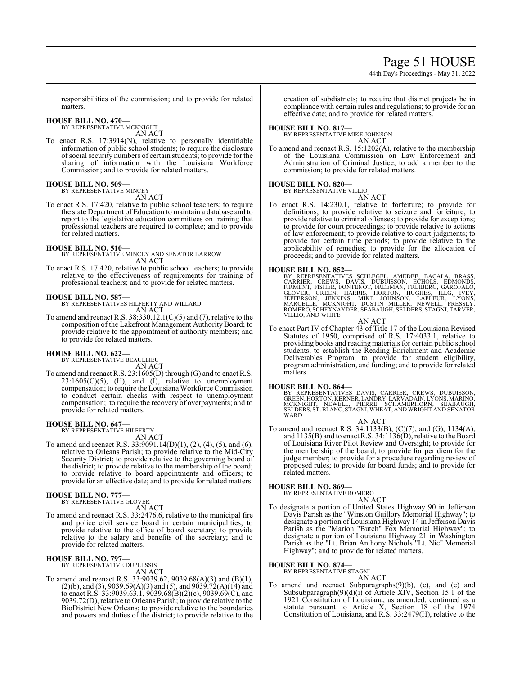# Page 51 HOUSE

44th Day's Proceedings - May 31, 2022

responsibilities of the commission; and to provide for related matters.

# **HOUSE BILL NO. 470—** BY REPRESENTATIVE MCKNIGHT

AN ACT

To enact R.S. 17:3914(N), relative to personally identifiable information of public school students; to require the disclosure ofsocial security numbers of certain students; to provide for the sharing of information with the Louisiana Workforce Commission; and to provide for related matters.

# **HOUSE BILL NO. 509—**

BY REPRESENTATIVE MINCEY

- AN ACT
- To enact R.S. 17:420, relative to public school teachers; to require the state Department of Education to maintain a database and to report to the legislative education committees on training that professional teachers are required to complete; and to provide for related matters.

**HOUSE BILL NO. 510—** BY REPRESENTATIVE MINCEY AND SENATOR BARROW AN ACT

To enact R.S. 17:420, relative to public school teachers; to provide relative to the effectiveness of requirements for training of professional teachers; and to provide for related matters.

# **HOUSE BILL NO. 587—**

BY REPRESENTATIVES HILFERTY AND WILLARD AN ACT

To amend and reenact R.S. 38:330.12.1(C)(5) and (7), relative to the composition of the Lakefront Management Authority Board; to provide relative to the appointment of authority members; and to provide for related matters.

# **HOUSE BILL NO. 622—**

BY REPRESENTATIVE BEAULLIEU AN ACT

To amend and reenact R.S. 23:1605(D) through (G) and to enact R.S.  $23:1605(C)(5)$ , (H), and (I), relative to unemployment compensation; to require the Louisiana Workforce Commission to conduct certain checks with respect to unemployment compensation; to require the recovery of overpayments; and to provide for related matters.

# **HOUSE BILL NO. 647—**

BY REPRESENTATIVE HILFERTY

- AN ACT To amend and reenact R.S. 33:9091.14(D)(1), (2), (4), (5), and (6),
- relative to Orleans Parish; to provide relative to the Mid-City Security District; to provide relative to the governing board of the district; to provide relative to the membership of the board; to provide relative to board appointments and officers; to provide for an effective date; and to provide for related matters.

# **HOUSE BILL NO. 777—**

BY REPRESENTATIVE GLOVER

- AN ACT
- To amend and reenact R.S. 33:2476.6, relative to the municipal fire and police civil service board in certain municipalities; to provide relative to the office of board secretary; to provide relative to the salary and benefits of the secretary; and to provide for related matters.

# **HOUSE BILL NO. 797—**

BY REPRESENTATIVE DUPLESSIS AN ACT

To amend and reenact R.S. 33:9039.62, 9039.68(A)(3) and (B)(1),  $(2)(b)$ , and  $(3)$ , 9039.69 $(A)(3)$  and  $(5)$ , and 9039.72 $(A)(14)$  and to enact R.S. 33:9039.63.1, 9039.68(B)(2)(c), 9039.69(C), and 9039.72(D), relative to Orleans Parish; to provide relative to the BioDistrict New Orleans; to provide relative to the boundaries and powers and duties of the district; to provide relative to the creation of subdistricts; to require that district projects be in compliance with certain rules and regulations; to provide for an effective date; and to provide for related matters.

# **HOUSE BILL NO. 817—**

BY REPRESENTATIVE MIKE JOHNSON

AN ACT To amend and reenact R.S. 15:1202(A), relative to the membership of the Louisiana Commission on Law Enforcement and Administration of Criminal Justice; to add a member to the commission; to provide for related matters.

# **HOUSE BILL NO. 820—**

BY REPRESENTATIVE VILLIO

AN ACT

To enact R.S. 14:230.1, relative to forfeiture; to provide for definitions; to provide relative to seizure and forfeiture; to provide relative to criminal offenses; to provide for exceptions; to provide for court proceedings; to provide relative to actions of law enforcement; to provide relative to court judgments; to provide for certain time periods; to provide relative to the applicability of remedies; to provide for the allocation of proceeds; and to provide for related matters.

# **HOUSE BILL NO. 852—**

BY REPRESENTATIVES SCHLEGEL, AMEDEE, BACALA, BRASS,<br>CARRIER, CREWS, DAVIS, DUBUISSON, ECHOLS, EDMONDS,<br>FIRMENT, FISHER, FONTENOT, FREEMAN, FREIBERG, GAROFALO,<br>GLOVER, GREEN, HARRIS, HORTON, HUGHES, ILLG, IVEY,<br>JEFFERSON, J VILLIO, AND WHITE

# AN ACT

To enact Part IV of Chapter 43 of Title 17 of the Louisiana Revised Statutes of 1950, comprised of R.S. 17:4033.1, relative to providing books and reading materials for certain public school students; to establish the Reading Enrichment and Academic Deliverables Program; to provide for student eligibility, program administration, and funding; and to provide for related matters.

# **HOUSE BILL NO. 864—**

BY REPRESENTATIVES DAVIS, CARRIER, CREWS, DUBUISSON,<br>GREEN,HORTON,KERNER,LANDRY,LARVADAIN,LYONS,MARINO,<br>MCKNIGHT, NEWELL, PIERRE, SCHAMERHORN, SEABAUGH, SELDERS, ST. BLANC, STAGNI, WHEAT, AND WRIGHT AND SENATOR **WARD** 

AN ACT

To amend and reenact R.S. 34:1133(B), (C)(7), and (G), 1134(A), and  $1135(B)$  and to enact R.S.  $34:1136(D)$ , relative to the Board of Louisiana River Pilot Review and Oversight; to provide for the membership of the board; to provide for per diem for the judge member; to provide for a procedure regarding review of proposed rules; to provide for board funds; and to provide for related matters.

# **HOUSE BILL NO. 869—** BY REPRESENTATIVE ROMERO

AN ACT

To designate a portion of United States Highway 90 in Jefferson Davis Parish as the "Winston Guillory Memorial Highway"; to designate a portion of Louisiana Highway 14 in Jefferson Davis Parish as the "Marion "Butch" Fox Memorial Highway"; to designate a portion of Louisiana Highway 21 in Washington Parish as the "Lt. Brian Anthony Nichols "Lt. Nic" Memorial Highway"; and to provide for related matters.

# **HOUSE BILL NO. 874—**

BY REPRESENTATIVE STAGNI AN ACT

To amend and reenact Subparagraphs(9)(b), (c), and (e) and Subsubparagraph(9)(d)(i) of Article XIV, Section 15.1 of the 1921 Constitution of Louisiana, as amended, continued as a statute pursuant to Article X, Section 18 of the 1974 Constitution of Louisiana, and R.S. 33:2479(H), relative to the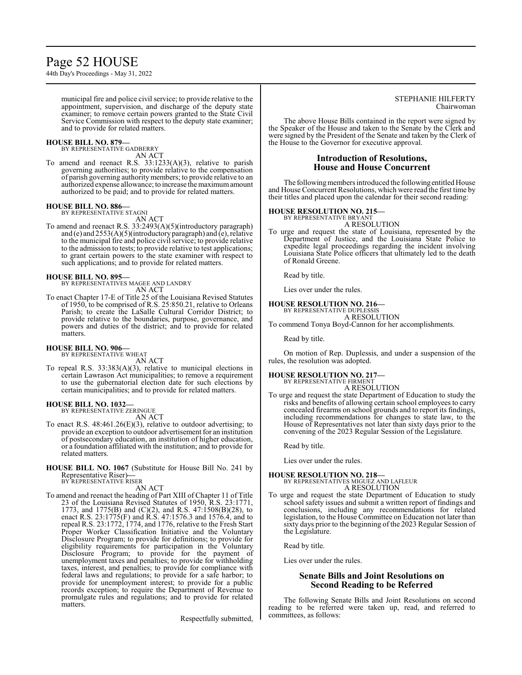# Page 52 HOUSE

44th Day's Proceedings - May 31, 2022

municipal fire and police civil service; to provide relative to the appointment, supervision, and discharge of the deputy state examiner; to remove certain powers granted to the State Civil Service Commission with respect to the deputy state examiner; and to provide for related matters.

# **HOUSE BILL NO. 879—**

BY REPRESENTATIVE GADBERRY AN ACT

To amend and reenact R.S. 33:1233(A)(3), relative to parish governing authorities; to provide relative to the compensation of parish governing authority members; to provide relative to an authorized expense allowance; to increase the maximumamount authorized to be paid; and to provide for related matters.

## **HOUSE BILL NO. 886—** BY REPRESENTATIVE STAGNI

AN ACT

To amend and reenact R.S. 33:2493(A)(5)(introductory paragraph) and (e) and 2553(A)(5)(introductory paragraph) and (e), relative to the municipal fire and police civil service; to provide relative to the admission to tests; to provide relative to test applications; to grant certain powers to the state examiner with respect to such applications; and to provide for related matters.

# **HOUSE BILL NO. 895—**

BY REPRESENTATIVES MAGEE AND LANDRY AN ACT

To enact Chapter 17-E of Title 25 of the Louisiana Revised Statutes of 1950, to be comprised of R.S. 25:850.21, relative to Orleans Parish; to create the LaSalle Cultural Corridor District; to provide relative to the boundaries, purpose, governance, and powers and duties of the district; and to provide for related matters.

# **HOUSE BILL NO. 906—**

BY REPRESENTATIVE WHEAT AN ACT

To repeal R.S. 33:383(A)(3), relative to municipal elections in certain Lawrason Act municipalities; to remove a requirement to use the gubernatorial election date for such elections by certain municipalities; and to provide for related matters.

# **HOUSE BILL NO. 1032—**

BY REPRESENTATIVE ZERINGUE AN ACT

- To enact R.S. 48:461.26(E)(3), relative to outdoor advertising; to provide an exception to outdoor advertisement for an institution of postsecondary education, an institution of higher education, or a foundation affiliated with the institution; and to provide for related matters.
- **HOUSE BILL NO. 1067** (Substitute for House Bill No. 241 by Representative Riser)**—** BY REPRESENTATIVE RISER

AN ACT

To amend and reenact the heading of Part XIII of Chapter 11 of Title 23 of the Louisiana Revised Statutes of 1950, R.S. 23:1771, 1773, and 1775(B) and (C)(2), and R.S. 47:1508(B)(28), to enact R.S. 23:1775(F) and R.S. 47:1576.3 and 1576.4, and to repeal R.S. 23:1772, 1774, and 1776, relative to the Fresh Start Proper Worker Classification Initiative and the Voluntary Disclosure Program; to provide for definitions; to provide for eligibility requirements for participation in the Voluntary Disclosure Program; to provide for the payment of unemployment taxes and penalties; to provide for withholding taxes, interest, and penalties; to provide for compliance with federal laws and regulations; to provide for a safe harbor; to provide for unemployment interest; to provide for a public records exception; to require the Department of Revenue to promulgate rules and regulations; and to provide for related matters.

Respectfully submitted,

# STEPHANIE HILFERTY Chairwoman

The above House Bills contained in the report were signed by the Speaker of the House and taken to the Senate by the Clerk and were signed by the President of the Senate and taken by the Clerk of the House to the Governor for executive approval.

# **Introduction of Resolutions, House and House Concurrent**

The following members introduced the following entitled House and House Concurrent Resolutions, which were read the first time by their titles and placed upon the calendar for their second reading:

# **HOUSE RESOLUTION NO. 215—**

BY REPRESENTATIVE BRYANT A RESOLUTION

To urge and request the state of Louisiana, represented by the Department of Justice, and the Louisiana State Police to expedite legal proceedings regarding the incident involving Louisiana State Police officers that ultimately led to the death of Ronald Greene.

Read by title.

Lies over under the rules.

# **HOUSE RESOLUTION NO. 216—**

BY REPRESENTATIVE DUPLESSIS A RESOLUTION

To commend Tonya Boyd-Cannon for her accomplishments.

Read by title.

On motion of Rep. Duplessis, and under a suspension of the rules, the resolution was adopted.

# **HOUSE RESOLUTION NO. 217—**

BY REPRESENTATIVE FIRMENT A RESOLUTION

To urge and request the state Department of Education to study the risks and benefits of allowing certain school employees to carry concealed firearms on school grounds and to report its findings, including recommendations for changes to state law, to the House of Representatives not later than sixty days prior to the convening of the 2023 Regular Session of the Legislature.

Read by title.

Lies over under the rules.

## **HOUSE RESOLUTION NO. 218—** BY REPRESENTATIVES MIGUEZ AND LAFLEUR A RESOLUTION

To urge and request the state Department of Education to study school safety issues and submit a written report of findings and conclusions, including any recommendations for related legislation, to the House Committee on Education not later than sixty days prior to the beginning of the 2023 Regular Session of the Legislature.

Read by title.

Lies over under the rules.

# **Senate Bills and Joint Resolutions on Second Reading to be Referred**

The following Senate Bills and Joint Resolutions on second reading to be referred were taken up, read, and referred to committees, as follows: